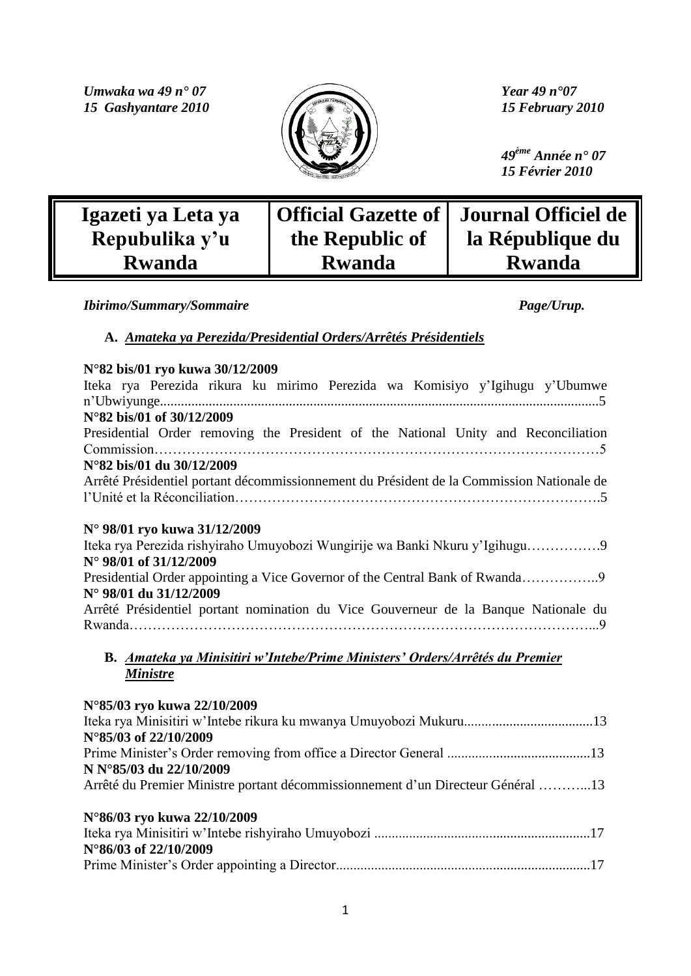*Umwaka wa 49 n° 07 Year 49 n° 07 Year 49 n° 07 Year 49 n° 07 Year 49 n° 07 15 Gashyantare 2010* 



 *49ème Année n° 07 15 Février 2010*

| Igazeti ya Leta ya |                 | Official Gazette of   Journal Officiel de |
|--------------------|-----------------|-------------------------------------------|
| Repubulika y'u     | the Republic of | la République du                          |
| <b>Rwanda</b>      | <b>Rwanda</b>   | <b>Rwanda</b>                             |

*Ibirimo/Summary/Sommaire Page/Urup.*

**A.** *Amateka ya Perezida/Presidential Orders/Arrêtés Présidentiels*

| N°82 bis/01 ryo kuwa 30/12/2009<br>Iteka rya Perezida rikura ku mirimo Perezida wa Komisiyo y'Igihugu y'Ubumwe |
|----------------------------------------------------------------------------------------------------------------|
| N°82 bis/01 of 30/12/2009                                                                                      |
| Presidential Order removing the President of the National Unity and Reconciliation                             |
|                                                                                                                |
| N°82 bis/01 du 30/12/2009                                                                                      |
| Arrêté Présidentiel portant décommissionnement du Président de la Commission Nationale de                      |
|                                                                                                                |
|                                                                                                                |
| N° 98/01 ryo kuwa 31/12/2009                                                                                   |
| Iteka rya Perezida rishyiraho Umuyobozi Wungirije wa Banki Nkuru y'Igihugu9                                    |
| N° 98/01 of 31/12/2009                                                                                         |
| Presidential Order appointing a Vice Governor of the Central Bank of Rwanda9                                   |
| N° 98/01 du 31/12/2009                                                                                         |
| Arrêté Présidentiel portant nomination du Vice Gouverneur de la Banque Nationale du                            |
|                                                                                                                |
|                                                                                                                |
| B. Amateka ya Minisitiri w'Intebe/Prime Ministers' Orders/Arrêtés du Premier                                   |
| <b>Ministre</b>                                                                                                |
|                                                                                                                |
| N°85/03 ryo kuwa 22/10/2009                                                                                    |
|                                                                                                                |
| N°85/03 of 22/10/2009                                                                                          |
|                                                                                                                |
| N N°85/03 du 22/10/2009                                                                                        |
|                                                                                                                |
| Arrêté du Premier Ministre portant décommissionnement d'un Directeur Général 13                                |
|                                                                                                                |
| N°86/03 ryo kuwa 22/10/2009                                                                                    |
| N°86/03 of 22/10/2009                                                                                          |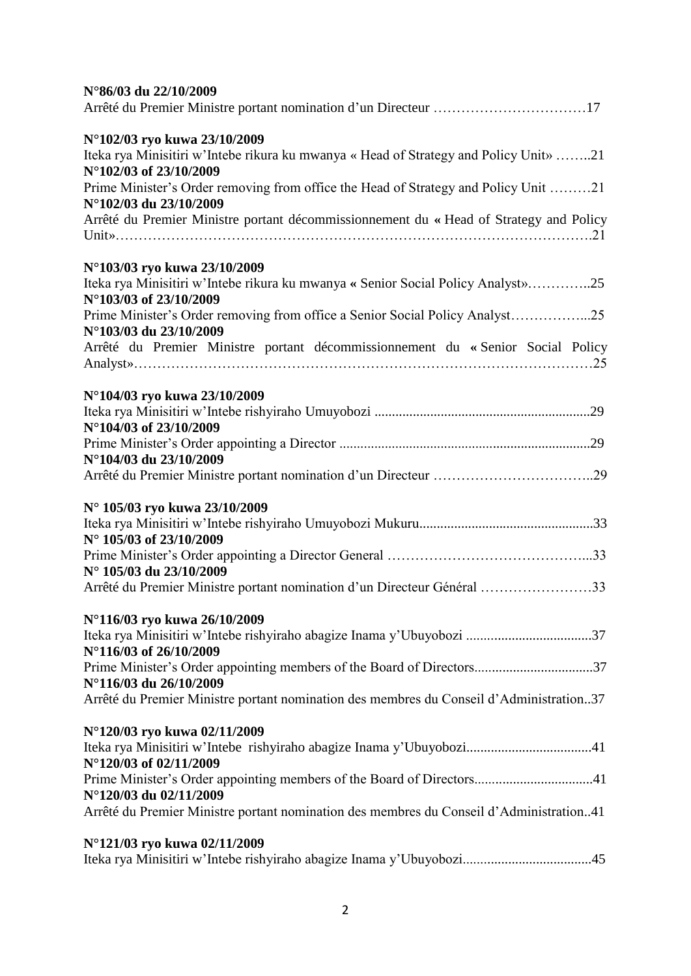| N°86/03 du 22/10/2009                                                                                         |
|---------------------------------------------------------------------------------------------------------------|
|                                                                                                               |
| N°102/03 ryo kuwa 23/10/2009                                                                                  |
| Iteka rya Minisitiri w'Intebe rikura ku mwanya « Head of Strategy and Policy Unit» 21                         |
| N°102/03 of 23/10/2009                                                                                        |
| Prime Minister's Order removing from office the Head of Strategy and Policy Unit 21<br>N°102/03 du 23/10/2009 |
| Arrêté du Premier Ministre portant décommissionnement du « Head of Strategy and Policy                        |
|                                                                                                               |
| N°103/03 ryo kuwa 23/10/2009                                                                                  |
| Iteka rya Minisitiri w'Intebe rikura ku mwanya « Senior Social Policy Analyst»25                              |
| N°103/03 of 23/10/2009                                                                                        |
| Prime Minister's Order removing from office a Senior Social Policy Analyst25                                  |
| N°103/03 du 23/10/2009                                                                                        |
| Arrêté du Premier Ministre portant décommissionnement du « Senior Social Policy                               |
|                                                                                                               |
| N°104/03 ryo kuwa 23/10/2009                                                                                  |
|                                                                                                               |
| N°104/03 of 23/10/2009                                                                                        |
|                                                                                                               |
| N°104/03 du 23/10/2009                                                                                        |
|                                                                                                               |
| N° 105/03 ryo kuwa 23/10/2009                                                                                 |
|                                                                                                               |
| N° 105/03 of 23/10/2009                                                                                       |
|                                                                                                               |
| N° 105/03 du 23/10/2009                                                                                       |
| Arrêté du Premier Ministre portant nomination d'un Directeur Général 33                                       |
| N°116/03 ryo kuwa 26/10/2009                                                                                  |
| Iteka rya Minisitiri w'Intebe rishyiraho abagize Inama y'Ubuyobozi 37                                         |
| N°116/03 of 26/10/2009                                                                                        |
| Prime Minister's Order appointing members of the Board of Directors37                                         |
| N°116/03 du 26/10/2009                                                                                        |
| Arrêté du Premier Ministre portant nomination des membres du Conseil d'Administration37                       |
| N°120/03 ryo kuwa 02/11/2009                                                                                  |
|                                                                                                               |
| N°120/03 of 02/11/2009                                                                                        |
| Prime Minister's Order appointing members of the Board of Directors41                                         |
| N°120/03 du 02/11/2009                                                                                        |
| Arrêté du Premier Ministre portant nomination des membres du Conseil d'Administration41                       |
| N°121/03 ryo kuwa 02/11/2009                                                                                  |
| Iteka rya Minisitiri w'Intebe rishyiraho abagize Inama y'Ubuyobozi45                                          |
|                                                                                                               |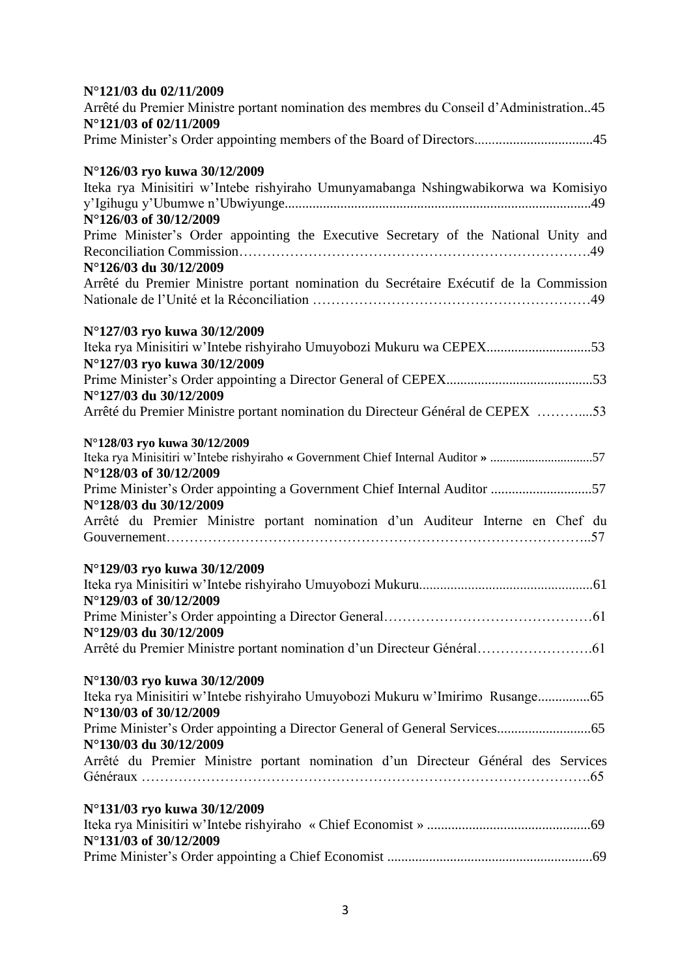| N°121/03 du 02/11/2009                                                                  |
|-----------------------------------------------------------------------------------------|
| Arrêté du Premier Ministre portant nomination des membres du Conseil d'Administration45 |
| N°121/03 of 02/11/2009                                                                  |
| Prime Minister's Order appointing members of the Board of Directors45                   |
| N°126/03 ryo kuwa 30/12/2009                                                            |
| Iteka rya Minisitiri w'Intebe rishyiraho Umunyamabanga Nshingwabikorwa wa Komisiyo      |
|                                                                                         |
| N°126/03 of 30/12/2009                                                                  |
| Prime Minister's Order appointing the Executive Secretary of the National Unity and     |
|                                                                                         |
| N°126/03 du 30/12/2009                                                                  |
| Arrêté du Premier Ministre portant nomination du Secrétaire Exécutif de la Commission   |
|                                                                                         |
| N°127/03 ryo kuwa 30/12/2009                                                            |
| Iteka rya Minisitiri w'Intebe rishyiraho Umuyobozi Mukuru wa CEPEX53                    |
| N°127/03 ryo kuwa 30/12/2009                                                            |
|                                                                                         |
| N°127/03 du 30/12/2009                                                                  |
| Arrêté du Premier Ministre portant nomination du Directeur Général de CEPEX 53          |
|                                                                                         |
| N°128/03 ryo kuwa 30/12/2009                                                            |
| Iteka rya Minisitiri w'Intebe rishyiraho « Government Chief Internal Auditor » 57       |
| N°128/03 of 30/12/2009                                                                  |
| Prime Minister's Order appointing a Government Chief Internal Auditor 57                |
| N°128/03 du 30/12/2009                                                                  |
| Arrêté du Premier Ministre portant nomination d'un Auditeur Interne en Chef du          |
|                                                                                         |
| N°129/03 ryo kuwa 30/12/2009                                                            |
|                                                                                         |
| N°129/03 of 30/12/2009                                                                  |
|                                                                                         |
| N°129/03 du 30/12/2009                                                                  |
|                                                                                         |
|                                                                                         |
| N°130/03 ryo kuwa 30/12/2009                                                            |
| Iteka rya Minisitiri w'Intebe rishyiraho Umuyobozi Mukuru w'Imirimo Rusange65           |
| N°130/03 of 30/12/2009                                                                  |
|                                                                                         |
| N°130/03 du 30/12/2009                                                                  |
| Arrêté du Premier Ministre portant nomination d'un Directeur Général des Services       |
|                                                                                         |
|                                                                                         |
| N°131/03 ryo kuwa 30/12/2009                                                            |
|                                                                                         |
| N°131/03 of 30/12/2009                                                                  |
|                                                                                         |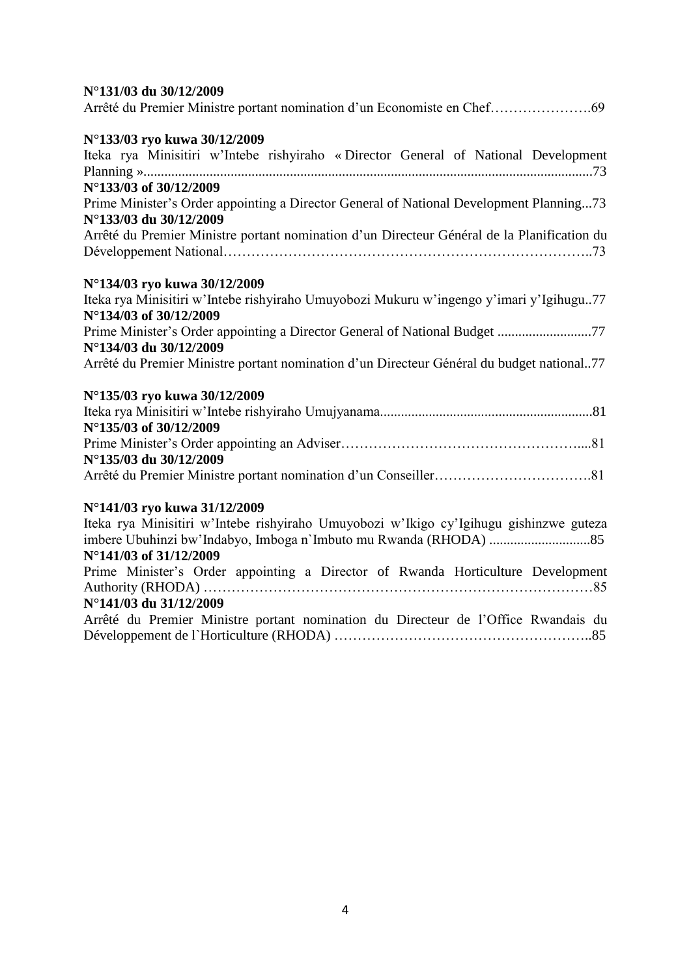# **N°131/03 du 30/12/2009**

|--|--|--|

# **N°133/03 ryo kuwa 30/12/2009**

| $\sim$ 100/00 1 10 Kuwa 00/12/2007                                                          |
|---------------------------------------------------------------------------------------------|
| Iteka rya Minisitiri w'Intebe rishyiraho « Director General of National Development         |
|                                                                                             |
| N°133/03 of 30/12/2009                                                                      |
| Prime Minister's Order appointing a Director General of National Development Planning73     |
| N°133/03 du 30/12/2009                                                                      |
| Arrêté du Premier Ministre portant nomination d'un Directeur Général de la Planification du |
|                                                                                             |
| N°134/03 ryo kuwa 30/12/2009                                                                |
| Iteka rya Minisitiri w'Intebe rishyiraho Umuyobozi Mukuru w'ingengo y'imari y'Igihugu77     |
| N°134/03 of 30/12/2009                                                                      |
| Prime Minister's Order appointing a Director General of National Budget 77                  |
| N°134/03 du 30/12/2009                                                                      |
|                                                                                             |

Arrêté du Premier Ministre portant nomination d'un Directeur Général du budget national..77

# **N°135/03 ryo kuwa 30/12/2009**

| $N^{\circ}$ 135/03 of 30/12/2009 |  |
|----------------------------------|--|
|                                  |  |
| N°135/03 du 30/12/2009           |  |
|                                  |  |

# **N°141/03 ryo kuwa 31/12/2009**

| Iteka rya Minisitiri w'Intebe rishyiraho Umuyobozi w'Ikigo cy'Igihugu gishinzwe guteza |
|----------------------------------------------------------------------------------------|
|                                                                                        |
| N°141/03 of 31/12/2009                                                                 |
| Prime Minister's Order appointing a Director of Rwanda Horticulture Development        |
|                                                                                        |
| N°141/03 du 31/12/2009                                                                 |
| Arrêté du Premier Ministre portant nomination du Directeur de l'Office Rwandais du     |
|                                                                                        |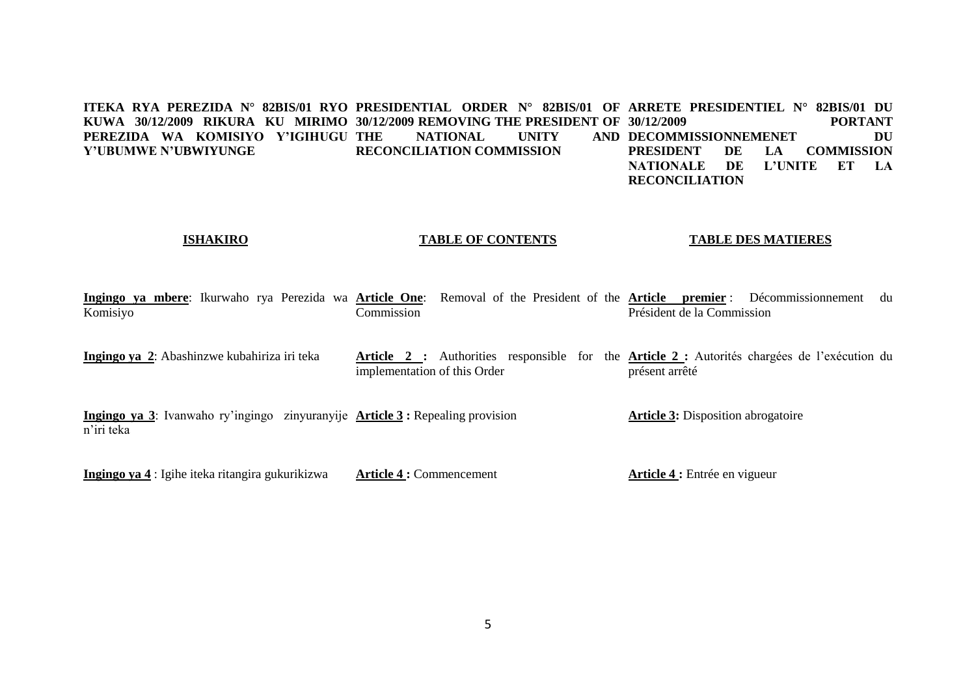**ITEKA RYA PEREZIDA N° 82BIS/01 RYO PRESIDENTIAL ORDER N° 82BIS/01 OF ARRETE PRESIDENTIEL N° 82BIS/01 DU KUWA 30/12/2009 RIKURA KU MIRIMO 30/12/2009 REMOVING THE PRESIDENT OF PEREZIDA WA KOMISIYO Y'IGIHUGU Y'UBUMWE N'UBWIYUNGE NATIONAL UNITY RECONCILIATION COMMISSION 30/12/2009 PORTANT DECOMMISSIONNEMENET DU PRESIDENT DE LA COMMISSION NATIONALE DE L'UNITE ET LA RECONCILIATION**

# **ISHAKIRO**

### **TABLE OF CONTENTS**

## **TABLE DES MATIERES**

**Ingingo ya mbere**: Ikurwaho rya Perezida wa **Article One**: Removal of the President of the **Article premier** : Décommissionnement du Komisiyo **Commission** Président de la Commission

**Ingingo ya 2**: Abashinzwe kubahiriza iri teka **Article 2 :** Authorities responsible for the **Article 2 :** Autorités chargées de l'exécution du implementation of this Order présent arrêté

**Ingingo ya 3**: Ivanwaho ry'ingingo zinyuranyije **Article 3 :** Repealing provision n'iri teka **Article 3:** Disposition abrogatoire

**Ingingo ya 4** : Igihe iteka ritangira gukurikizwa

**Article 4 :** Commencement

**Article 4 :** Entrée en vigueur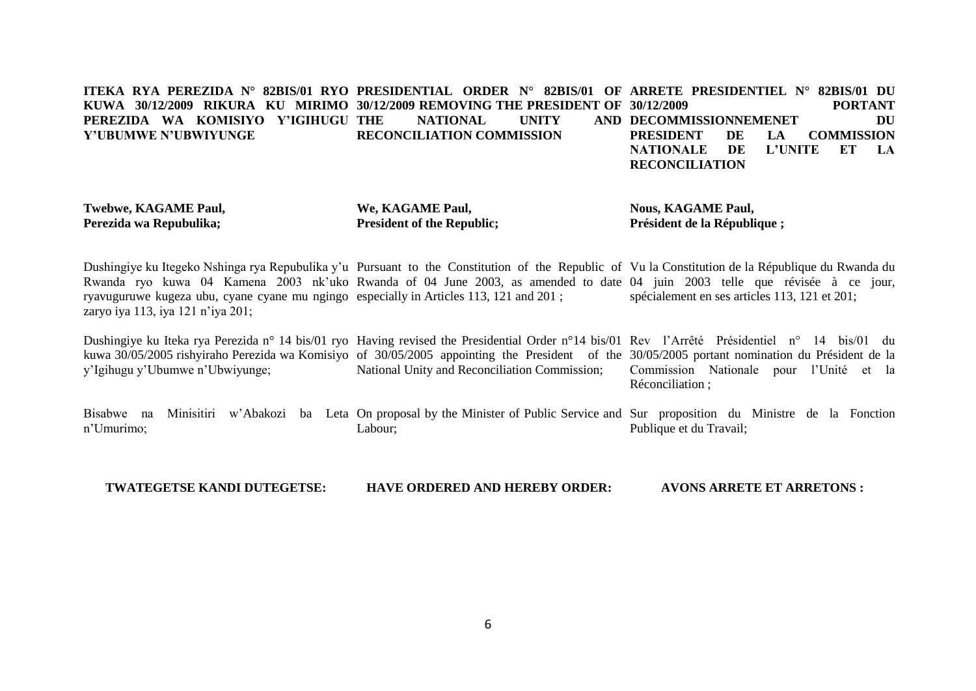#### **ITEKA RYA PEREZIDA N° 82BIS/01 RYO PRESIDENTIAL ORDER N° 82BIS/01 OF ARRETE PRESIDENTIEL N° 82BIS/01 DU KUWA 30/12/2009 RIKURA KU MIRIMO 30/12/2009 REMOVING THE PRESIDENT OF 30/12/2009 PORTANT PEREZIDA WA KOMISIYO Y'IGIHUGU Y'UBUMWE N'UBWIYUNGE NATIONAL UNITY RECONCILIATION COMMISSION AND DECOMMISSIONNEMENET DU PRESIDENT DE LA COMMISSION NATIONALE DE L'UNITE ET LA RECONCILIATION**

**Twebwe, KAGAME Paul, Perezida wa Repubulika;**

**We, KAGAME Paul, President of the Republic;** **Nous, KAGAME Paul, Président de la République ;**

Dushingiye ku Itegeko Nshinga rya Repubulika y'u Pursuant to the Constitution of the Republic of Vu la Constitution de la République du Rwanda du Rwanda ryo kuwa 04 Kamena 2003 nk'uko Rwanda of 04 June 2003, as amended to date 04 juin 2003 telle que révisée à ce jour, ryavuguruwe kugeza ubu, cyane cyane mu ngingo especially in Articles 113, 121 and 201 ; zaryo iya 113, iya 121 n'iya 201; spécialement en ses articles 113, 121 et 201;

Dushingiye ku Iteka rya Perezida n° 14 bis/01 ryo Having revised the Presidential Order n°14 bis/01 Rev l'Arrêté Présidentiel n° 14 bis/01 du kuwa 30/05/2005 rishyiraho Perezida wa Komisiyo of 30/05/2005 appointing the President of the 30/05/2005 portant nomination du Président de la y'Igihugu y'Ubumwe n'Ubwiyunge; National Unity and Reconciliation Commission; Commission Nationale pour l'Unité et la Réconciliation ;

Bisabwe na Minisitiri w'Abakozi ba Leta On-proposal-by-the-Minister-of-Public-Service-and-Sur-proposition du Ministre de la Fonction n'Umurimo; Labour; Publique et du Travail;

**TWATEGETSE KANDI DUTEGETSE: HAVE ORDERED AND HEREBY ORDER: AVONS ARRETE ET ARRETONS :**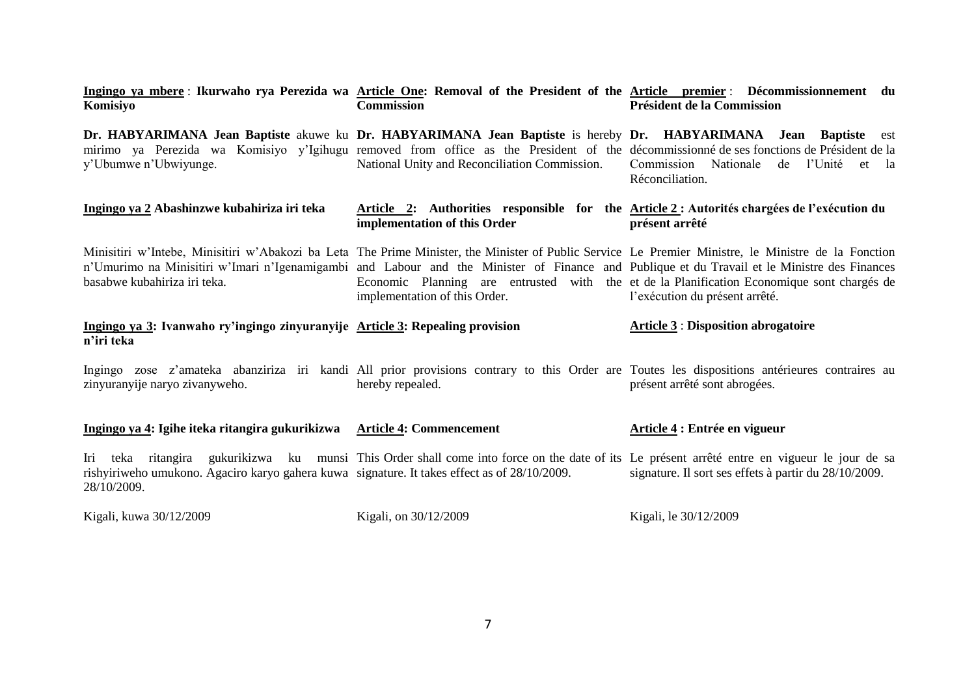| Komisiyo                                                                                                    | <u>Ingingo ya mbere</u> : Ikurwaho rya Perezida wa <u>Article One</u> : Removal of the President of the <u>Article premier</u> : Décommissionnement du<br><b>Commission</b>                                                                                                                                                           | Président de la Commission                                                                                                   |
|-------------------------------------------------------------------------------------------------------------|---------------------------------------------------------------------------------------------------------------------------------------------------------------------------------------------------------------------------------------------------------------------------------------------------------------------------------------|------------------------------------------------------------------------------------------------------------------------------|
| y'Ubumwe n'Ubwiyunge.                                                                                       | Dr. HABYARIMANA Jean Baptiste akuwe ku Dr. HABYARIMANA Jean Baptiste is hereby Dr. HABYARIMANA Jean Baptiste<br>mirimo ya Perezida wa Komisiyo y'Igihugu removed from office as the President of the décommissionné de ses fonctions de Président de la<br>National Unity and Reconciliation Commission.                              | est<br>Commission Nationale de l'Unité et la<br>Réconciliation.                                                              |
| Ingingo ya 2 Abashinzwe kubahiriza iri teka                                                                 | Article 2: Authorities responsible for the Article 2: Autorités chargées de l'exécution du<br>implementation of this Order                                                                                                                                                                                                            | présent arrêté                                                                                                               |
| basabwe kubahiriza iri teka.                                                                                | Minisitiri w'Intebe, Minisitiri w'Abakozi ba Leta The Prime Minister, the Minister of Public Service Le Premier Ministre, le Ministre de la Fonction<br>n'Umurimo na Minisitiri w'Imari n'Igenamigambi and Labour and the Minister of Finance and Publique et du Travail et le Ministre des Finances<br>implementation of this Order. | Economic Planning are entrusted with the et de la Planification Economique sont chargés de<br>l'exécution du présent arrêté. |
| Ingingo ya 3: Ivanwaho ry'ingingo zinyuranyije Article 3: Repealing provision<br>n'iri teka                 |                                                                                                                                                                                                                                                                                                                                       | <b>Article 3: Disposition abrogatoire</b>                                                                                    |
| zinyuranyije naryo zivanyweho.                                                                              | Ingingo zose z'amateka abanziriza iri kandi All prior provisions contrary to this Order are Toutes les dispositions antérieures contraires au<br>hereby repealed.                                                                                                                                                                     | présent arrêté sont abrogées.                                                                                                |
| Ingingo ya 4: Igihe iteka ritangira gukurikizwa Article 4: Commencement                                     |                                                                                                                                                                                                                                                                                                                                       | Article 4 : Entrée en vigueur                                                                                                |
| rishyiriweho umukono. Agaciro karyo gahera kuwa signature. It takes effect as of 28/10/2009.<br>28/10/2009. | Iri teka ritangira gukurikizwa ku munsi This Order shall come into force on the date of its Le présent arrêté entre en vigueur le jour de sa                                                                                                                                                                                          | signature. Il sort ses effets à partir du 28/10/2009.                                                                        |
| Kigali, kuwa 30/12/2009                                                                                     | Kigali, on 30/12/2009                                                                                                                                                                                                                                                                                                                 | Kigali, le $30/12/2009$                                                                                                      |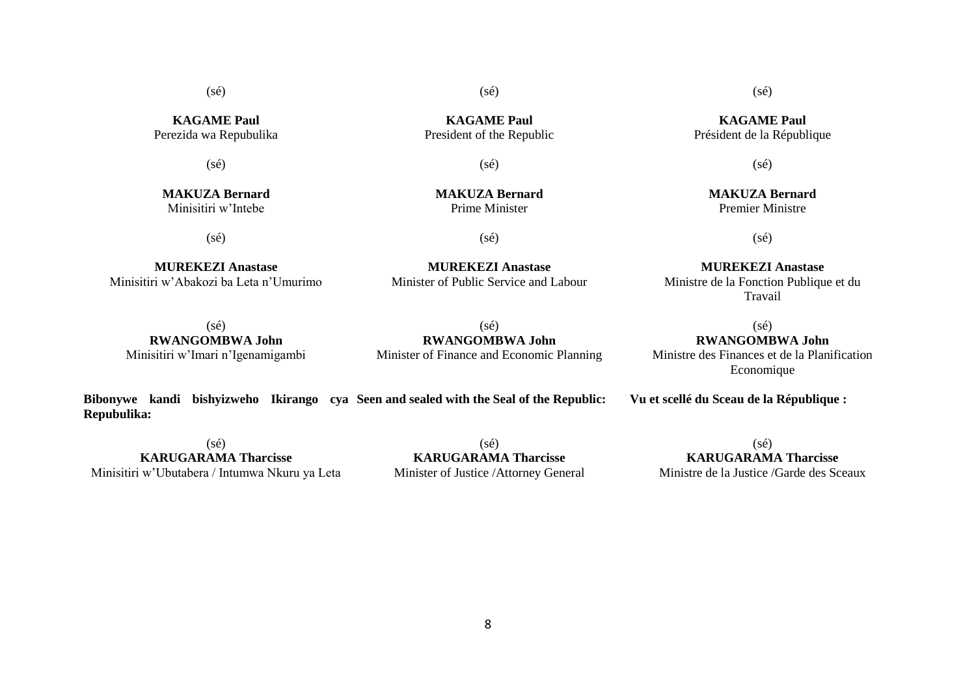**KAGAME Paul** Perezida wa Repubulika

(sé)

**MAKUZA Bernard** Minisitiri w'Intebe

(sé)

**MUREKEZI Anastase** Minisitiri w'Abakozi ba Leta n'Umurimo

**KAGAME Paul** President of the Republic

(sé)

(sé)

**MAKUZA Bernard** Prime Minister

(sé)

**MUREKEZI Anastase** Minister of Public Service and Labour

**MUREKEZI Anastase** Ministre de la Fonction Publique et du Travail

 $(sé)$ **RWANGOMBWA John** Minisitiri w'Imari n'Igenamigambi

 $(s<sub>e</sub>)$ **RWANGOMBWA John** Minister of Finance and Economic Planning

 $(sé)$ **RWANGOMBWA John** Ministre des Finances et de la Planification

Economique

**Vu et scellé du Sceau de la République :**

**Repubulika:** (sé)

**Bibonywe kandi bishyizweho Ikirango cya Seen and sealed with the Seal of the Republic:**

**KARUGARAMA Tharcisse** Minisitiri w'Ubutabera / Intumwa Nkuru ya Leta

(sé) **KARUGARAMA Tharcisse** Minister of Justice /Attorney General

 $(sé)$ **KARUGARAMA Tharcisse** Ministre de la Justice /Garde des Sceaux

**KAGAME Paul** Président de la République

(sé)

(sé)

Premier Ministre

(sé)

**MAKUZA Bernard**

8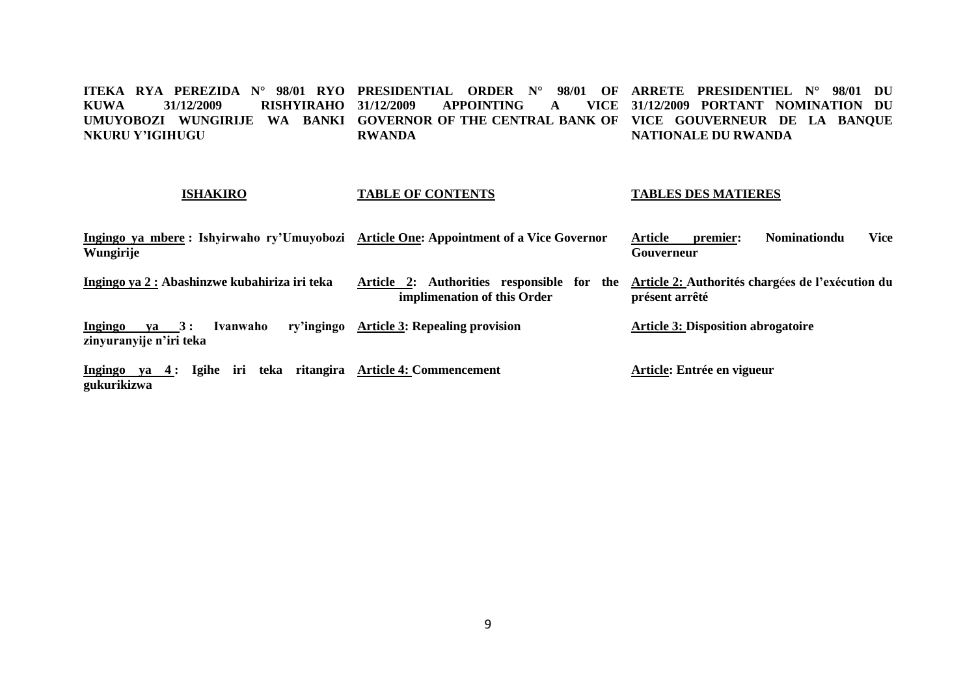**ITEKA RYA PEREZIDA N° 98/01 RYO PRESIDENTIAL ORDER N° 98/01 OF ARRETE PRESIDENTIEL N° 98/01 DU KUWA 31/12/2009 RISHYIRAHO**  UMUYOBOZI WUNGIRIJE WA BANKI GOVERNOR OF THE CENTRAL BANK OF VICE GOUVERNEUR DE LA BANQUE **NKURU Y'IGIHUGU 31/12/2009 APPOINTING A VICE 31/12/2009 PORTANT NOMINATION DU RWANDA NATIONALE DU RWANDA**

#### **ISHAKIRO TABLE OF CONTENTS TABLES DES MATIERES**

| Ingingo ya mbere : Ishyirwaho ry'Umuyobozi Article One: Appointment of a Vice Governor<br>Wungirije |                                                                           | Vice<br>Article<br><b>Nominationdu</b><br>premier:<br>Gouverneur   |
|-----------------------------------------------------------------------------------------------------|---------------------------------------------------------------------------|--------------------------------------------------------------------|
| Ingingo ya 2 : Abashinzwe kubahiriza iri teka                                                       | Article 2: Authorities responsible for the<br>implimenation of this Order | Article 2: Authorités chargées de l'exécution du<br>présent arrêté |
| $ya \quad 3:$<br>Ivanwaho<br>Ingingo<br>zinyuranyije n'iri teka                                     | ry'ingingo Article 3: Repealing provision                                 | <b>Article 3: Disposition abrogatoire</b>                          |
| iri<br>ya 4: Igihe<br>Ingingo<br>gukurikizwa                                                        | teka ritangira Article 4: Commencement                                    | Article: Entrée en vigueur                                         |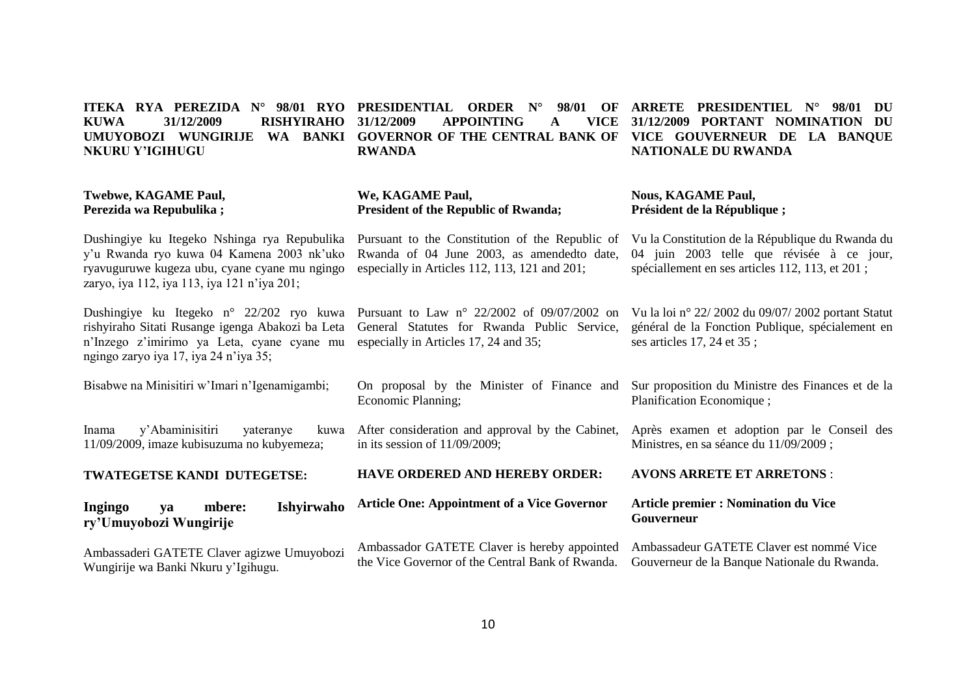#### **ITEKA RYA PEREZIDA N° 98/01 RYO PRESIDENTIAL ORDER N° 98/01 OF ARRETE PRESIDENTIEL N° 98/01 DU KUWA 31/12/2009 RISHYIRAHO**  UMUYOBOZI WUNGIRIJE WA BANKI GOVERNOR OF THE CENTRAL BANK OF VICE GOUVERNEUR DE LA BANQUE **NKURU Y'IGIHUGU Twebwe, KAGAME Paul, Perezida wa Repubulika ;** Dushingiye ku Itegeko Nshinga rya Repubulika Pursuant to the Constitution of the Republic of y'u Rwanda ryo kuwa 04 Kamena 2003 nk'uko ryavuguruwe kugeza ubu, cyane cyane mu ngingo zaryo, iya 112, iya 113, iya 121 n'iya 201; Dushingiye ku Itegeko n° 22/202 ryo kuwa Pursuant to Law n° 22/2002 of 09/07/2002 on Vu la loi n° 22/ 2002 du 09/07/ 2002 portant Statut rishyiraho Sitati Rusange igenga Abakozi ba Leta n'Inzego z'imirimo ya Leta, cyane cyane mu especially in Articles 17, 24 and 35; ngingo zaryo iya 17, iya 24 n'iya 35; Bisabwe na Minisitiri w'Imari n'Igenamigambi; Inama y'Abaminisitiri yateranye 11/09/2009, imaze kubisuzuma no kubyemeza; **TWATEGETSE KANDI DUTEGETSE: Ingingo ya mbere: Ishyirwaho APPOINTING A RWANDA We, KAGAME Paul, President of the Republic of Rwanda;** Rwanda of 04 June 2003, as amendedto date, especially in Articles 112, 113, 121 and 201; General Statutes for Rwanda Public Service, On proposal by the Minister of Finance and Economic Planning; After consideration and approval by the Cabinet, in its session of 11/09/2009; **HAVE ORDERED AND HEREBY ORDER: Article One: Appointment of a Vice Governor 31/12/2009 PORTANT NOMINATION DU NATIONALE DU RWANDA Nous, KAGAME Paul, Président de la République ;** Vu la Constitution de la République du Rwanda du 04 juin 2003 telle que révisée à ce jour, spéciallement en ses articles 112, 113, et 201 ; général de la Fonction Publique, spécialement en ses articles 17, 24 et 35 ; Sur proposition du Ministre des Finances et de la Planification Economique ; Après examen et adoption par le Conseil des Ministres, en sa séance du 11/09/2009 ; **AVONS ARRETE ET ARRETONS** : **Article premier : Nomination du Vice**

Ambassaderi GATETE Claver agizwe Umuyobozi Wungirije wa Banki Nkuru y'Igihugu. Ambassador GATETE Claver is hereby appointed the Vice Governor of the Central Bank of Rwanda. Ambassadeur GATETE Claver est nommé Vice Gouverneur de la Banque Nationale du Rwanda.

**Gouverneur**

**ry'Umuyobozi Wungirije**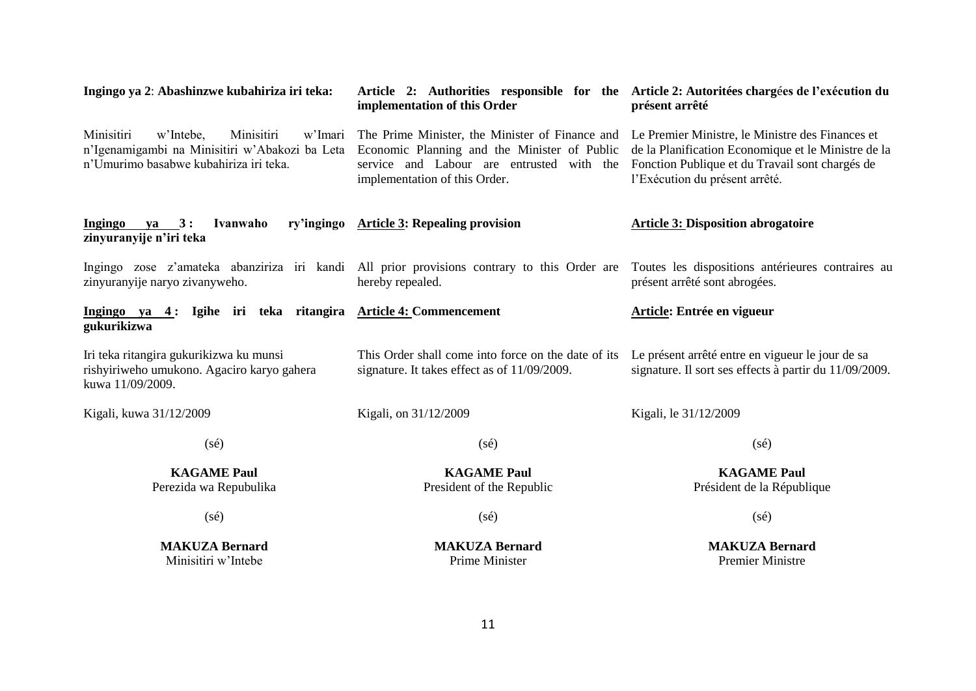| Ingingo ya 2: Abashinzwe kubahiriza iri teka:                                                                                                | Article 2: Authorities responsible for the Article 2: Autoritées chargées de l'exécution du<br>implementation of this Order                                                   | présent arrêté                                                                                                                                                                               |
|----------------------------------------------------------------------------------------------------------------------------------------------|-------------------------------------------------------------------------------------------------------------------------------------------------------------------------------|----------------------------------------------------------------------------------------------------------------------------------------------------------------------------------------------|
| Minisitiri<br>w'Intebe,<br>Minisitiri<br>w'Imari<br>n'Igenamigambi na Minisitiri w'Abakozi ba Leta<br>n'Umurimo basabwe kubahiriza iri teka. | The Prime Minister, the Minister of Finance and<br>Economic Planning and the Minister of Public<br>service and Labour are entrusted with the<br>implementation of this Order. | Le Premier Ministre, le Ministre des Finances et<br>de la Planification Economique et le Ministre de la<br>Fonction Publique et du Travail sont chargés de<br>l'Exécution du présent arrêté. |
| Ingingo<br>$ya \quad 3:$<br>Ivanwaho<br>zinyuranyije n'iri teka                                                                              | ry'ingingo Article 3: Repealing provision                                                                                                                                     | <b>Article 3: Disposition abrogatoire</b>                                                                                                                                                    |
| zinyuranyije naryo zivanyweho.                                                                                                               | Ingingo zose z'amateka abanziriza iri kandi All prior provisions contrary to this Order are<br>hereby repealed.                                                               | Toutes les dispositions antérieures contraires au<br>présent arrêté sont abrogées.                                                                                                           |
| Ingingo ya 4: Igihe iri teka ritangira Article 4: Commencement<br>gukurikizwa                                                                |                                                                                                                                                                               | Article: Entrée en vigueur                                                                                                                                                                   |
| Iri teka ritangira gukurikizwa ku munsi<br>rishyiriweho umukono. Agaciro karyo gahera<br>kuwa 11/09/2009.                                    | This Order shall come into force on the date of its<br>signature. It takes effect as of 11/09/2009.                                                                           | Le présent arrêté entre en vigueur le jour de sa<br>signature. Il sort ses effects à partir du 11/09/2009.                                                                                   |
| Kigali, kuwa 31/12/2009                                                                                                                      | Kigali, on 31/12/2009                                                                                                                                                         | Kigali, le 31/12/2009                                                                                                                                                                        |
| $(s\acute{e})$                                                                                                                               | $(s\acute{e})$                                                                                                                                                                | $(s\acute{e})$                                                                                                                                                                               |
| <b>KAGAME Paul</b><br>Perezida wa Repubulika                                                                                                 | <b>KAGAME Paul</b><br>President of the Republic                                                                                                                               | <b>KAGAME Paul</b><br>Président de la République                                                                                                                                             |
| $(s\acute{e})$                                                                                                                               | $(s\acute{e})$                                                                                                                                                                | $(s\acute{e})$                                                                                                                                                                               |

**MAKUZA Bernard** Minisitiri w'Intebe

**MAKUZA Bernard** Prime Minister

**MAKUZA Bernard** Premier Ministre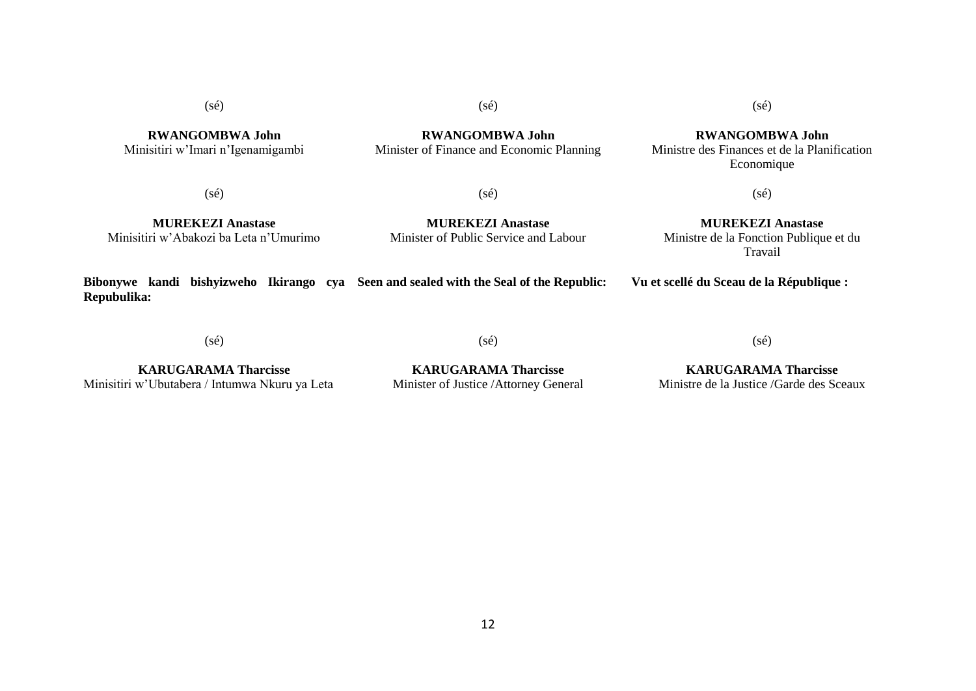**RWANGOMBWA John** Minisitiri w'Imari n'Igenamigambi (sé)

**RWANGOMBWA John** Minister of Finance and Economic Planning (sé)

**RWANGOMBWA John** Ministre des Finances et de la Planification Economique

 $(s\acute{e})$ 

 $(sé)$ 

**MUREKEZI Anastase** Minisitiri w'Abakozi ba Leta n'Umurimo

**MUREKEZI Anastase** Minister of Public Service and Labour

(sé)

**MUREKEZI Anastase** Ministre de la Fonction Publique et du Travail

**Bibonywe kandi bishyizweho Ikirango cya Seen and sealed with the Seal of the Republic: Repubulika: Vu et scellé du Sceau de la République :**

(sé)

(sé)

(sé)

**KARUGARAMA Tharcisse** Minisitiri w'Ubutabera / Intumwa Nkuru ya Leta

**KARUGARAMA Tharcisse** Minister of Justice /Attorney General

**KARUGARAMA Tharcisse** Ministre de la Justice /Garde des Sceaux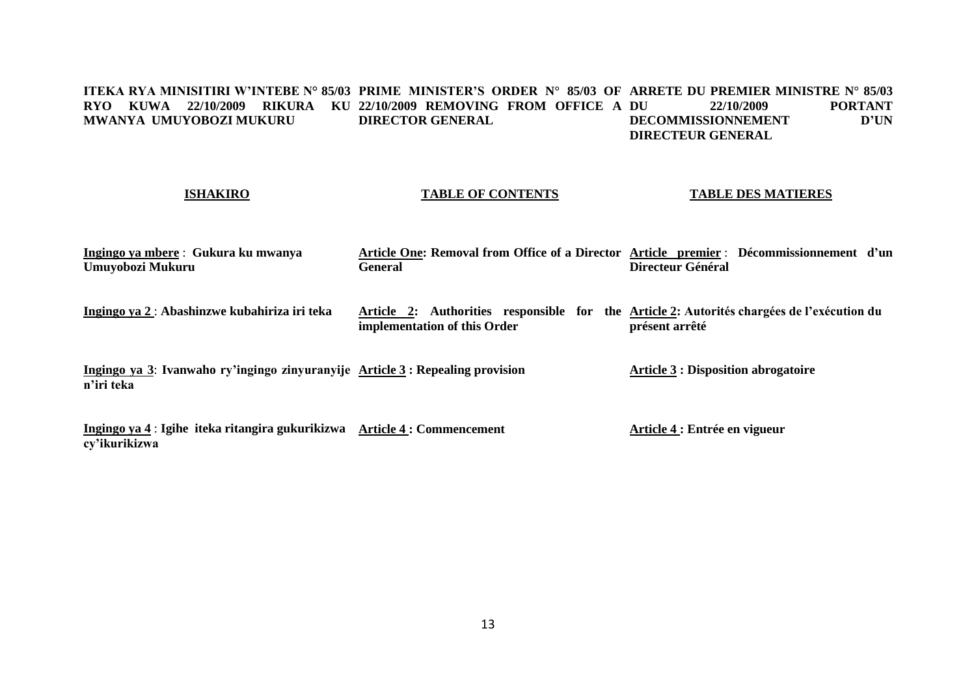#### **ITEKA RYA MINISITIRI W'INTEBE N° 85/03 PRIME MINISTER'S ORDER N° 85/03 OF ARRETE DU PREMIER MINISTRE N° 85/03 RYO KUWA 22/10/2009 RIKURA KU 22/10/2009 REMOVING FROM OFFICE A MWANYA UMUYOBOZI MUKURU DIRECTOR GENERAL PORTANT**<br>**D'UNEMENT DECOMMISSIONNEMENT DIRECTEUR GENERAL**

# **ISHAKIRO**

### **TABLE OF CONTENTS**

### **TABLE DES MATIERES**

| Ingingo ya mbere : Gukura ku mwanya           |                                                                                            | Article One: Removal from Office of a Director Article premier : Décommissionnement d'un |
|-----------------------------------------------|--------------------------------------------------------------------------------------------|------------------------------------------------------------------------------------------|
| Umuyobozi Mukuru                              | General                                                                                    | Directeur Général                                                                        |
|                                               |                                                                                            |                                                                                          |
|                                               |                                                                                            |                                                                                          |
| Ingingo ya 2 : Abashinzwe kubahiriza iri teka | Article 2: Authorities responsible for the Article 2: Autorités chargées de l'exécution du |                                                                                          |
|                                               | implementation of this Order                                                               | présent arrêté                                                                           |

**Ingingo ya 3**: **Ivanwaho ry'ingingo zinyuranyije Article 3 : Repealing provision n'iri teka Article 3 : Disposition abrogatoire**

**Ingingo ya 4** : **Igihe iteka ritangira gukurikizwa Article 4 : Commencement cy'ikurikizwa Article 4 : Entrée en vigueur**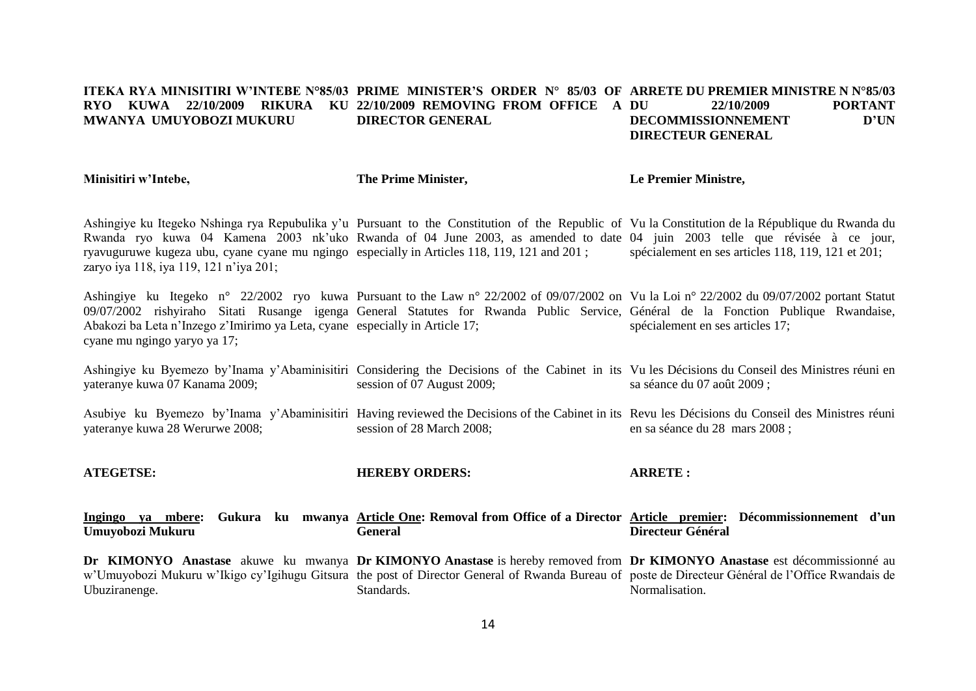#### **ITEKA RYA MINISITIRI W'INTEBE N°85/03 PRIME MINISTER'S ORDER N° 85/03 OF ARRETE DU PREMIER MINISTRE N N°85/03 RYO KUWA 22/10/2009 RIKURA KU 22/10/2009 REMOVING FROM OFFICE A MWANYA UMUYOBOZI MUKURU DIRECTOR GENERAL DU 22/10/2009 PORTANT DECOMMISSIONNEMENT D'UN DIRECTEUR GENERAL**

**Minisitiri w'Intebe,**

**The Prime Minister,**

**Le Premier Ministre,**

Ashingiye ku Itegeko Nshinga rya Repubulika y'u Pursuant to the Constitution of the Republic of Vu la Constitution de la République du Rwanda du Rwanda ryo kuwa 04 Kamena 2003 nk'uko Rwanda of 04 June 2003, as amended to date 04 juin 2003 telle que révisée à ce jour, ryavuguruwe kugeza ubu, cyane cyane mu ngingo especially in Articles 118, 119, 121 and 201 ; zaryo iya 118, iya 119, 121 n'iya 201; spécialement en ses articles 118, 119, 121 et 201;

Ashingiye ku Itegeko n° 22/2002 ryo kuwa Pursuant to the Law n° 22/2002 of 09/07/2002 on Vu la Loi n° 22/2002 du 09/07/2002 portant Statut 09/07/2002 rishyiraho Sitati Rusange igenga General Statutes for Rwanda Public Service, Général de la Fonction Publique Rwandaise, Abakozi ba Leta n'Inzego z'Imirimo ya Leta, cyane especially in Article 17; cyane mu ngingo yaryo ya 17; spécialement en ses articles 17;

Ashingiye ku Byemezo by'Inama y'Abaminisitiri Considering the Decisions of the Cabinet in its Vu les Décisions du Conseil des Ministres réuni en yateranye kuwa 07 Kanama 2009; session of 07 August 2009; sa séance du 07 août 2009 ;

Asubiye ku Byemezo by'Inama y'Abaminisitiri Having reviewed the Decisions of the Cabinet in its Revu les Décisions du Conseil des Ministres réuni yateranye kuwa 28 Werurwe 2008; session of 28 March 2008; en sa séance du 28 mars 2008 ;

**ATEGETSE: HEREBY ORDERS: ARRETE :**

**Ingingo ya mbere: Umuyobozi Mukuru Article One: Removal from Office of a Director Article premier: Décommissionnement d'un General Directeur Général**

Dr KIMONYO Anastase akuwe ku mwanya Dr KIMONYO Anastase is hereby removed from Dr KIMONYO Anastase est décommissionné au w'Umuyobozi Mukuru w'Ikigo cy'Igihugu Gitsura the post of Director General of Rwanda Bureau of poste de Directeur Général de l'Office Rwandais de Ubuziranenge. Standards. Normalisation.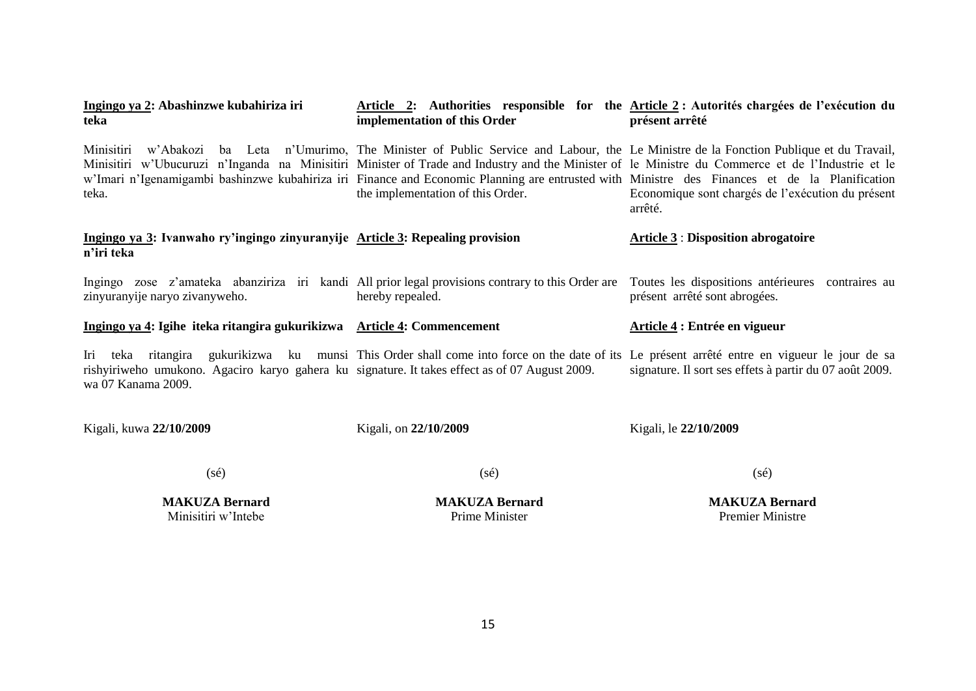| Ingingo ya 2: Abashinzwe kubahiriza iri<br>teka                                                                                            | implementation of this Order                                                                                                                                                                                                                                                                                                                                                                                                                                              | Article 2: Authorities responsible for the Article 2 : Autorités chargées de l'exécution du<br>présent arrêté |  |  |
|--------------------------------------------------------------------------------------------------------------------------------------------|---------------------------------------------------------------------------------------------------------------------------------------------------------------------------------------------------------------------------------------------------------------------------------------------------------------------------------------------------------------------------------------------------------------------------------------------------------------------------|---------------------------------------------------------------------------------------------------------------|--|--|
| Minisitiri<br>teka.                                                                                                                        | w'Abakozi ba Leta n'Umurimo, The Minister of Public Service and Labour, the Le Ministre de la Fonction Publique et du Travail,<br>Minisitiri w'Ubucuruzi n'Inganda na Minisitiri Minister of Trade and Industry and the Minister of le Ministre du Commerce et de l'Industrie et le<br>w'Imari n'Igenamigambi bashinzwe kubahiriza iri Finance and Economic Planning are entrusted with Ministre des Finances et de la Planification<br>the implementation of this Order. | Economique sont chargés de l'exécution du présent<br>arrêté.                                                  |  |  |
| Ingingo ya 3: Ivanwaho ry'ingingo zinyuranyije Article 3: Repealing provision<br>n'iri teka                                                |                                                                                                                                                                                                                                                                                                                                                                                                                                                                           | <b>Article 3 : Disposition abrogatoire</b>                                                                    |  |  |
| Ingingo zose z'amateka abanziriza iri kandi All prior legal provisions contrary to this Order are<br>zinyuranyije naryo zivanyweho.        | hereby repealed.                                                                                                                                                                                                                                                                                                                                                                                                                                                          | Toutes les dispositions antérieures contraires au<br>présent arrêté sont abrogées.                            |  |  |
| Ingingo ya 4: Igihe iteka ritangira gukurikizwa Article 4: Commencement                                                                    |                                                                                                                                                                                                                                                                                                                                                                                                                                                                           | Article 4 : Entrée en vigueur                                                                                 |  |  |
| Iri teka ritangira<br>rishyiriweho umukono. Agaciro karyo gahera ku signature. It takes effect as of 07 August 2009.<br>wa 07 Kanama 2009. | gukurikizwa ku munsi This Order shall come into force on the date of its Le présent arrêté entre en vigueur le jour de sa                                                                                                                                                                                                                                                                                                                                                 | signature. Il sort ses effets à partir du 07 août 2009.                                                       |  |  |
| Kigali, kuwa 22/10/2009                                                                                                                    | Kigali, on 22/10/2009                                                                                                                                                                                                                                                                                                                                                                                                                                                     | Kigali, le 22/10/2009                                                                                         |  |  |
| $(s\acute{e})$                                                                                                                             | $(s\acute{e})$                                                                                                                                                                                                                                                                                                                                                                                                                                                            | $(s\acute{e})$                                                                                                |  |  |

**MAKUZA Bernard** Minisitiri w'Intebe

**MAKUZA Bernard** Prime Minister

**MAKUZA Bernard** Premier Ministre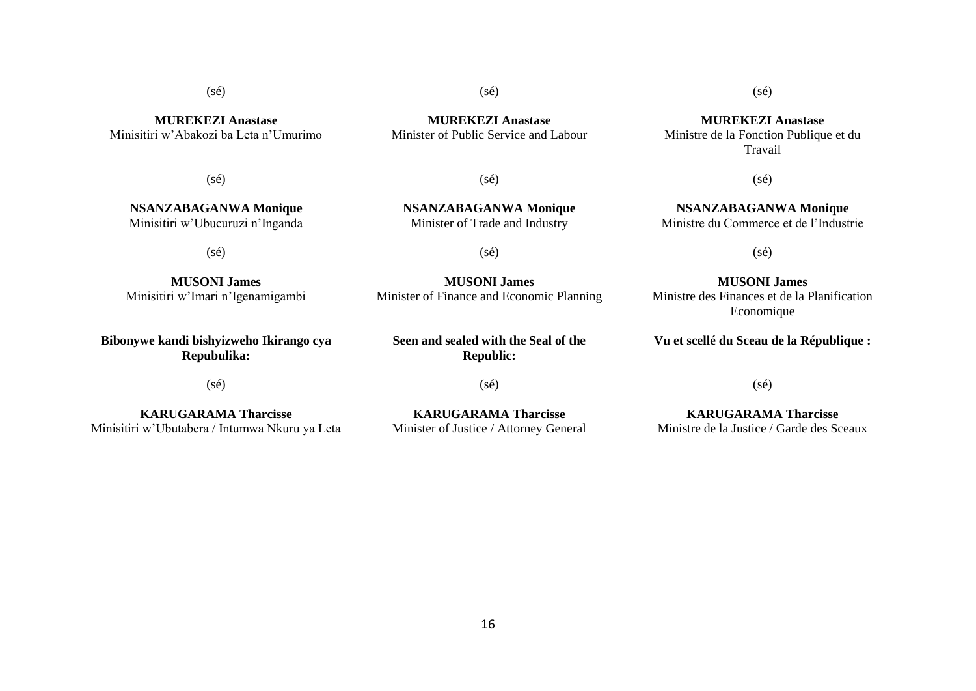16

# (sé)

**MUREKEZI Anastase** Minisitiri w'Abakozi ba Leta n'Umurimo

 $(s\acute{e})$ 

**NSANZABAGANWA Monique** Minisitiri w'Ubucuruzi n'Inganda

(sé)

**MUSONI James** Minisitiri w'Imari n'Igenamigambi

**Bibonywe kandi bishyizweho Ikirango cya Repubulika:**

(sé)

**KARUGARAMA Tharcisse** Minisitiri w'Ubutabera / Intumwa Nkuru ya Leta

**MUREKEZI Anastase** Minister of Public Service and Labour

 $(sé)$ 

**NSANZABAGANWA Monique** Minister of Trade and Industry

(sé)

**MUSONI James** Minister of Finance and Economic Planning

**Seen and sealed with the Seal of the Republic:**

(sé)

**KARUGARAMA Tharcisse** Minister of Justice / Attorney General

**MUREKEZI Anastase** Ministre de la Fonction Publique et du Travail

(sé)

**NSANZABAGANWA Monique** Ministre du Commerce et de l'Industrie

(sé)

**MUSONI James** Ministre des Finances et de la Planification Economique

**Vu et scellé du Sceau de la République :**

(sé)

**KARUGARAMA Tharcisse** Ministre de la Justice / Garde des Sceaux

(sé)

(sé)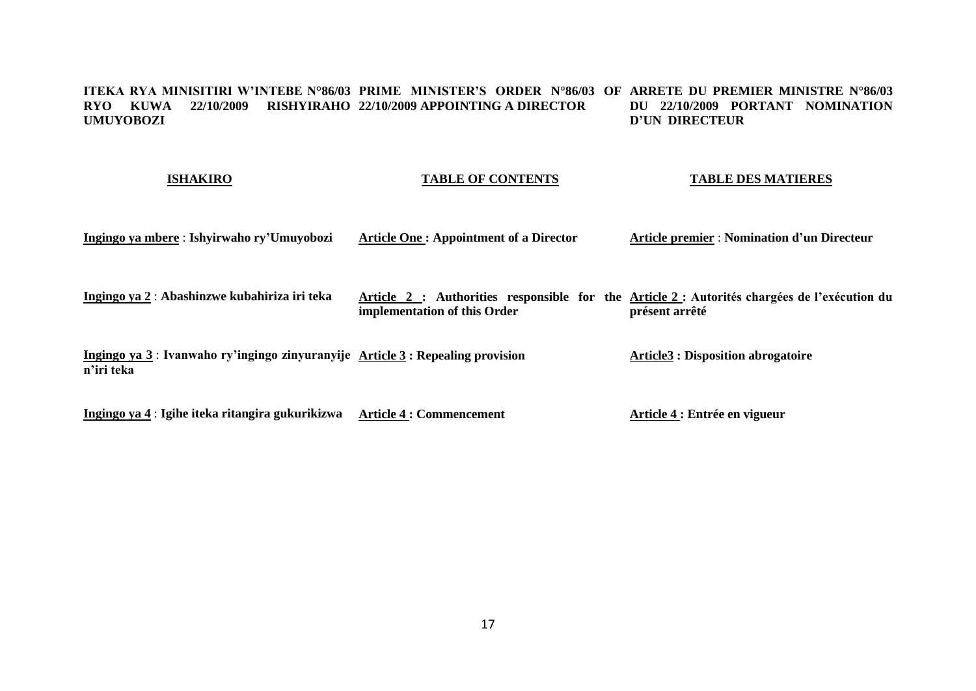#### **ITEKA RYA MINISITIRI W'INTEBE N°86/03 PRIME MINISTER'S ORDER N°86/03 OF ARRETE DU PREMIER MINISTRE N°86/03 RYO KUWA 22/10/2009 RISHYIRAHO 22/10/2009 APPOINTING A DIRECTOR UMUYOBOZI DU 22/10/2009 PORTANT NOMINATION D'UN DIRECTEUR**

# **ISHAKIRO**

# **TABLE OF CONTENTS**

# **TABLE DES MATIERES**

| Ingingo ya mbere : Ishyirwaho ry'Umuyobozi                                                    | <b>Article One: Appointment of a Director</b> | <b>Article premier : Nomination d'un Directeur</b>                                                             |
|-----------------------------------------------------------------------------------------------|-----------------------------------------------|----------------------------------------------------------------------------------------------------------------|
| Ingingo ya 2 : Abashinzwe kubahiriza iri teka                                                 | implementation of this Order                  | Article 2 : Authorities responsible for the Article 2 : Autorités chargées de l'exécution du<br>présent arrêté |
| Ingingo ya 3 : Ivanwaho ry'ingingo zinyuranyije Article 3 : Repealing provision<br>n'iri teka |                                               | <b>Article3 : Disposition abrogatoire</b>                                                                      |
|                                                                                               |                                               |                                                                                                                |

**Ingingo ya 4** : **Igihe iteka ritangira gukurikizwa Article 4 : Commencement Article 4 : Entrée en vigueur**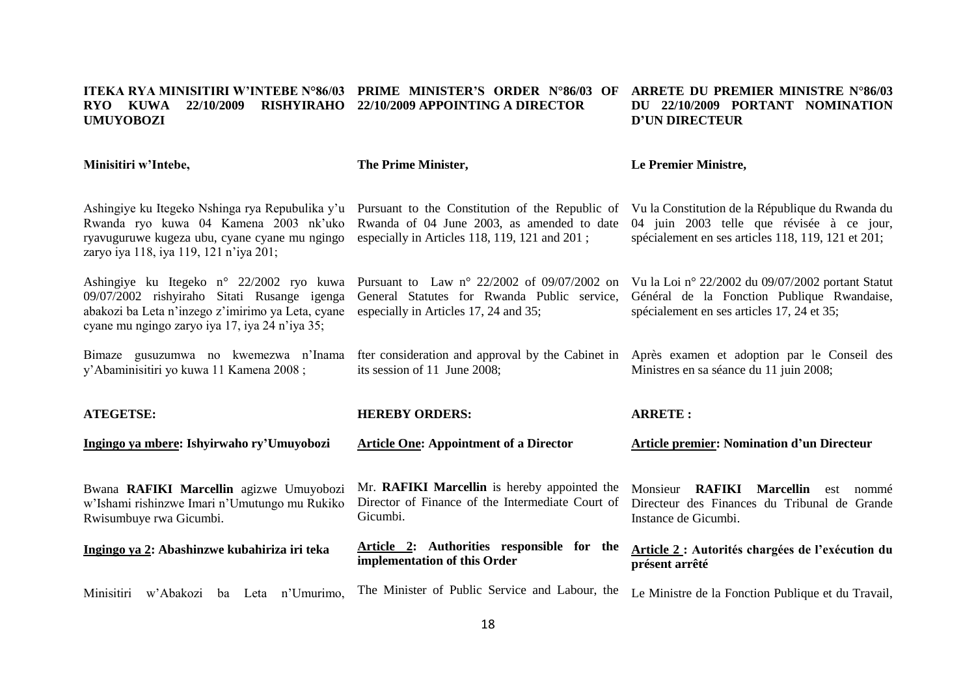#### **ITEKA RYA MINISITIRI W'INTEBE N°86/03 PRIME MINISTER'S ORDER N°86/03 OF ARRETE DU PREMIER MINISTRE N°86/03 RYO KUWA 22/10/2009 RISHYIRAHO 22/10/2009 APPOINTING A DIRECTOR UMUYOBOZI DU 22/10/2009 PORTANT NOMINATION D'UN DIRECTEUR**

| Minisitiri w'Intebe,                                                                                                                                                                           | The Prime Minister,                                                                                                                            | Le Premier Ministre,                                                                                                                                |  |  |  |
|------------------------------------------------------------------------------------------------------------------------------------------------------------------------------------------------|------------------------------------------------------------------------------------------------------------------------------------------------|-----------------------------------------------------------------------------------------------------------------------------------------------------|--|--|--|
| Ashingiye ku Itegeko Nshinga rya Repubulika y'u<br>Rwanda ryo kuwa 04 Kamena 2003 nk'uko<br>ryavuguruwe kugeza ubu, cyane cyane mu ngingo<br>zaryo iya 118, iya 119, 121 n'iya 201;            | Pursuant to the Constitution of the Republic of<br>Rwanda of 04 June 2003, as amended to date<br>especially in Articles 118, 119, 121 and 201; | Vu la Constitution de la République du Rwanda du<br>04 juin 2003 telle que révisée à ce jour,<br>spécialement en ses articles 118, 119, 121 et 201; |  |  |  |
| Ashingiye ku Itegeko n° 22/2002 ryo kuwa<br>09/07/2002 rishyiraho Sitati Rusange igenga<br>abakozi ba Leta n'inzego z'imirimo ya Leta, cyane<br>cyane mu ngingo zaryo iya 17, iya 24 n'iya 35; | Pursuant to Law $n^{\circ}$ 22/2002 of 09/07/2002 on<br>General Statutes for Rwanda Public service,<br>especially in Articles 17, 24 and 35;   | Vu la Loi nº 22/2002 du 09/07/2002 portant Statut<br>Général de la Fonction Publique Rwandaise,<br>spécialement en ses articles 17, 24 et 35;       |  |  |  |
| Bimaze gusuzumwa no kwemezwa n'Inama<br>y'Abaminisitiri yo kuwa 11 Kamena 2008;                                                                                                                | fter consideration and approval by the Cabinet in Après examen et adoption par le Conseil des<br>its session of 11 June 2008;                  | Ministres en sa séance du 11 juin 2008;                                                                                                             |  |  |  |
| <b>ATEGETSE:</b>                                                                                                                                                                               | <b>HEREBY ORDERS:</b>                                                                                                                          | <b>ARRETE:</b>                                                                                                                                      |  |  |  |
| Ingingo ya mbere: Ishyirwaho ry'Umuyobozi                                                                                                                                                      | <b>Article One: Appointment of a Director</b>                                                                                                  | <b>Article premier: Nomination d'un Directeur</b>                                                                                                   |  |  |  |
| Bwana RAFIKI Marcellin agizwe Umuyobozi<br>w'Ishami rishinzwe Imari n'Umutungo mu Rukiko<br>Rwisumbuye rwa Gicumbi.                                                                            | Mr. RAFIKI Marcellin is hereby appointed the<br>Director of Finance of the Intermediate Court of<br>Gicumbi.                                   | <b>RAFIKI</b><br><b>Marcellin</b><br>Monsieur<br>nommé<br>est<br>Directeur des Finances du Tribunal de Grande<br>Instance de Gicumbi.               |  |  |  |
| Ingingo ya 2: Abashinzwe kubahiriza iri teka                                                                                                                                                   | Article 2: Authorities responsible for the<br>implementation of this Order                                                                     | Article 2 : Autorités chargées de l'exécution du<br>présent arrêté                                                                                  |  |  |  |
| Minisitiri w'Abakozi<br>ba Leta n'Umurimo,                                                                                                                                                     | The Minister of Public Service and Labour, the                                                                                                 | Le Ministre de la Fonction Publique et du Travail,                                                                                                  |  |  |  |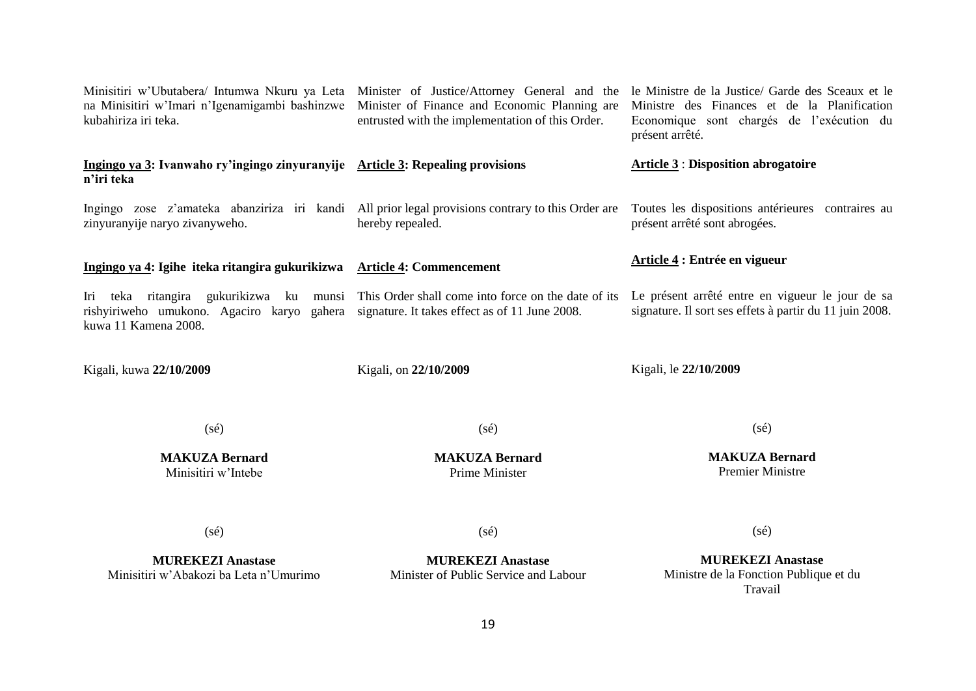| Minisitiri w'Ubutabera/ Intumwa Nkuru ya Leta Minister of Justice/Attorney General and the<br>na Minisitiri w'Imari n'Igenamigambi bashinzwe Minister of Finance and Economic Planning are<br>kubahiriza iri teka. | entrusted with the implementation of this Order.                  | le Ministre de la Justice/ Garde des Sceaux et le<br>Ministre des Finances et de la Planification<br>Economique sont chargés de l'exécution du<br>présent arrêté. |  |  |  |
|--------------------------------------------------------------------------------------------------------------------------------------------------------------------------------------------------------------------|-------------------------------------------------------------------|-------------------------------------------------------------------------------------------------------------------------------------------------------------------|--|--|--|
| Ingingo ya 3: Ivanwaho ry'ingingo zinyuranyije Article 3: Repealing provisions<br>n'iri teka                                                                                                                       |                                                                   | <b>Article 3: Disposition abrogatoire</b>                                                                                                                         |  |  |  |
| Ingingo zose z'amateka abanziriza iri kandi All prior legal provisions contrary to this Order are<br>zinyuranyije naryo zivanyweho.                                                                                | hereby repealed.                                                  | Toutes les dispositions antérieures contraires au<br>présent arrêté sont abrogées.                                                                                |  |  |  |
| Ingingo ya 4: Igihe iteka ritangira gukurikizwa Article 4: Commencement                                                                                                                                            |                                                                   | Article 4 : Entrée en vigueur                                                                                                                                     |  |  |  |
| Iri teka ritangira gukurikizwa ku munsi This Order shall come into force on the date of its<br>rishyiriweho umukono. Agaciro karyo gahera signature. It takes effect as of 11 June 2008.<br>kuwa 11 Kamena 2008.   |                                                                   | Le présent arrêté entre en vigueur le jour de sa<br>signature. Il sort ses effets à partir du 11 juin 2008.                                                       |  |  |  |
| Kigali, kuwa 22/10/2009                                                                                                                                                                                            | Kigali, on 22/10/2009                                             | Kigali, le 22/10/2009                                                                                                                                             |  |  |  |
| $(s\acute{e})$                                                                                                                                                                                                     | $(s\acute{e})$                                                    | $(s\acute{e})$                                                                                                                                                    |  |  |  |
| <b>MAKUZA Bernard</b><br>Minisitiri w'Intebe                                                                                                                                                                       | <b>MAKUZA Bernard</b><br>Prime Minister                           | <b>MAKUZA Bernard</b><br><b>Premier Ministre</b>                                                                                                                  |  |  |  |
| $(s\acute{e})$                                                                                                                                                                                                     | $(s\acute{e})$                                                    | $(s\acute{e})$                                                                                                                                                    |  |  |  |
| <b>MUREKEZI Anastase</b><br>Minisitiri w'Abakozi ba Leta n'Umurimo                                                                                                                                                 | <b>MUREKEZI Anastase</b><br>Minister of Public Service and Labour | <b>MUREKEZI Anastase</b><br>Ministre de la Fonction Publique et du<br>Travail                                                                                     |  |  |  |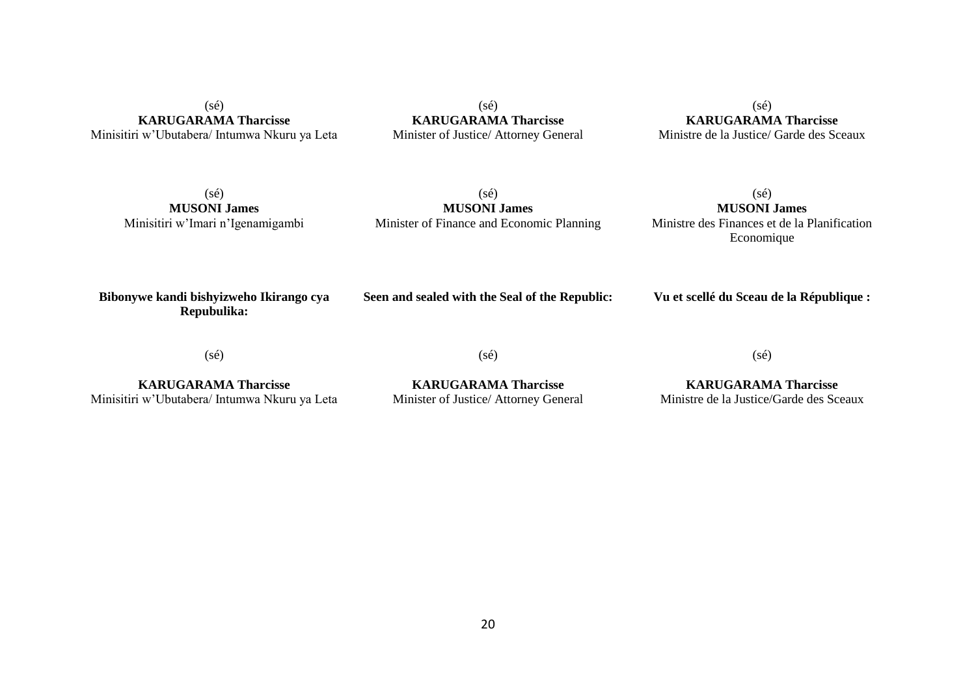(sé) **KARUGARAMA Tharcisse** Minisitiri w'Ubutabera/ Intumwa Nkuru ya Leta

(sé) **KARUGARAMA Tharcisse** Minister of Justice/ Attorney General

(sé) **KARUGARAMA Tharcisse** Ministre de la Justice/ Garde des Sceaux

(sé) **MUSONI James** Minisitiri w'Imari n'Igenamigambi

(sé) **MUSONI James** Minister of Finance and Economic Planning

(sé) **MUSONI James** Ministre des Finances et de la Planification Economique

**Bibonywe kandi bishyizweho Ikirango cya Repubulika:**

**Seen and sealed with the Seal of the Republic:**

**Vu et scellé du Sceau de la République :**

(sé)

**KARUGARAMA Tharcisse** Minisitiri w'Ubutabera/ Intumwa Nkuru ya Leta

**KARUGARAMA Tharcisse** Minister of Justice/ Attorney General

(sé)

**KARUGARAMA Tharcisse** Ministre de la Justice/Garde des Sceaux

(sé)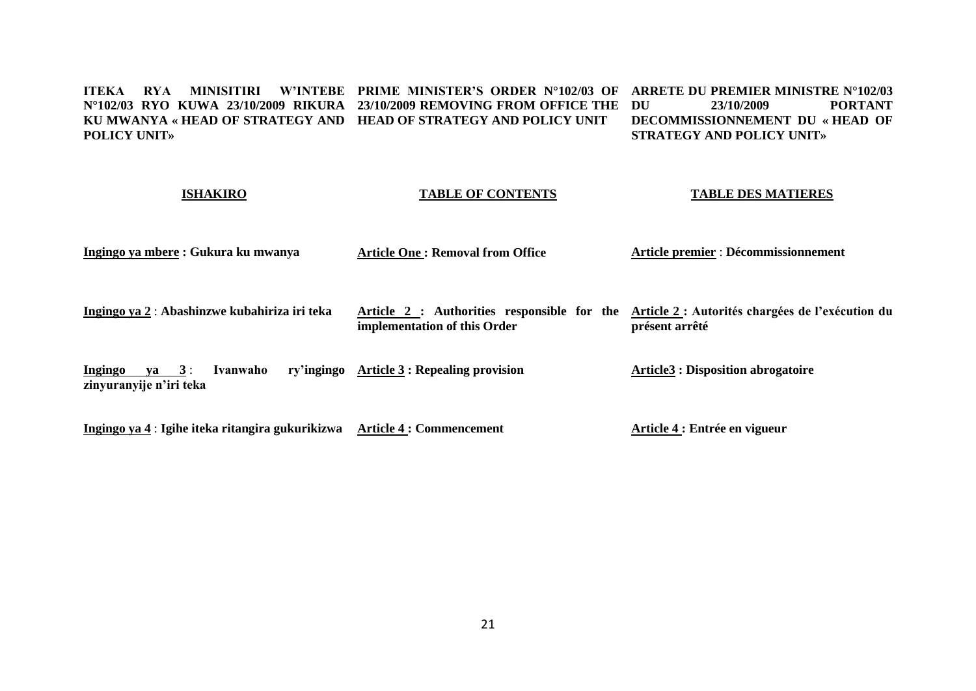#### **ITEKA RYA MINISITIRI W'INTEBE PRIME MINISTER'S ORDER N°102/03 OF ARRETE DU PREMIER MINISTRE N°102/03 N°102/03 RYO KUWA 23/10/2009 RIKURA 23/10/2009 REMOVING FROM OFFICE THE KU MWANYA « HEAD OF STRATEGY AND HEAD OF STRATEGY AND POLICY UNIT POLICY UNIT» DU 23/10/2009 PORTANT DECOMMISSIONNEMENT DU « HEAD OF STRATEGY AND POLICY UNIT»**

| <b>ISHAKIRO</b>                                                           | <b>TABLE OF CONTENTS</b>                   | <b>TABLE DES MATIERES</b>                                                                                      |  |  |
|---------------------------------------------------------------------------|--------------------------------------------|----------------------------------------------------------------------------------------------------------------|--|--|
| Ingingo ya mbere : Gukura ku mwanya                                       | <b>Article One: Removal from Office</b>    | Article premier : Décommissionnement                                                                           |  |  |
| Ingingo ya 2 : Abashinzwe kubahiriza iri teka                             | implementation of this Order               | Article 2 : Authorities responsible for the Article 2 : Autorités chargées de l'exécution du<br>présent arrêté |  |  |
| Ingingo<br>$va = 3:$<br>Ivanwaho<br>zinyuranyije n'iri teka               | ry'ingingo Article 3 : Repealing provision | <b>Article3 : Disposition abrogatoire</b>                                                                      |  |  |
| Ingingo ya 4 : Igihe iteka ritangira gukurikizwa Article 4 : Commencement |                                            | Article 4 : Entrée en vigueur                                                                                  |  |  |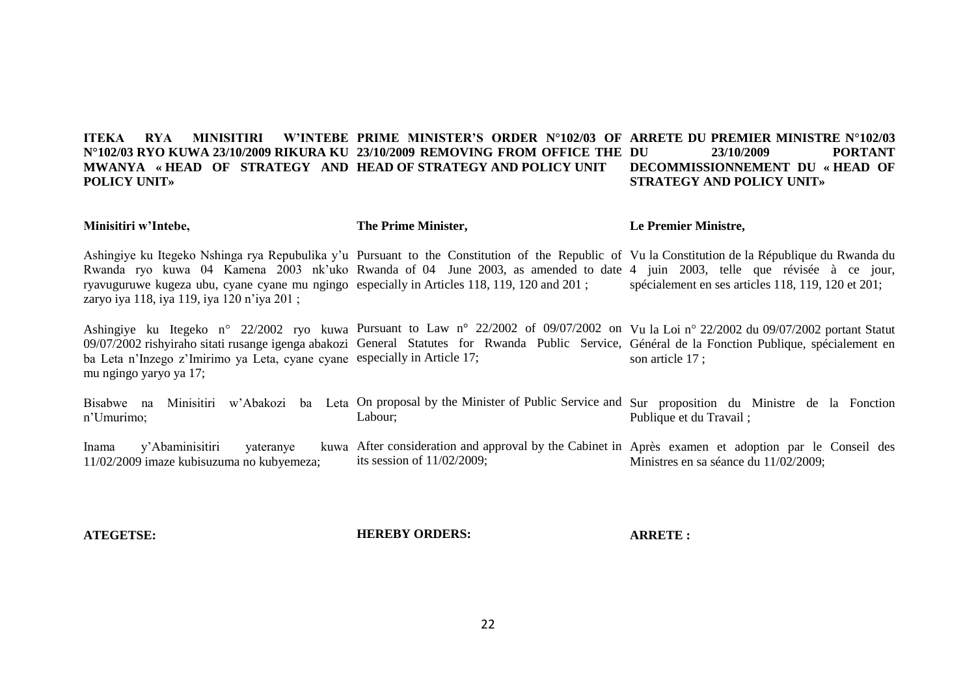#### **ITEKA RYA MINISITIRI W'INTEBE PRIME MINISTER'S ORDER N°102/03 OF ARRETE DU PREMIER MINISTRE N°102/03 N°102/03 RYO KUWA 23/10/2009 RIKURA KU 23/10/2009 REMOVING FROM OFFICE THE MWANYA « HEAD OF STRATEGY AND HEAD OF STRATEGY AND POLICY UNIT POLICY UNIT»**  23/10/2009 **PORTANT DECOMMISSIONNEMENT DU « HEAD OF STRATEGY AND POLICY UNIT»**

## **Minisitiri w'Intebe,**

**The Prime Minister,**

**Le Premier Ministre,**

Ashingiye ku Itegeko Nshinga rya Repubulika y'u Pursuant to the Constitution of the Republic of Vu la Constitution de la République du Rwanda du Rwanda ryo kuwa 04 Kamena 2003 nk'uko Rwanda of 04 June 2003, as amended to date 4 juin 2003, telle que révisée à ce jour, ryavuguruwe kugeza ubu, cyane cyane mu ngingo especially in Articles 118, 119, 120 and 201 ; zaryo iya 118, iya 119, iya 120 n'iya 201 ; spécialement en ses articles 118, 119, 120 et 201;

Ashingiye ku Itegeko n° 22/2002 ryo kuwa Pursuant to Law n° 22/2002 of 09/07/2002 on Vu la Loi n° 22/2002 du 09/07/2002 portant Statut 09/07/2002 rishyiraho sitati rusange igenga abakozi General Statutes for Rwanda Public Service, Général de la Fonction Publique, spécialement en ba Leta n'Inzego z'Imirimo ya Leta, cyane cyane especially in Article 17; mu ngingo yaryo ya 17; son article 17 ;

Bisabwe na Minisitiri w'Abakozi ba Leta On-proposal-by-the-Minister-of-Public-Service-and-Sur-proposition du Ministre de la Fonction n'Umurimo; Labour; Publique et du Travail ;

Inama y'Abaminisitiri vateranye 11/02/2009 imaze kubisuzuma no kubyemeza; After consideration and approval by the Cabinet in Après examen et adoption par le Conseil des its session of 11/02/2009; Ministres en sa séance du 11/02/2009;

**ATEGETSE:**

**HEREBY ORDERS:**

**ARRETE :**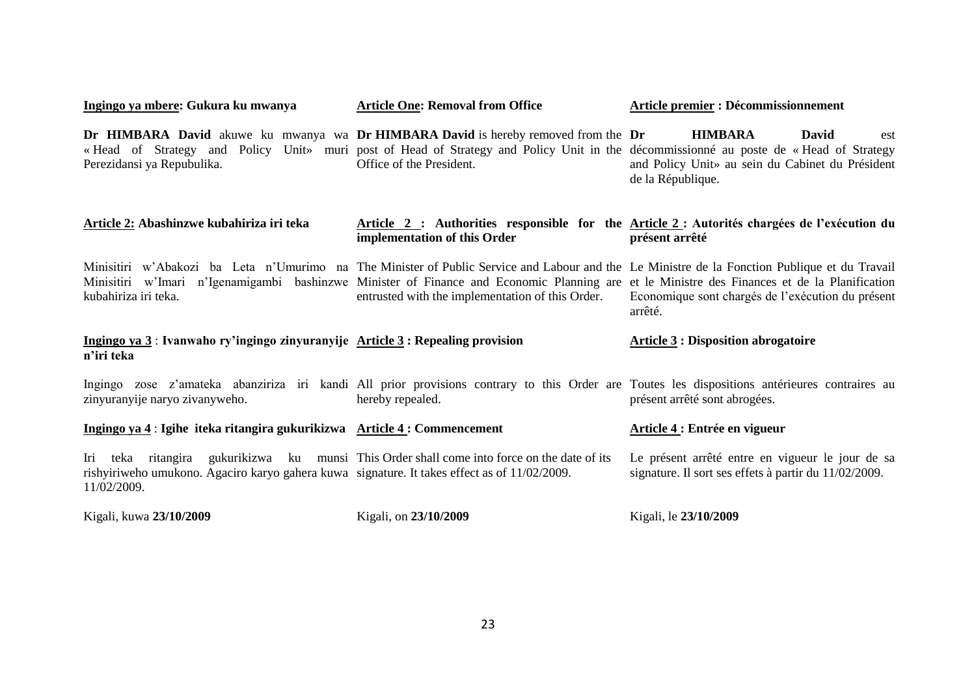| Ingingo ya mbere: Gukura ku mwanya                                                                                                                                                                            | <b>Article One: Removal from Office</b>                                                                                                                                                                                                                                                                                                           | <b>Article premier : Décommissionnement</b>                                                                                                                                                                                                     |  |  |  |
|---------------------------------------------------------------------------------------------------------------------------------------------------------------------------------------------------------------|---------------------------------------------------------------------------------------------------------------------------------------------------------------------------------------------------------------------------------------------------------------------------------------------------------------------------------------------------|-------------------------------------------------------------------------------------------------------------------------------------------------------------------------------------------------------------------------------------------------|--|--|--|
| Perezidansi ya Repubulika.                                                                                                                                                                                    | Dr HIMBARA David akuwe ku mwanya wa Dr HIMBARA David is hereby removed from the Dr<br>Office of the President.                                                                                                                                                                                                                                    | <b>HIMBARA</b><br>David<br>est<br>«Head of Strategy and Policy Unit» muri post of Head of Strategy and Policy Unit in the décommissionné au poste de «Head of Strategy<br>and Policy Unit» au sein du Cabinet du Président<br>de la République. |  |  |  |
| Article 2: Abashinzwe kubahiriza iri teka                                                                                                                                                                     | implementation of this Order                                                                                                                                                                                                                                                                                                                      | Article 2 : Authorities responsible for the Article 2 : Autorités chargées de l'exécution du<br>présent arrêté                                                                                                                                  |  |  |  |
| kubahiriza iri teka.                                                                                                                                                                                          | Minisitiri w'Abakozi ba Leta n'Umurimo na The Minister of Public Service and Labour and the Le Ministre de la Fonction Publique et du Travail<br>Minisitiri w'Imari n'Igenamigambi bashinzwe Minister of Finance and Economic Planning are et le Ministre des Finances et de la Planification<br>entrusted with the implementation of this Order. | Economique sont chargés de l'exécution du présent<br>arrêté.                                                                                                                                                                                    |  |  |  |
| Ingingo ya 3: Ivanwaho ry'ingingo zinyuranyije Article 3: Repealing provision<br>n'iri teka                                                                                                                   |                                                                                                                                                                                                                                                                                                                                                   | <b>Article 3 : Disposition abrogatoire</b>                                                                                                                                                                                                      |  |  |  |
| zinyuranyije naryo zivanyweho.                                                                                                                                                                                | Ingingo zose z'amateka abanziriza iri kandi All prior provisions contrary to this Order are Toutes les dispositions antérieures contraires au<br>hereby repealed.                                                                                                                                                                                 | présent arrêté sont abrogées.                                                                                                                                                                                                                   |  |  |  |
| Ingingo ya 4 : Igihe iteka ritangira gukurikizwa Article 4 : Commencement                                                                                                                                     |                                                                                                                                                                                                                                                                                                                                                   | Article 4 : Entrée en vigueur                                                                                                                                                                                                                   |  |  |  |
| Iri teka ritangira gukurikizwa ku munsi This Order shall come into force on the date of its<br>rishyiriweho umukono. Agaciro karyo gahera kuwa signature. It takes effect as of $11/02/2009$ .<br>11/02/2009. |                                                                                                                                                                                                                                                                                                                                                   | Le présent arrêté entre en vigueur le jour de sa<br>signature. Il sort ses effets à partir du 11/02/2009.                                                                                                                                       |  |  |  |
| Kigali, kuwa 23/10/2009                                                                                                                                                                                       | Kigali, on 23/10/2009                                                                                                                                                                                                                                                                                                                             | Kigali, le 23/10/2009                                                                                                                                                                                                                           |  |  |  |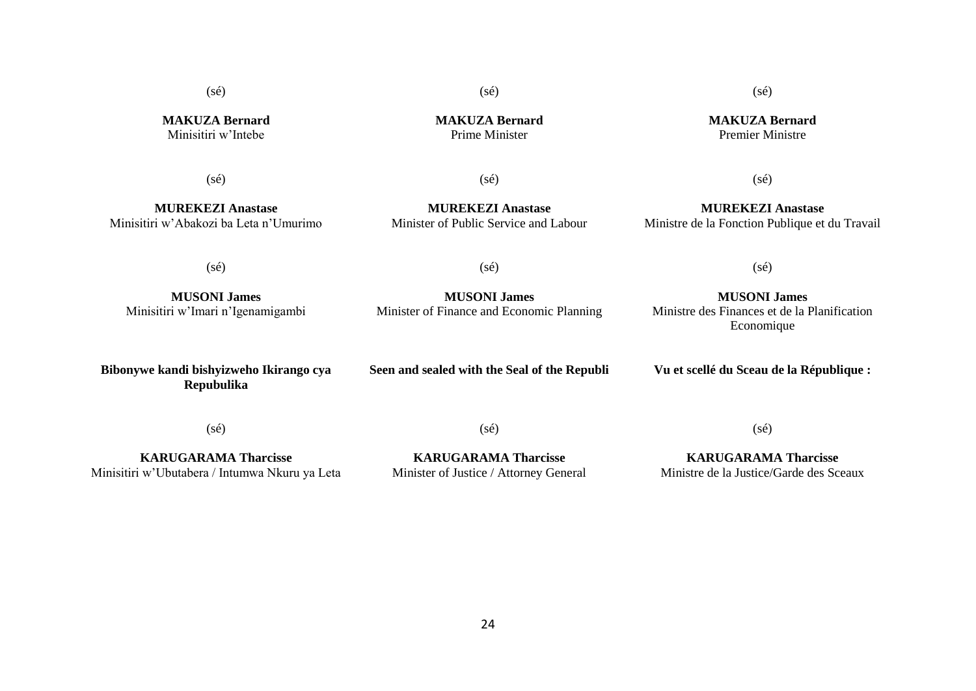$(sé)$ 

(sé)

 $(s\acute{e})$ 

**MAKUZA Bernard** Premier Ministre

**MAKUZA Bernard** Minisitiri w'Intebe

**MAKUZA Bernard** Prime Minister

# (sé)

**MUREKEZI Anastase** Minisitiri w'Abakozi ba Leta n'Umurimo

(sé)

**MUREKEZI Anastase** Minister of Public Service and Labour

 $(sé)$ 

**MUREKEZI Anastase** Ministre de la Fonction Publique et du Travail

(sé)

(sé)

(sé)

**MUSONI James** Minisitiri w'Imari n'Igenamigambi

**MUSONI James** Minister of Finance and Economic Planning

**MUSONI James** Ministre des Finances et de la Planification Economique

**Bibonywe kandi bishyizweho Ikirango cya Repubulika**

**Seen and sealed with the Seal of the Republi**

**Vu et scellé du Sceau de la République :**

(sé)

(sé)

**KARUGARAMA Tharcisse** Minisitiri w'Ubutabera / Intumwa Nkuru ya Leta

**KARUGARAMA Tharcisse** Minister of Justice / Attorney General

**KARUGARAMA Tharcisse** Ministre de la Justice/Garde des Sceaux

 $(sé)$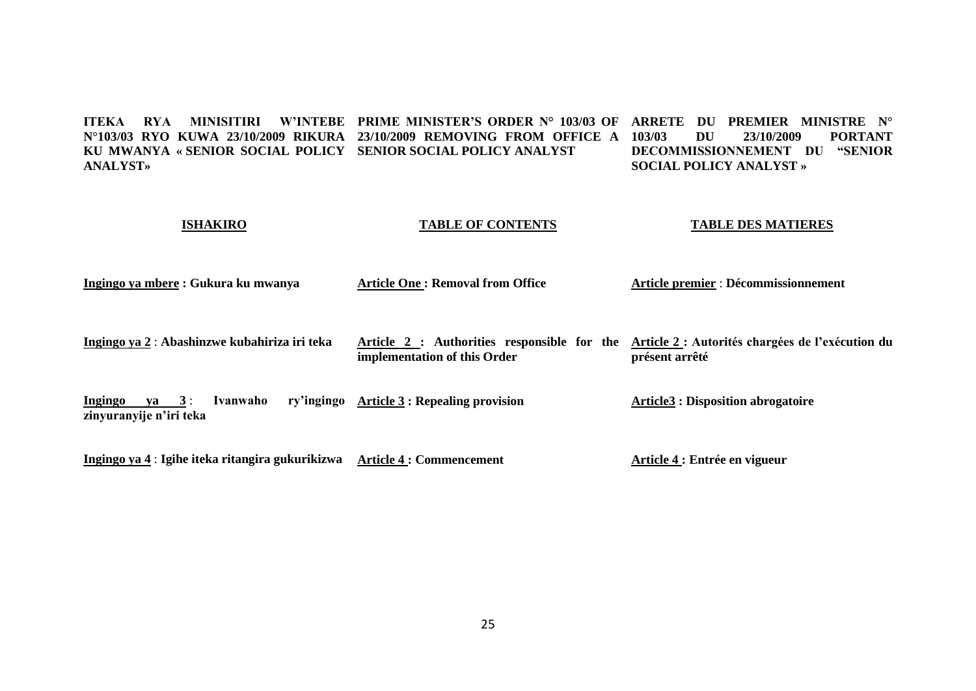**ITEKA RYA MINISITIRI W'INTEBE PRIME MINISTER'S ORDER N° 103/03 OF ARRETE DU PREMIER MINISTRE N° N°103/03 RYO KUWA 23/10/2009 RIKURA 23/10/2009 REMOVING FROM OFFICE A KU MWANYA « SENIOR SOCIAL POLICY SENIOR SOCIAL POLICY ANALYST ANALYST» 103/03 DU 23/10/2009 PORTANT DECOMMISSIONNEMENT DU "SENIOR SOCIAL POLICY ANALYST »**

| <b>ISHAKIRO</b>                                                 | <b>TABLE OF CONTENTS</b>                                                    | <b>TABLE DES MATIERES</b><br>Article premier : Décommissionnement  |  |  |
|-----------------------------------------------------------------|-----------------------------------------------------------------------------|--------------------------------------------------------------------|--|--|
| Ingingo ya mbere : Gukura ku mwanya                             | <b>Article One: Removal from Office</b>                                     |                                                                    |  |  |
| Ingingo ya 2 : Abashinzwe kubahiriza iri teka                   | Article 2 : Authorities responsible for the<br>implementation of this Order | Article 2 : Autorités chargées de l'exécution du<br>présent arrêté |  |  |
| Ingingo<br>$ya \quad 3:$<br>Ivanwaho<br>zinyuranyije n'iri teka | ry'ingingo Article 3 : Repealing provision                                  | <b>Article3 : Disposition abrogatoire</b>                          |  |  |
| Ingingo ya 4 : Igihe iteka ritangira gukurikizwa                | <b>Article 4 : Commencement</b>                                             | Article 4 : Entrée en vigueur                                      |  |  |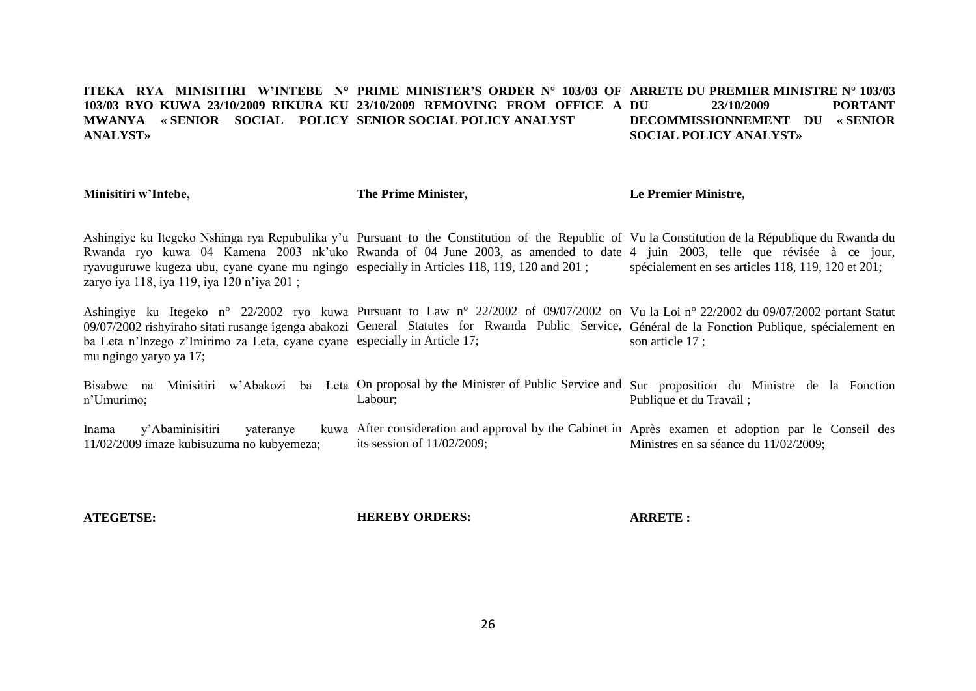#### **ITEKA RYA MINISITIRI W'INTEBE N° PRIME MINISTER'S ORDER N° 103/03 OF ARRETE DU PREMIER MINISTRE N° 103/03 103/03 RYO KUWA 23/10/2009 RIKURA KU 23/10/2009 REMOVING FROM OFFICE A MWANYA « SENIOR SOCIAL POLICY SENIOR SOCIAL POLICY ANALYST ANALYST»** 23/10/2009 **PORTANT DECOMMISSIONNEMENT DU « SENIOR SOCIAL POLICY ANALYST»**

**Minisitiri w'Intebe,**

**The Prime Minister,**

**Le Premier Ministre,**

Ashingiye ku Itegeko Nshinga rya Repubulika y'u Pursuant to the Constitution of the Republic of Vu la Constitution de la République du Rwanda du Rwanda ryo kuwa 04 Kamena 2003 nk'uko Rwanda of 04 June 2003, as amended to date 4 juin 2003, telle que révisée à ce jour, ryavuguruwe kugeza ubu, cyane cyane mu ngingo especially in Articles 118, 119, 120 and 201 ; zaryo iya 118, iya 119, iya 120 n'iya 201 ; spécialement en ses articles 118, 119, 120 et 201;

Ashingiye ku Itegeko n° 22/2002 ryo kuwa Pursuant to Law n° 22/2002 of 09/07/2002 on Vu la Loi n° 22/2002 du 09/07/2002 portant Statut 09/07/2002 rishyiraho sitati rusange igenga abakozi General Statutes for Rwanda Public Service, Général de la Fonction Publique, spécialement en ba Leta n'Inzego z'Imirimo za Leta, cyane cyane especially in Article 17; mu ngingo yaryo ya 17; son article 17 ;

Bisabwe na Minisitiri w'Abakozi ba Leta On-proposal-by-the-Minister-of-Public-Service-and-Sur-proposition du Ministre de la Fonction n'Umurimo; Labour; Publique et du Travail ;

Inama v'Abaminisitiri vateranye 11/02/2009 imaze kubisuzuma no kubyemeza; After consideration and approval by the Cabinet in Après examen et adoption par le Conseil des its session of 11/02/2009; Ministres en sa séance du 11/02/2009;

**ATEGETSE:**

**HEREBY ORDERS:**

**ARRETE :**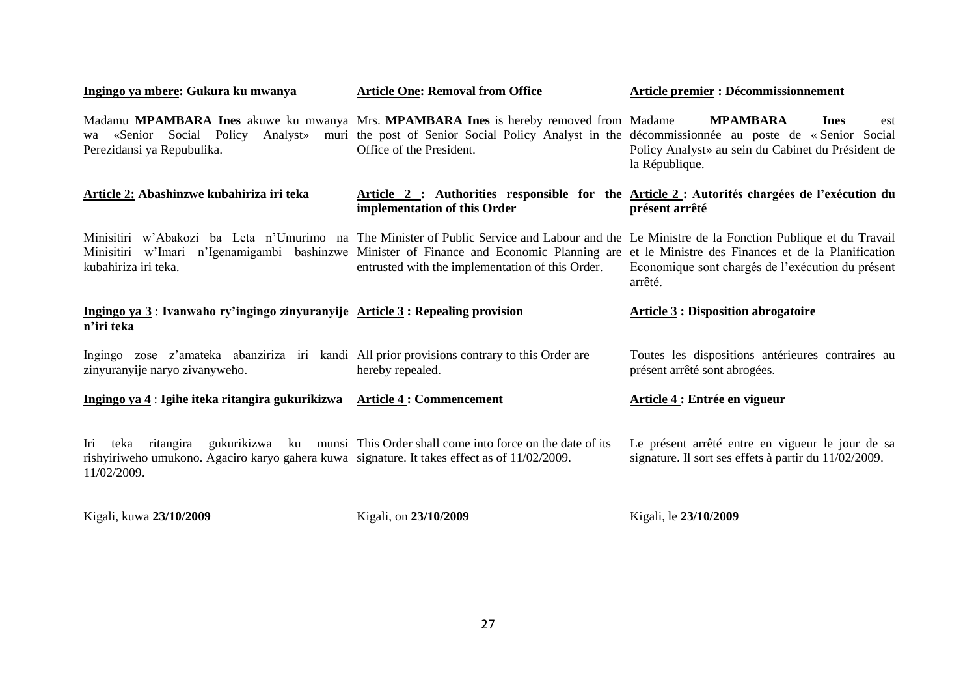| Ingingo ya mbere: Gukura ku mwanya                                                                                            | <b>Article One: Removal from Office</b>                                                                                                                                                                                                                                                                                                           | <b>Article premier : Décommissionnement</b>                                                                    |  |  |  |
|-------------------------------------------------------------------------------------------------------------------------------|---------------------------------------------------------------------------------------------------------------------------------------------------------------------------------------------------------------------------------------------------------------------------------------------------------------------------------------------------|----------------------------------------------------------------------------------------------------------------|--|--|--|
| Perezidansi ya Repubulika.                                                                                                    | Madamu MPAMBARA Ines akuwe ku mwanya Mrs. MPAMBARA Ines is hereby removed from Madame<br>wa «Senior Social Policy Analyst» muri the post of Senior Social Policy Analyst in the décommissionnée au poste de «Senior Social<br>Office of the President.                                                                                            | <b>MPAMBARA</b><br><b>Ines</b><br>est<br>Policy Analyst» au sein du Cabinet du Président de<br>la République.  |  |  |  |
| Article 2: Abashinzwe kubahiriza iri teka                                                                                     | implementation of this Order                                                                                                                                                                                                                                                                                                                      | Article 2 : Authorities responsible for the Article 2 : Autorités chargées de l'exécution du<br>présent arrêté |  |  |  |
| kubahiriza iri teka.                                                                                                          | Minisitiri w'Abakozi ba Leta n'Umurimo na The Minister of Public Service and Labour and the Le Ministre de la Fonction Publique et du Travail<br>Minisitiri w'Imari n'Igenamigambi bashinzwe Minister of Finance and Economic Planning are et le Ministre des Finances et de la Planification<br>entrusted with the implementation of this Order. | Economique sont chargés de l'exécution du présent<br>arrêté.                                                   |  |  |  |
| Ingingo ya $3$ : Ivanwaho ry'ingingo zinyuranyije Article $3$ : Repealing provision<br>n'iri teka                             |                                                                                                                                                                                                                                                                                                                                                   | <b>Article 3 : Disposition abrogatoire</b>                                                                     |  |  |  |
|                                                                                                                               |                                                                                                                                                                                                                                                                                                                                                   |                                                                                                                |  |  |  |
| Ingingo zose z'amateka abanziriza iri kandi All prior provisions contrary to this Order are<br>zinyuranyije naryo zivanyweho. | hereby repealed.                                                                                                                                                                                                                                                                                                                                  | Toutes les dispositions antérieures contraires au<br>présent arrêté sont abrogées.                             |  |  |  |
| Ingingo ya 4 : Igihe iteka ritangira gukurikizwa Article 4 : Commencement                                                     |                                                                                                                                                                                                                                                                                                                                                   | Article 4 : Entrée en vigueur                                                                                  |  |  |  |

Kigali, kuwa **23/10/2009** 

Kigali, on **23/10/2009**

Kigali, le **23/10/2009**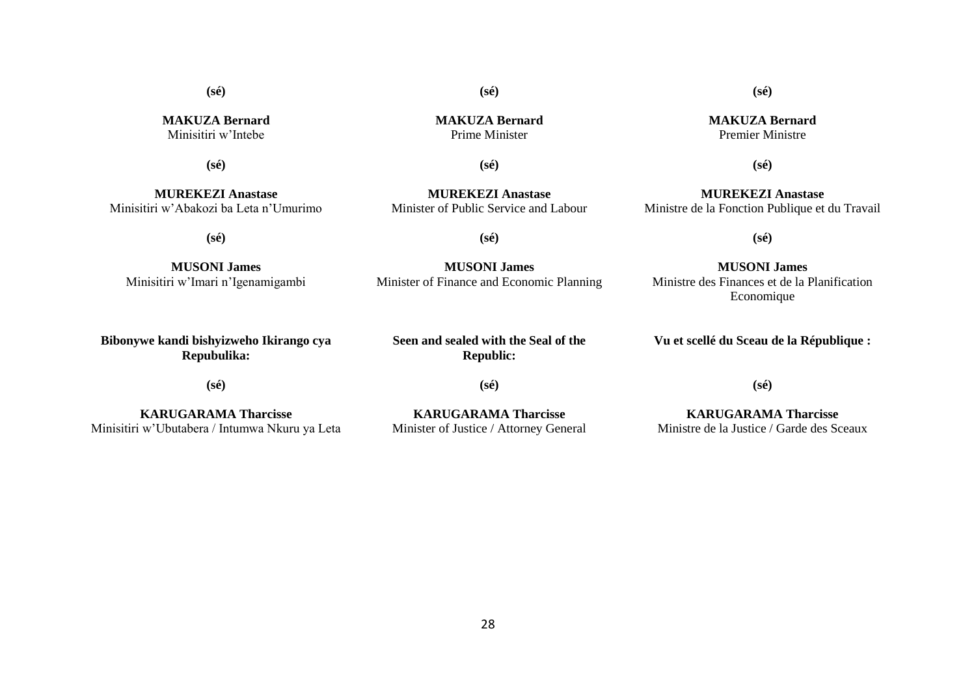**(sé)**

**MAKUZA Bernard** Minisitiri w'Intebe

**(sé)**

**MUREKEZI Anastase** Minisitiri w'Abakozi ba Leta n'Umurimo

**(sé)**

**MUSONI James** Minisitiri w'Imari n'Igenamigambi

**Bibonywe kandi bishyizweho Ikirango cya Repubulika:**

**(sé)**

**KARUGARAMA Tharcisse** Minisitiri w'Ubutabera / Intumwa Nkuru ya Leta **MAKUZA Bernard** Prime Minister

**(sé)**

**(sé)**

**MUREKEZI Anastase** Minister of Public Service and Labour

**(sé)**

**MUSONI James** Minister of Finance and Economic Planning

**Seen and sealed with the Seal of the Republic:**

**(sé)**

**KARUGARAMA Tharcisse** Minister of Justice / Attorney General **MAKUZA Bernard** Premier Ministre

**(sé)**

**(sé)**

**MUREKEZI Anastase** Ministre de la Fonction Publique et du Travail

**(sé)**

**MUSONI James** Ministre des Finances et de la Planification Economique

**Vu et scellé du Sceau de la République :**

**(sé)**

**KARUGARAMA Tharcisse** Ministre de la Justice / Garde des Sceaux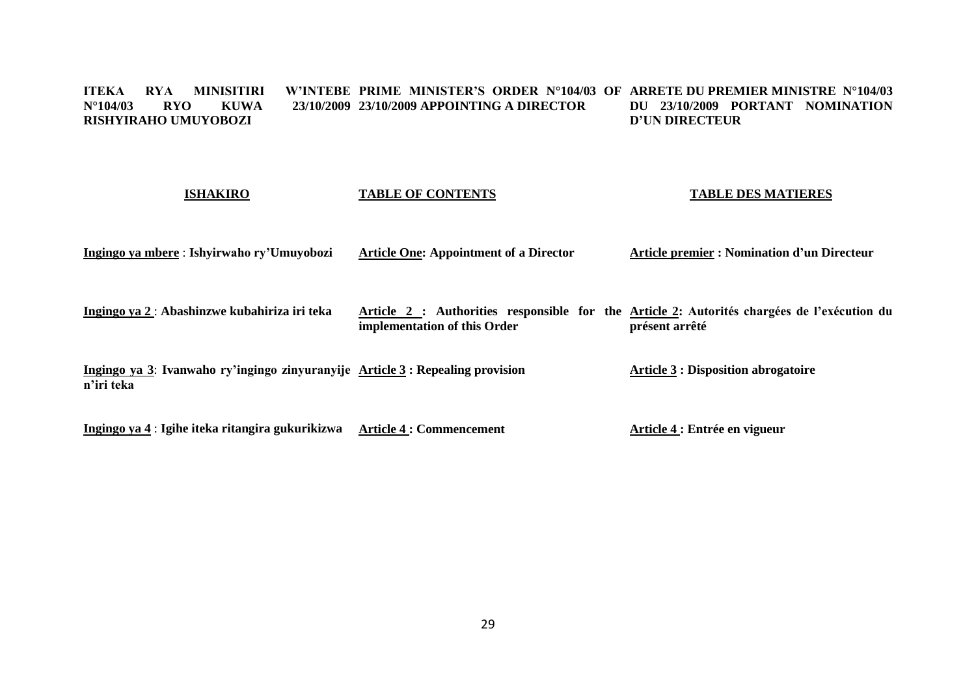#### **ITEKA RYA MINISITIRI W'INTEBE PRIME MINISTER'S ORDER N°104/03 OF ARRETE DU PREMIER MINISTRE N°104/03 N°104/03 RYO KUWA 23/10/2009 23/10/2009 APPOINTING A DIRECTOR RISHYIRAHO UMUYOBOZI DU 23/10/2009 PORTANT NOMINATION D'UN DIRECTEUR**

| <b>ISHAKIRO</b>                                                                              | <b>TABLE OF CONTENTS</b>                      | <b>TABLE DES MATIERES</b>                                                                                     |
|----------------------------------------------------------------------------------------------|-----------------------------------------------|---------------------------------------------------------------------------------------------------------------|
| Ingingo ya mbere : Ishyirwaho ry'Umuyobozi                                                   | <b>Article One: Appointment of a Director</b> | <b>Article premier : Nomination d'un Directeur</b>                                                            |
| Ingingo ya 2 : Abashinzwe kubahiriza iri teka                                                | implementation of this Order                  | Article 2 : Authorities responsible for the Article 2: Autorités chargées de l'exécution du<br>présent arrêté |
| Ingingo ya 3: Ivanwaho ry'ingingo zinyuranyije Article 3 : Repealing provision<br>n'iri teka |                                               | <b>Article 3 : Disposition abrogatoire</b>                                                                    |
| Ingingo ya 4 : Igihe iteka ritangira gukurikizwa                                             | <b>Article 4 : Commencement</b>               | Article 4 : Entrée en vigueur                                                                                 |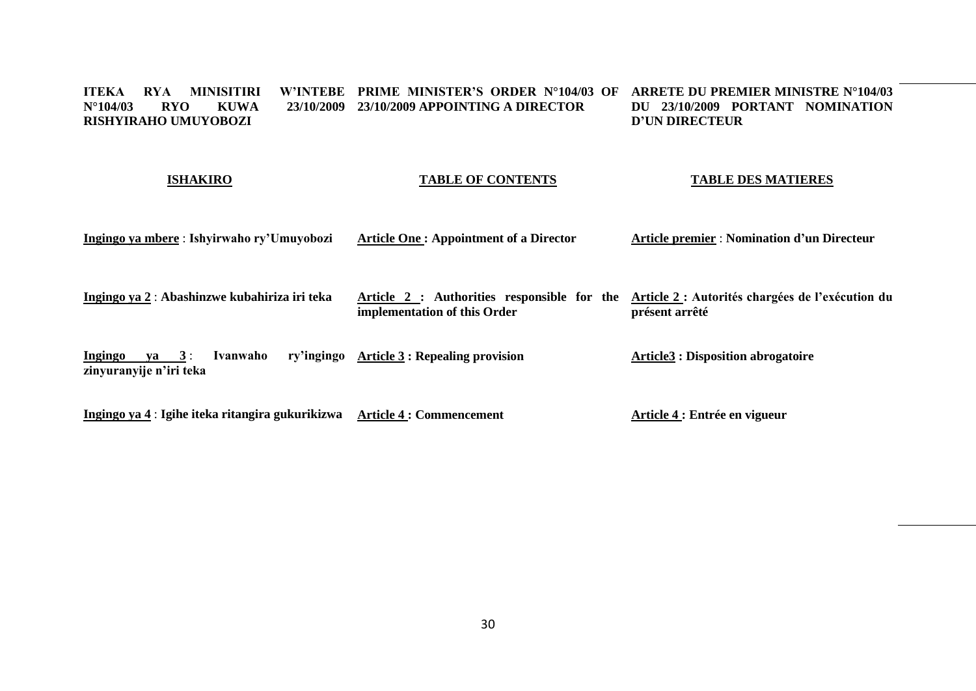#### **ITEKA RYA MINISITIRI W'INTEBE PRIME MINISTER'S ORDER N°104/03 OF ARRETE DU PREMIER MINISTRE N°104/03 N°104/03 RYO KUWA 23/10/2009 23/10/2009 APPOINTING A DIRECTOR RISHYIRAHO UMUYOBOZI DU 23/10/2009 PORTANT NOMINATION D'UN DIRECTEUR**

# **ISHAKIRO**

# **TABLE OF CONTENTS**

# **TABLE DES MATIERES**

| Ingingo ya mbere : Ishyirwaho ry'Umuyobozi                      | <b>Article One: Appointment of a Director</b>                               | <b>Article premier : Nomination d'un Directeur</b>                 |  |  |
|-----------------------------------------------------------------|-----------------------------------------------------------------------------|--------------------------------------------------------------------|--|--|
| Ingingo ya 2 : Abashinzwe kubahiriza iri teka                   | Article 2 : Authorities responsible for the<br>implementation of this Order | Article 2 : Autorités chargées de l'exécution du<br>présent arrêté |  |  |
| Ingingo<br>Ivanwaho<br>$ya \quad 3:$<br>zinyuranyije n'iri teka | ry'ingingo Article 3 : Repealing provision                                  | <b>Article3 : Disposition abrogatoire</b>                          |  |  |

**Ingingo ya 4** : **Igihe iteka ritangira gukurikizwa Article 4 : Commencement Article 4 : Entrée en vigueur**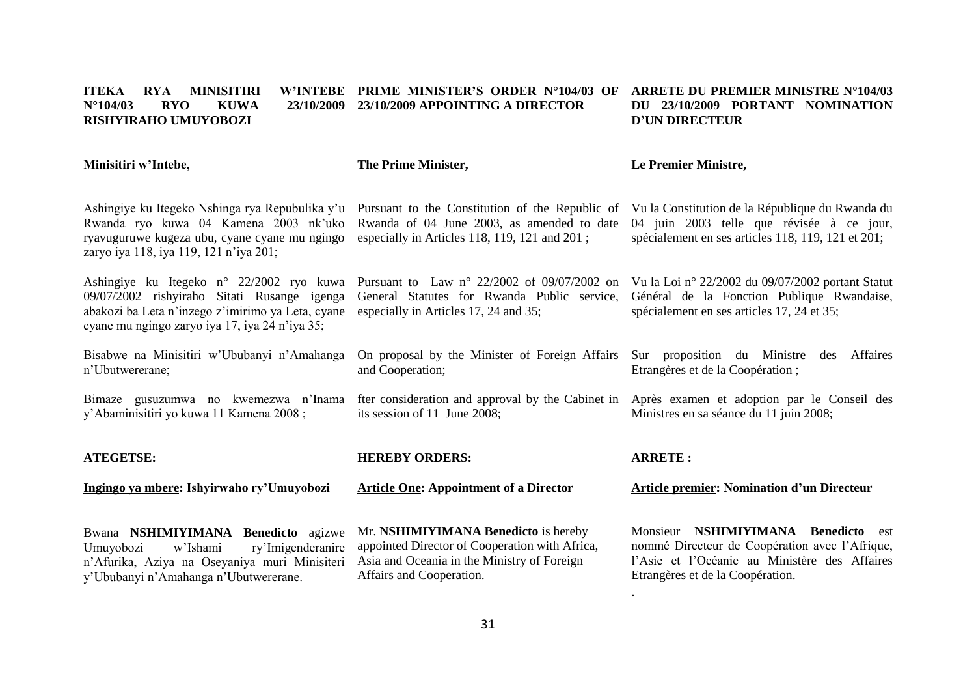#### **ITEKA RYA MINISITIRI N°104/03 RYO KUWA 23/10/2009 23/10/2009 APPOINTING A DIRECTOR RISHYIRAHO UMUYOBOZI PRIME MINISTER'S ORDER N°104/03 OF ARRETE DU PREMIER MINISTRE N°104/03 DU 23/10/2009 PORTANT NOMINATION D'UN DIRECTEUR**

**Minisitiri w'Intebe,**

**The Prime Minister,**

### **Le Premier Ministre,**

Ashingiye ku Itegeko Nshinga rya Repubulika y'u Pursuant to the Constitution of the Republic of Vu la Constitution de la République du Rwanda du Rwanda ryo kuwa 04 Kamena 2003 nk'uko Rwanda of 04 June 2003, as amended to date ryavuguruwe kugeza ubu, cyane cyane mu ngingo especially in Articles 118, 119, 121 and 201 ; zaryo iya 118, iya 119, 121 n'iya 201;

Ashingiye ku Itegeko n° 22/2002 ryo kuwa Pursuant to Law n° 22/2002 of 09/07/2002 on Vu la Loi n° 22/2002 du 09/07/2002 portant Statut 09/07/2002 rishyiraho Sitati Rusange igenga abakozi ba Leta n'inzego z'imirimo ya Leta, cyane especially in Articles 17, 24 and 35; cyane mu ngingo zaryo iya 17, iya 24 n'iya 35;

Bisabwe na Minisitiri w'Ububanyi n'Amahanga n'Ubutwererane;

Bimaze gusuzumwa no kwemezwa n'Inama y'Abaminisitiri yo kuwa 11 Kamena 2008 ;

**ATEGETSE:**

**Ingingo ya mbere: Ishyirwaho ry'Umuyobozi** 

Bwana **NSHIMIYIMANA Benedicto** agizwe Umuyobozi w'Ishami ry'Imigenderanire n'Afurika, Aziya na Oseyaniya muri Minisiteri y'Ububanyi n'Amahanga n'Ubutwererane.

**HEREBY ORDERS:**

its session of 11 June 2008;

and Cooperation;

**Article One: Appointment of a Director** 

On proposal by the Minister of Foreign Affairs

Mr. **NSHIMIYIMANA Benedicto** is hereby appointed Director of Cooperation with Africa, Asia and Oceania in the Ministry of Foreign Affairs and Cooperation.

# **ARRETE :**

General Statutes for Rwanda Public service, Général de la Fonction Publique Rwandaise,

fter consideration and approval by the Cabinet in Après examen et adoption par le Conseil des

.

### **Article premier: Nomination d'un Directeur**

04 juin 2003 telle que révisée à ce jour, spécialement en ses articles 118, 119, 121 et 201;

Sur proposition du Ministre des Affaires

spécialement en ses articles 17, 24 et 35;

Ministres en sa séance du 11 juin 2008;

Etrangères et de la Coopération ;

Monsieur **NSHIMIYIMANA Benedicto** est nommé Directeur de Coopération avec l'Afrique, l'Asie et l'Océanie au Ministère des Affaires Etrangères et de la Coopération.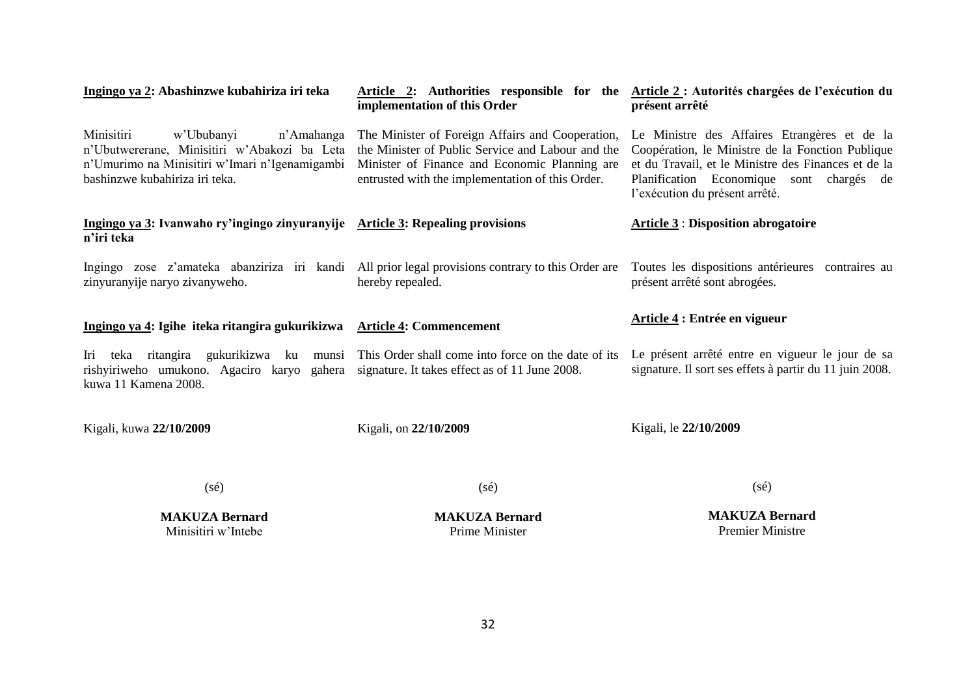| Ingingo ya 2: Abashinzwe kubahiriza iri teka                                                                                                                               | implementation of this Order                                                                                                                                                                               | Article 2: Authorities responsible for the Article 2: Autorités chargées de l'exécution du<br>présent arrêté                                                                                                                          |  |  |  |
|----------------------------------------------------------------------------------------------------------------------------------------------------------------------------|------------------------------------------------------------------------------------------------------------------------------------------------------------------------------------------------------------|---------------------------------------------------------------------------------------------------------------------------------------------------------------------------------------------------------------------------------------|--|--|--|
| Minisitiri<br>w'Ububanyi<br>n'Amahanga<br>n'Ubutwererane, Minisitiri w'Abakozi ba Leta<br>n'Umurimo na Minisitiri w'Imari n'Igenamigambi<br>bashinzwe kubahiriza iri teka. | The Minister of Foreign Affairs and Cooperation,<br>the Minister of Public Service and Labour and the<br>Minister of Finance and Economic Planning are<br>entrusted with the implementation of this Order. | Le Ministre des Affaires Etrangères et de la<br>Coopération, le Ministre de la Fonction Publique<br>et du Travail, et le Ministre des Finances et de la<br>Planification Economique sont chargés de<br>l'exécution du présent arrêté. |  |  |  |
| Ingingo ya 3: Ivanwaho ry'ingingo zinyuranyije Article 3: Repealing provisions<br>n'iri teka                                                                               |                                                                                                                                                                                                            | <b>Article 3: Disposition abrogatoire</b>                                                                                                                                                                                             |  |  |  |
| Ingingo zose z'amateka abanziriza iri kandi All prior legal provisions contrary to this Order are<br>zinyuranyije naryo zivanyweho.                                        | hereby repealed.                                                                                                                                                                                           | Toutes les dispositions antérieures contraires au<br>présent arrêté sont abrogées.                                                                                                                                                    |  |  |  |
| Ingingo ya 4: Igihe iteka ritangira gukurikizwa Article 4: Commencement                                                                                                    |                                                                                                                                                                                                            | Article 4 : Entrée en vigueur                                                                                                                                                                                                         |  |  |  |
| teka ritangira gukurikizwa ku munsi<br>Iri<br>rishyiriweho umukono. Agaciro karyo gahera<br>kuwa 11 Kamena 2008.                                                           | This Order shall come into force on the date of its<br>signature. It takes effect as of 11 June 2008.                                                                                                      | Le présent arrêté entre en vigueur le jour de sa<br>signature. Il sort ses effets à partir du 11 juin 2008.                                                                                                                           |  |  |  |
| Kigali, kuwa 22/10/2009                                                                                                                                                    | Kigali, on 22/10/2009                                                                                                                                                                                      | Kigali, le 22/10/2009                                                                                                                                                                                                                 |  |  |  |
| $(s\acute{e})$                                                                                                                                                             | $(s\acute{e})$                                                                                                                                                                                             | $(s\acute{e})$                                                                                                                                                                                                                        |  |  |  |

**MAKUZA Bernard** Minisitiri w'Intebe

**MAKUZA Bernard** Prime Minister

**MAKUZA Bernard** Premier Ministre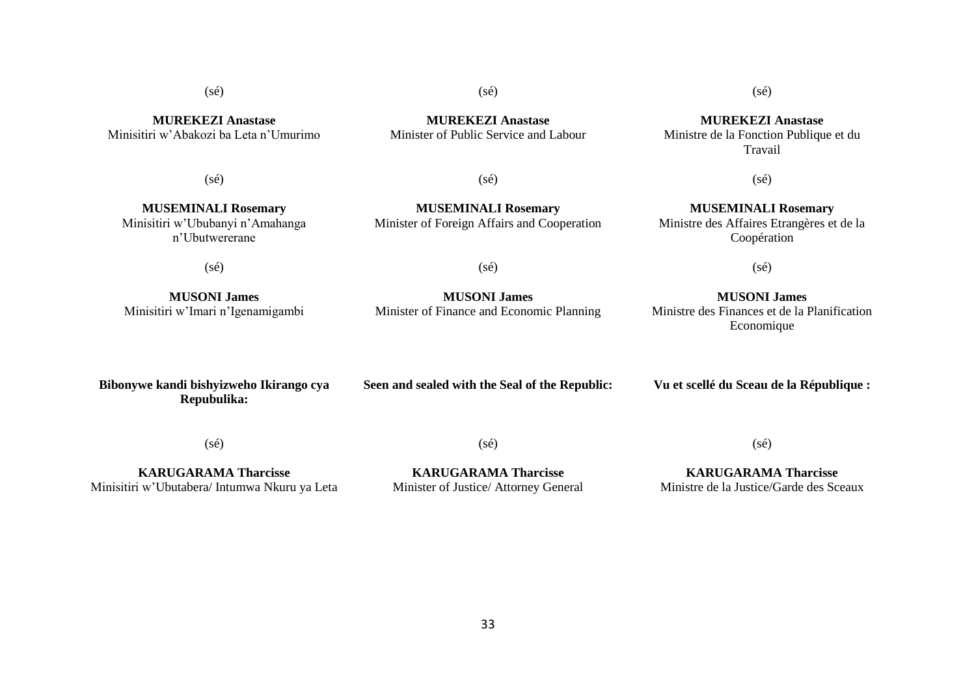**MUREKEZI Anastase** Minisitiri w'Abakozi ba Leta n'Umurimo

**MUREKEZI Anastase** Minister of Public Service and Labour

(sé)

**MUSEMINALI Rosemary** Minisitiri w'Ububanyi n'Amahanga n'Ubutwererane

 $(sé)$ 

**MUSEMINALI Rosemary** Minister of Foreign Affairs and Cooperation

 $(sé)$ 

 $(s\acute{e})$ 

(sé)

**MUSONI James** Minisitiri w'Imari n'Igenamigambi

**Bibonywe kandi bishyizweho Ikirango cya Seen and sealed with the Seal of the Republic:** **Vu et scellé du Sceau de la République :**

 $(sé)$ 

**Repubulika:**

**KARUGARAMA Tharcisse**

Minisitiri w'Ubutabera/ Intumwa Nkuru ya Leta

**KARUGARAMA Tharcisse** Minister of Justice/ Attorney General

 $(sé)$ 

33

**KARUGARAMA Tharcisse** Ministre de la Justice/Garde des Sceaux

 $(sé)$ 

**MUREKEZI Anastase** Ministre de la Fonction Publique et du Travail

 $(sé)$ 

**MUSEMINALI Rosemary** Ministre des Affaires Etrangères et de la Coopération

(sé)

**MUSONI James** Ministre des Finances et de la Planification Economique

**MUSONI James** Minister of Finance and Economic Planning

(sé)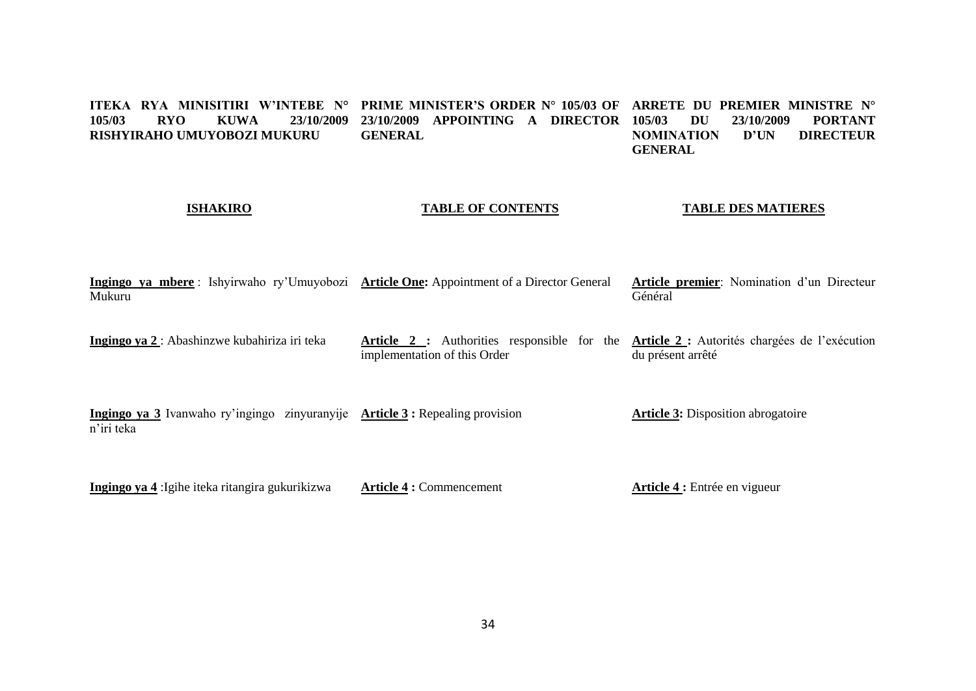#### **ITEKA RYA MINISITIRI W'INTEBE N° PRIME MINISTER'S ORDER N° 105/03 OF ARRETE DU PREMIER MINISTRE N° 105/03 RYO KUWA 23/10/2009 23/10/2009 APPOINTING A DIRECTOR RISHYIRAHO UMUYOBOZI MUKURU GENERAL 105/03/10/2009 PORTANT<br>TION D'UN DIRECTEUR NOMINATION GENERAL**

# **ISHAKIRO**

# **TABLE OF CONTENTS**

### **TABLE DES MATIERES**

|        |  | Ingingo ya mbere: Ishyirwaho ry'Umuyobozi Article One: Appointment of a Director General Article premier: Nomination d'un Directeur |         |  |  |
|--------|--|-------------------------------------------------------------------------------------------------------------------------------------|---------|--|--|
| Mukuru |  |                                                                                                                                     | Général |  |  |

**Ingingo ya 2** : Abashinzwe kubahiriza iri teka **Article 2 :** Authorities responsible for the **Article 2 :** Autorités chargées de l'exécution implementation of this Order du présent arrêté

**Ingingo ya 3** Ivanwaho ry'ingingo zinyuranyije **Article 3 :** Repealing provision n'iri teka **Article 3:** Disposition abrogatoire

**Ingingo ya 4** :Igihe iteka ritangira gukurikizwa **Article 4 :** Commencement **Article 4 :** Entrée en vigueur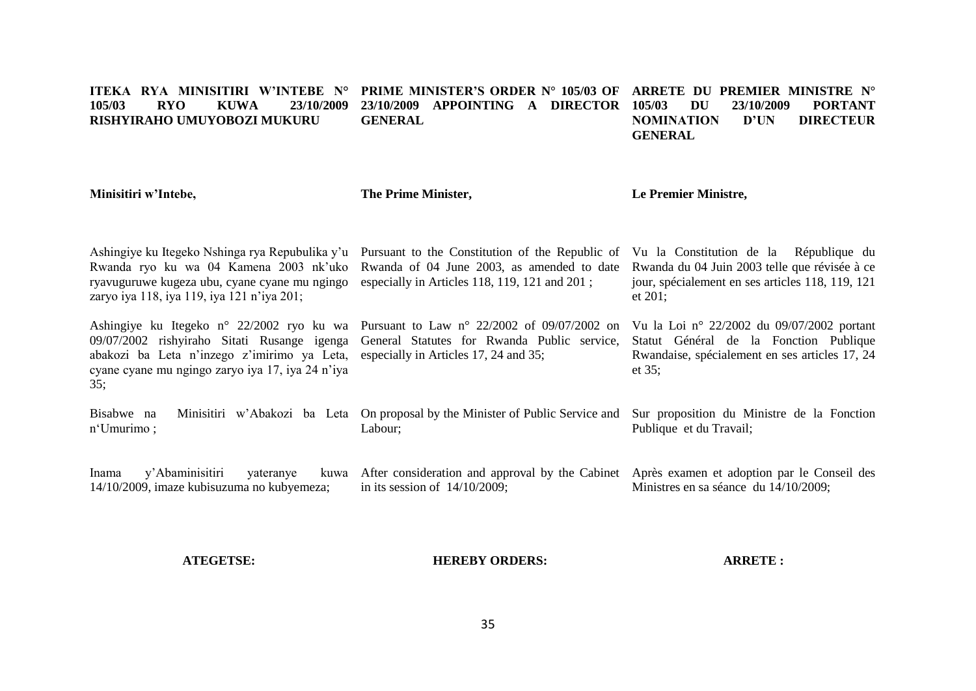#### **ITEKA RYA MINISITIRI W'INTEBE N° PRIME MINISTER'S ORDER N° 105/03 OF ARRETE DU PREMIER MINISTRE N° 105/03 RYO KUWA 23/10/2009 RISHYIRAHO UMUYOBOZI MUKURU 23/10/2009 APPOINTING A DIRECTOR GENERAL 105/03 DU 23/10/2009 PORTANT NOMINATION D'UN DIRECTEUR GENERAL**

**Minisitiri w'Intebe,** Ashingiye ku Itegeko Nshinga rya Repubulika y'u Pursuant to the Constitution of the Republic of Vu la Constitution de la République du Rwanda ryo ku wa 04 Kamena 2003 nk'uko Rwanda of 04 June 2003, as amended to date Rwanda du 04 Juin 2003 telle que révisée à ce ryavuguruwe kugeza ubu, cyane cyane mu ngingo especially in Articles 118, 119, 121 and 201 ; zaryo iya 118, iya 119, iya 121 n'iya 201; Ashingiye ku Itegeko n° 22/2002 ryo ku wa Pursuant to Law n° 22/2002 of 09/07/2002 on Vu la Loi n° 22/2002 du 09/07/2002 portant 09/07/2002 rishyiraho Sitati Rusange igenga General Statutes for Rwanda Public service, Statut Général de la Fonction Publique abakozi ba Leta n'inzego z'imirimo ya Leta, especially in Articles 17, 24 and 35; cyane cyane mu ngingo zaryo iya 17, iya 24 n'iya 35; Bisabwe na Minisitiri w'Abakozi ba Leta On proposal by the Minister of Public Service and Sur proposition du Ministre de la Fonction n'Umurimo ; Inama y'Abaminisitiri yateranye 14/10/2009, imaze kubisuzuma no kubyemeza; **The Prime Minister,** Labour; After consideration and approval by the Cabinet Après examen et adoption par le Conseil des in its session of 14/10/2009; **Le Premier Ministre,** jour, spécialement en ses articles 118, 119, 121 et 201; Rwandaise, spécialement en ses articles 17, 24 et 35; Publique et du Travail; Ministres en sa séance du 14/10/2009;

**ATEGETSE:**

**HEREBY ORDERS:**

**ARRETE :**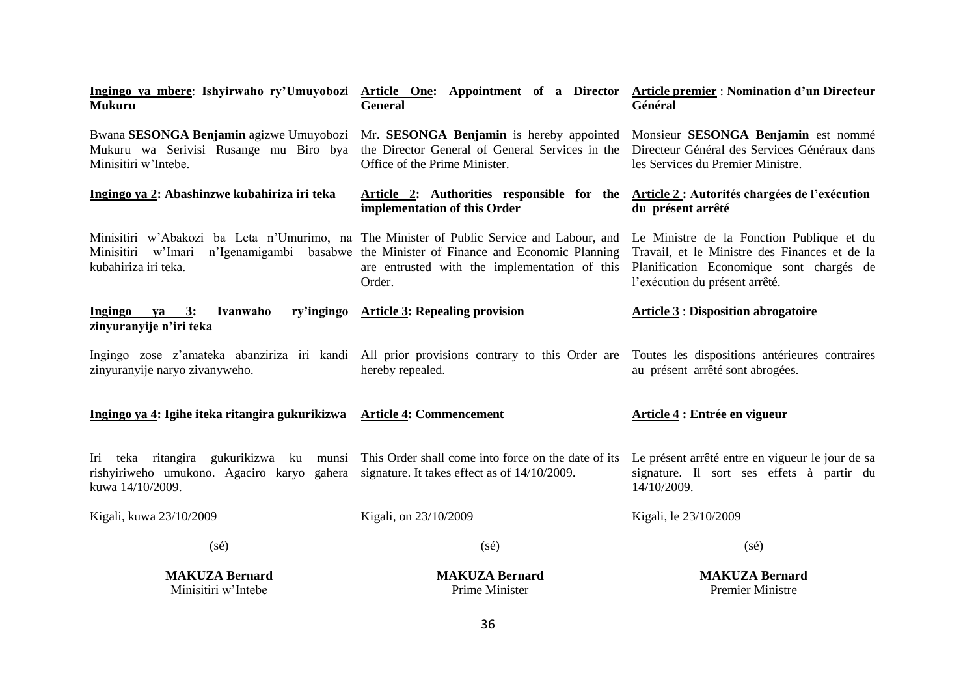| Ingingo ya mbere: Ishyirwaho ry'Umuyobozi<br><b>Mukuru</b>                                                                                                    | Article One: Appointment of a Director Article premier : Nomination d'un Directeur<br><b>General</b>                                                                 | Général                                                                                                                                                                  |
|---------------------------------------------------------------------------------------------------------------------------------------------------------------|----------------------------------------------------------------------------------------------------------------------------------------------------------------------|--------------------------------------------------------------------------------------------------------------------------------------------------------------------------|
| Mukuru wa Serivisi Rusange mu Biro bya<br>Minisitiri w'Intebe.                                                                                                | Bwana SESONGA Benjamin agizwe Umuyobozi Mr. SESONGA Benjamin is hereby appointed<br>the Director General of General Services in the<br>Office of the Prime Minister. | Monsieur SESONGA Benjamin est nommé<br>Directeur Général des Services Généraux dans<br>les Services du Premier Ministre.                                                 |
| Ingingo ya 2: Abashinzwe kubahiriza iri teka                                                                                                                  | Article 2: Authorities responsible for the<br>implementation of this Order                                                                                           | Article 2 : Autorités chargées de l'exécution<br>du présent arrêté                                                                                                       |
| Minisitiri w'Abakozi ba Leta n'Umurimo, na The Minister of Public Service and Labour, and<br>Minisitiri w'Imari<br>kubahiriza iri teka.                       | n'Igenamigambi basabwe the Minister of Finance and Economic Planning<br>are entrusted with the implementation of this<br>Order.                                      | Le Ministre de la Fonction Publique et du<br>Travail, et le Ministre des Finances et de la<br>Planification Economique sont chargés de<br>l'exécution du présent arrêté. |
| Ingingo<br>Ivanwaho<br>ry'ingingo<br>ya 3:<br>zinyuranyije n'iri teka                                                                                         | <b>Article 3: Repealing provision</b>                                                                                                                                | <b>Article 3: Disposition abrogatoire</b>                                                                                                                                |
| zinyuranyije naryo zivanyweho.                                                                                                                                | Ingingo zose z'amateka abanziriza iri kandi All prior provisions contrary to this Order are Toutes les dispositions antérieures contraires<br>hereby repealed.       | au présent arrêté sont abrogées.                                                                                                                                         |
| Ingingo ya 4: Igihe iteka ritangira gukurikizwa                                                                                                               | <b>Article 4: Commencement</b>                                                                                                                                       | Article 4 : Entrée en vigueur                                                                                                                                            |
| Iri teka ritangira gukurikizwa ku munsi This Order shall come into force on the date of its<br>rishyiriweho umukono. Agaciro karyo gahera<br>kuwa 14/10/2009. | signature. It takes effect as of 14/10/2009.                                                                                                                         | Le présent arrêté entre en vigueur le jour de sa<br>signature. Il sort ses effets à partir du<br>14/10/2009.                                                             |
| Kigali, kuwa 23/10/2009                                                                                                                                       | Kigali, on 23/10/2009                                                                                                                                                | Kigali, le 23/10/2009                                                                                                                                                    |
| $(s\acute{e})$                                                                                                                                                | $(s\acute{e})$                                                                                                                                                       | $(s\acute{e})$                                                                                                                                                           |
| <b>MAKUZA Bernard</b><br>Minisitiri w'Intebe                                                                                                                  | <b>MAKUZA Bernard</b><br>Prime Minister                                                                                                                              | <b>MAKUZA Bernard</b><br><b>Premier Ministre</b>                                                                                                                         |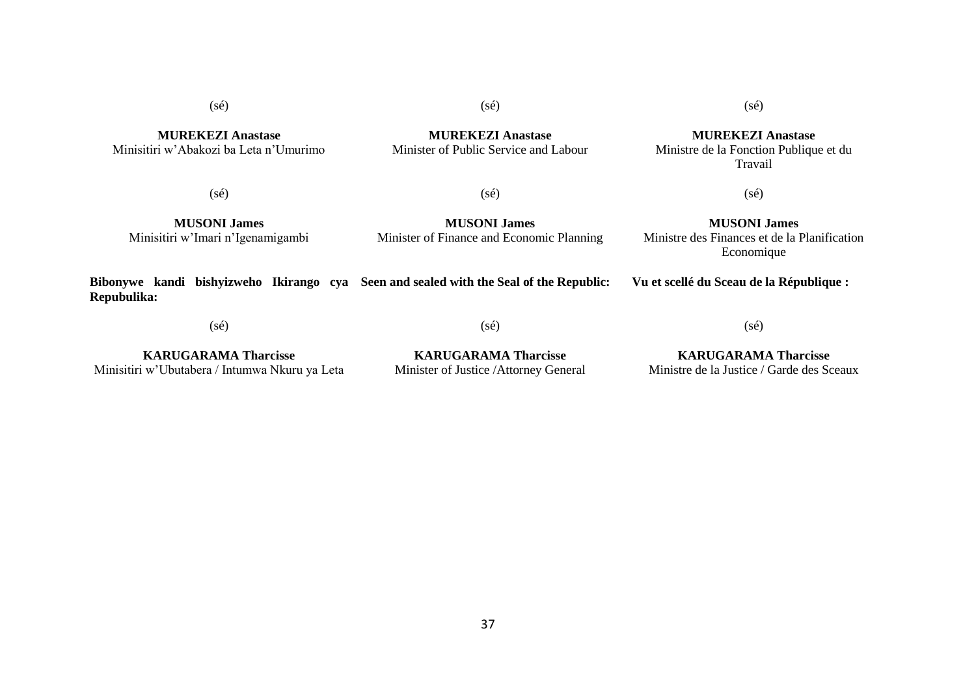(sé)

**MUREKEZI Anastase** Minisitiri w'Abakozi ba Leta n'Umurimo (sé)

**MUREKEZI Anastase**

(sé)

**MUREKEZI Anastase** Ministre de la Fonction Publique et du Travail

 $(s\acute{e})$ 

 $(sé)$ 

Minister of Public Service and Labour

(sé)

**MUSONI James** Minisitiri w'Imari n'Igenamigambi

**MUSONI James** Minister of Finance and Economic Planning

**MUSONI James** Ministre des Finances et de la Planification Economique

**Vu et scellé du Sceau de la République :**

(sé)

**Repubulika:**

**Bibonywe kandi bishyizweho Ikirango cya Seen and sealed with the Seal of the Republic:**

(sé)

**KARUGARAMA Tharcisse** Minisitiri w'Ubutabera / Intumwa Nkuru ya Leta

**KARUGARAMA Tharcisse** Minister of Justice /Attorney General

**KARUGARAMA Tharcisse** Ministre de la Justice / Garde des Sceaux

(sé)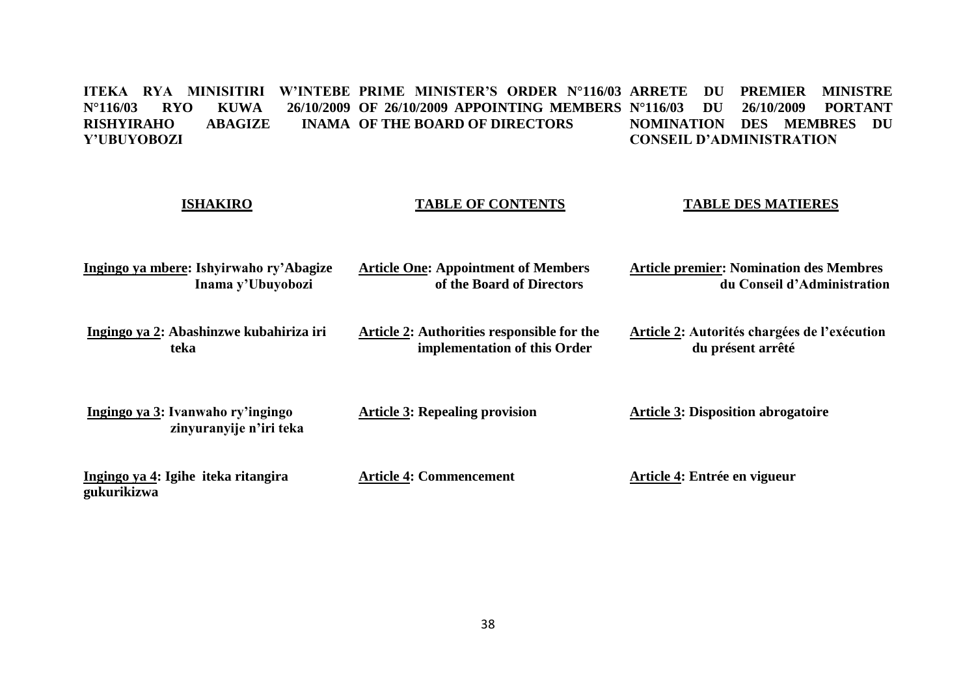### ITEKA RYA MINISITIRI W'INTEBE PRIME MINISTER'S ORDER N°116/03 ARRETE DU PREMIER MINISTRE **N°116/03 RYO KUWA 26/10/2009 OF 26/10/2009 APPOINTING MEMBERS N°116/03 DU 26/10/2009 PORTANT RISHYIRAHO ABAGIZE INAMA OF THE BOARD OF DIRECTORS Y'UBUYOBOZI NOMINATION DES MEMBRES DU CONSEIL D'ADMINISTRATION**

| <b>ISHAKIRO</b>                                              | <b>TABLE OF CONTENTS</b>                                                   | <b>TABLE DES MATIERES</b>                                                     |
|--------------------------------------------------------------|----------------------------------------------------------------------------|-------------------------------------------------------------------------------|
| Ingingo ya mbere: Ishyirwaho ry'Abagize<br>Inama y'Ubuyobozi | <b>Article One: Appointment of Members</b><br>of the Board of Directors    | <b>Article premier: Nomination des Membres</b><br>du Conseil d'Administration |
| Ingingo ya 2: Abashinzwe kubahiriza iri<br>teka              | Article 2: Authorities responsible for the<br>implementation of this Order | Article 2: Autorités chargées de l'exécution<br>du présent arrêté             |
| Ingingo ya 3: Ivanwaho ry'ingingo<br>zinyuranyije n'iri teka | <b>Article 3: Repealing provision</b>                                      | <b>Article 3: Disposition abrogatoire</b>                                     |
| Ingingo ya 4: Igihe iteka ritangira<br>gukurikizwa           | <b>Article 4: Commencement</b>                                             | Article 4: Entrée en vigueur                                                  |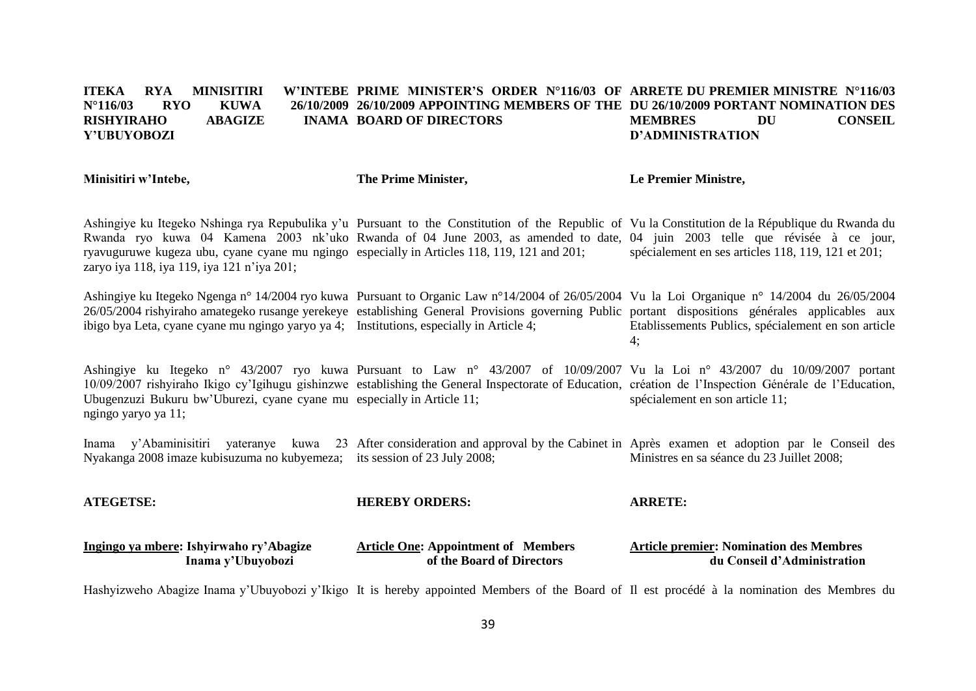#### **ITEKA RYA MINISITIRI N°116/03 RYO KUWA 26/10/2009 26/10/2009 APPOINTING MEMBERS OF THE DU 26/10/2009 PORTANT NOMINATION DES RISHYIRAHO ABAGIZE Y'UBUYOBOZI PRIME MINISTER'S ORDER N°116/03 OF ARRETE DU PREMIER MINISTRE N°116/03 INAMA BOARD OF DIRECTORS MEMBRES DU CONSEIL D'ADMINISTRATION**

Ashingiye ku Itegeko Nshinga rya Repubulika y'u Pursuant to the Constitution of the Republic of Vu la Constitution de la République du Rwanda du Rwanda ryo kuwa 04 Kamena 2003 nk'uko Rwanda of 04 June 2003, as amended to date, 04 juin 2003 telle que révisée à ce jour, ryavuguruwe kugeza ubu, cyane cyane mu ngingo especially in Articles 118, 119, 121 and 201; zaryo iya 118, iya 119, iya 121 n'iya 201; spécialement en ses articles 118, 119, 121 et 201;

Ashingiye ku Itegeko Ngenga n° 14/2004 ryo kuwa Pursuant to Organic Law n°14/2004 of 26/05/2004 Vu la Loi Organique n° 14/2004 du 26/05/2004 26/05/2004 rishyiraho amategeko rusange yerekeye establishing General Provisions governing Public portant dispositions générales applicables aux ibigo bya Leta, cyane cyane mu ngingo yaryo ya 4; Institutions, especially in Article 4; Etablissements Publics, spécialement en son article 4;

Ashingiye ku Itegeko n° 43/2007 ryo kuwa Pursuant to Law n° 43/2007 of 10/09/2007 Vu la Loi n° 43/2007 du 10/09/2007 portant 10/09/2007 rishyiraho Ikigo cy'Igihugu gishinzwe establishing the General Inspectorate of Education, création de l'Inspection Générale de l'Education, Ubugenzuzi Bukuru bw'Uburezi, cyane cyane mu especially in Article 11; ngingo yaryo ya 11; spécialement en son article 11;

Inama y'Abaminisitiri yateranye kuwa 23 After consideration and approval by the Cabinet in Après examen et adoption par le Conseil des Nyakanga 2008 imaze kubisuzuma no kubyemeza; its session of 23 July 2008; Ministres en sa séance du 23 Juillet 2008;

**ATEGETSE: Ingingo ya mbere: Ishyirwaho ry'Abagize Inama y'Ubuyobozi HEREBY ORDERS: Article One: Appointment of Members of the Board of Directors ARRETE: Article premier: Nomination des Membres du Conseil d'Administration**

Hashyizweho Abagize Inama y'Ubuyobozi y'Ikigo It is hereby appointed Members of the Board of Il est procédé à la nomination des Membres du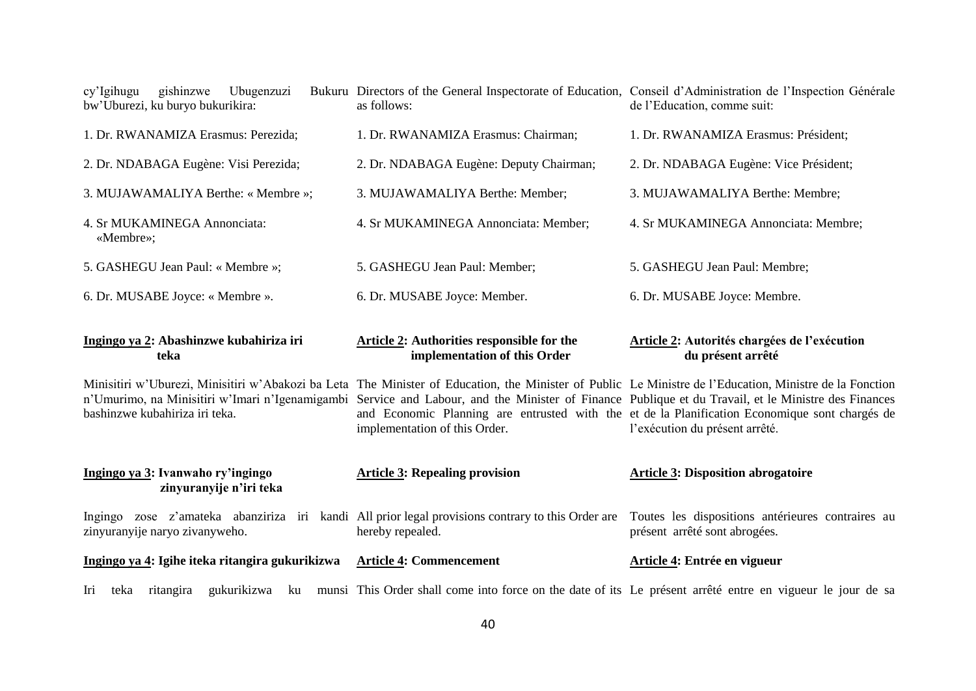| Ubugenzuzi<br>cy'Igihugu<br>gishinzwe<br>bw'Uburezi, ku buryo bukurikira:                                                           | Bukuru Directors of the General Inspectorate of Education, Conseil d'Administration de l'Inspection Générale<br>as follows:                                                                                                                                                                                                                                                                                                                        | de l'Education, comme suit:                                                        |
|-------------------------------------------------------------------------------------------------------------------------------------|----------------------------------------------------------------------------------------------------------------------------------------------------------------------------------------------------------------------------------------------------------------------------------------------------------------------------------------------------------------------------------------------------------------------------------------------------|------------------------------------------------------------------------------------|
| 1. Dr. RWANAMIZA Erasmus: Perezida;                                                                                                 | 1. Dr. RWANAMIZA Erasmus: Chairman;                                                                                                                                                                                                                                                                                                                                                                                                                | 1. Dr. RWANAMIZA Erasmus: Président;                                               |
| 2. Dr. NDABAGA Eugène: Visi Perezida;                                                                                               | 2. Dr. NDABAGA Eugène: Deputy Chairman;                                                                                                                                                                                                                                                                                                                                                                                                            | 2. Dr. NDABAGA Eugène: Vice Président;                                             |
| 3. MUJAWAMALIYA Berthe: « Membre »;                                                                                                 | 3. MUJAWAMALIYA Berthe: Member;                                                                                                                                                                                                                                                                                                                                                                                                                    | 3. MUJAWAMALIYA Berthe: Membre;                                                    |
| 4. Sr MUKAMINEGA Annonciata:<br>«Membre»;                                                                                           | 4. Sr MUKAMINEGA Annonciata: Member;                                                                                                                                                                                                                                                                                                                                                                                                               | 4. Sr MUKAMINEGA Annonciata: Membre;                                               |
| 5. GASHEGU Jean Paul: « Membre »;                                                                                                   | 5. GASHEGU Jean Paul: Member;                                                                                                                                                                                                                                                                                                                                                                                                                      | 5. GASHEGU Jean Paul: Membre;                                                      |
| 6. Dr. MUSABE Joyce: « Membre ».                                                                                                    | 6. Dr. MUSABE Joyce: Member.                                                                                                                                                                                                                                                                                                                                                                                                                       | 6. Dr. MUSABE Joyce: Membre.                                                       |
|                                                                                                                                     |                                                                                                                                                                                                                                                                                                                                                                                                                                                    |                                                                                    |
| Ingingo ya 2: Abashinzwe kubahiriza iri<br>teka                                                                                     | <b>Article 2: Authorities responsible for the</b><br>implementation of this Order                                                                                                                                                                                                                                                                                                                                                                  | Article 2: Autorités chargées de l'exécution<br>du présent arrêté                  |
| bashinzwe kubahiriza iri teka.                                                                                                      | Minisitiri w'Uburezi, Minisitiri w'Abakozi ba Leta The Minister of Education, the Minister of Public Le Ministre de l'Education, Ministre de la Fonction<br>n'Umurimo, na Minisitiri w'Imari n'Igenamigambi Service and Labour, and the Minister of Finance Publique et du Travail, et le Ministre des Finances<br>and Economic Planning are entrusted with the et de la Planification Economique sont chargés de<br>implementation of this Order. | l'exécution du présent arrêté.                                                     |
| Ingingo ya 3: Ivanwaho ry'ingingo<br>zinyuranyije n'iri teka                                                                        | <b>Article 3: Repealing provision</b>                                                                                                                                                                                                                                                                                                                                                                                                              | <b>Article 3: Disposition abrogatoire</b>                                          |
| Ingingo zose z'amateka abanziriza iri kandi All prior legal provisions contrary to this Order are<br>zinyuranyije naryo zivanyweho. | hereby repealed.                                                                                                                                                                                                                                                                                                                                                                                                                                   | Toutes les dispositions antérieures contraires au<br>présent arrêté sont abrogées. |
| Ingingo ya 4: Igihe iteka ritangira gukurikizwa                                                                                     | <b>Article 4: Commencement</b>                                                                                                                                                                                                                                                                                                                                                                                                                     | Article 4: Entrée en vigueur                                                       |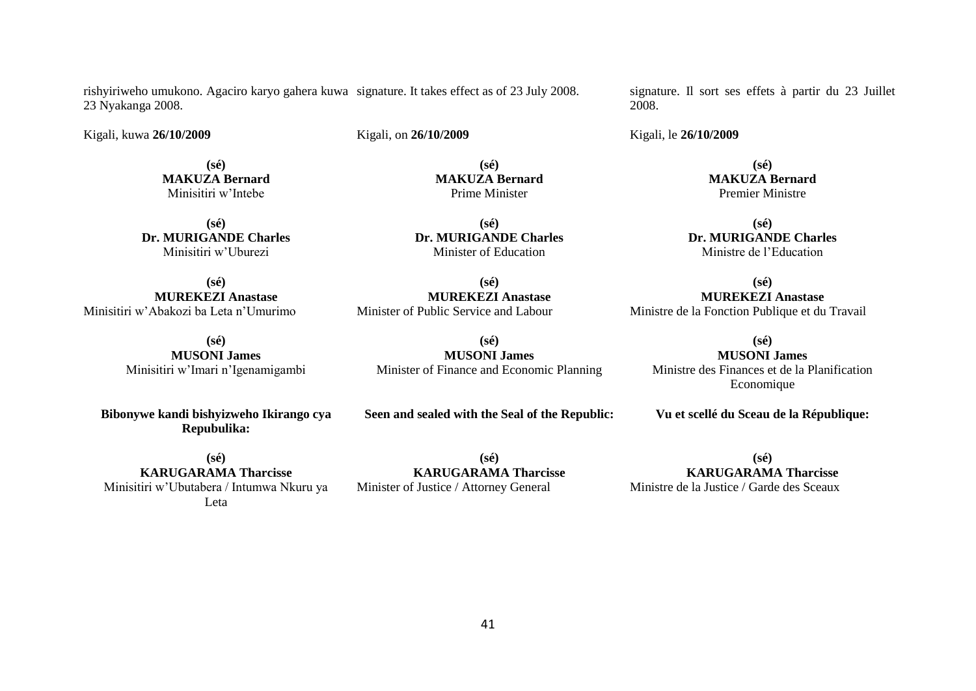rishyiriweho umukono. Agaciro karyo gahera kuwa signature. It takes effect as of 23 July 2008. 23 Nyakanga 2008.

Kigali, kuwa **26/10/2009**

Kigali, on **26/10/2009** 

**(sé) MAKUZA Bernard** Minisitiri w'Intebe

**(sé) Dr. MURIGANDE Charles** Minisitiri w'Uburezi

**(sé) MUREKEZI Anastase** Minisitiri w'Abakozi ba Leta n'Umurimo

> **(sé) MUSONI James**  Minisitiri w'Imari n'Igenamigambi

**Bibonywe kandi bishyizweho Ikirango cya Repubulika:**

**(sé) KARUGARAMA Tharcisse** Minisitiri w'Ubutabera / Intumwa Nkuru ya Leta

**MAKUZA Bernard** Prime Minister

**(sé) Dr. MURIGANDE Charles** Minister of Education

**(sé)**

**(sé) MUREKEZI Anastase** Minister of Public Service and Labour

**(sé) MUSONI James**  Minister of Finance and Economic Planning

# **Seen and sealed with the Seal of the Republic:**

**(sé) KARUGARAMA Tharcisse** Minister of Justice / Attorney General

signature. Il sort ses effets à partir du 23 Juillet 2008.

Kigali, le **26/10/2009** 

**(sé) MAKUZA Bernard** Premier Ministre

**(sé) Dr. MURIGANDE Charles** Ministre de l'Education

**(sé) MUREKEZI Anastase** Ministre de la Fonction Publique et du Travail

**(sé) MUSONI James**  Ministre des Finances et de la Planification Economique

**Vu et scellé du Sceau de la République:**

**(sé) KARUGARAMA Tharcisse** Ministre de la Justice / Garde des Sceaux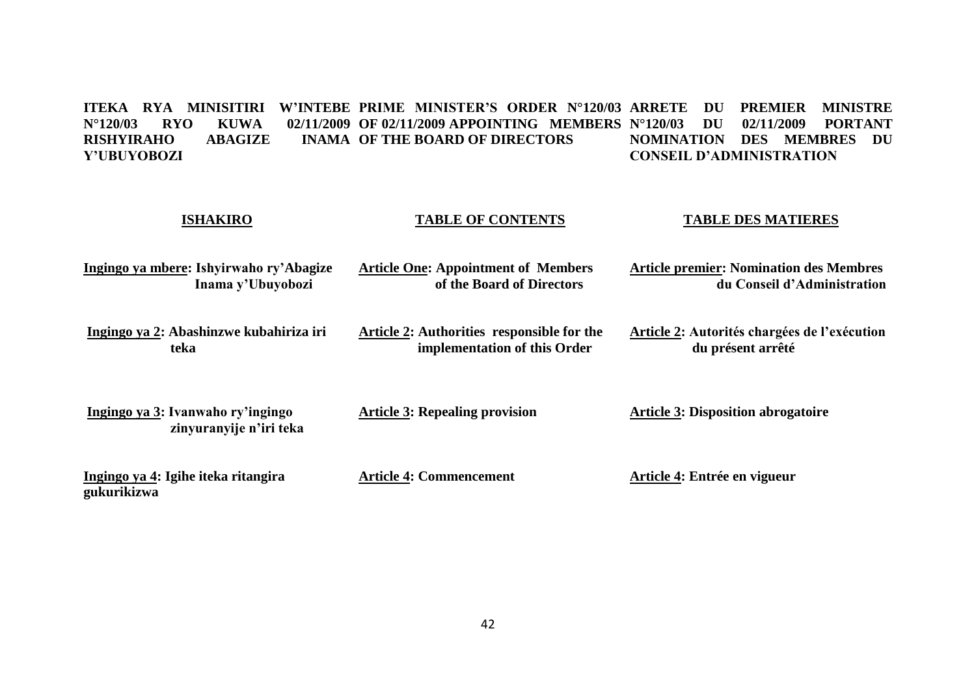ITEKA RYA MINISITIRI W'INTEBE PRIME MINISTER'S ORDER N°120/03 ARRETE DU PREMIER MINISTRE **N°120/03 RYO KUWA<br>RISHYIRAHO ABAGIZE RISHYIRAHO ABAGIZE INAMA OF THE BOARD OF DIRECTORS Y'UBUYOBOZI OF 02/11/2009 APPOINTING MEMBERS N°120/03 DU 02/11/2009 PORTANT NOMINATION DES MEMBRES DU CONSEIL D'ADMINISTRATION** 

| <b>ISHAKIRO</b>                                              | <b>TABLE OF CONTENTS</b>                                                   | <b>TABLE DES MATIERES</b>                                                     |
|--------------------------------------------------------------|----------------------------------------------------------------------------|-------------------------------------------------------------------------------|
| Ingingo ya mbere: Ishyirwaho ry'Abagize<br>Inama y'Ubuyobozi | <b>Article One: Appointment of Members</b><br>of the Board of Directors    | <b>Article premier: Nomination des Membres</b><br>du Conseil d'Administration |
| Ingingo ya 2: Abashinzwe kubahiriza iri<br>teka              | Article 2: Authorities responsible for the<br>implementation of this Order | Article 2: Autorités chargées de l'exécution<br>du présent arrêté             |
| Ingingo ya 3: Ivanwaho ry'ingingo<br>zinyuranyije n'iri teka | <b>Article 3: Repealing provision</b>                                      | <b>Article 3: Disposition abrogatoire</b>                                     |
| Ingingo ya 4: Igihe iteka ritangira<br>gukurikizwa           | <b>Article 4: Commencement</b>                                             | Article 4: Entrée en vigueur                                                  |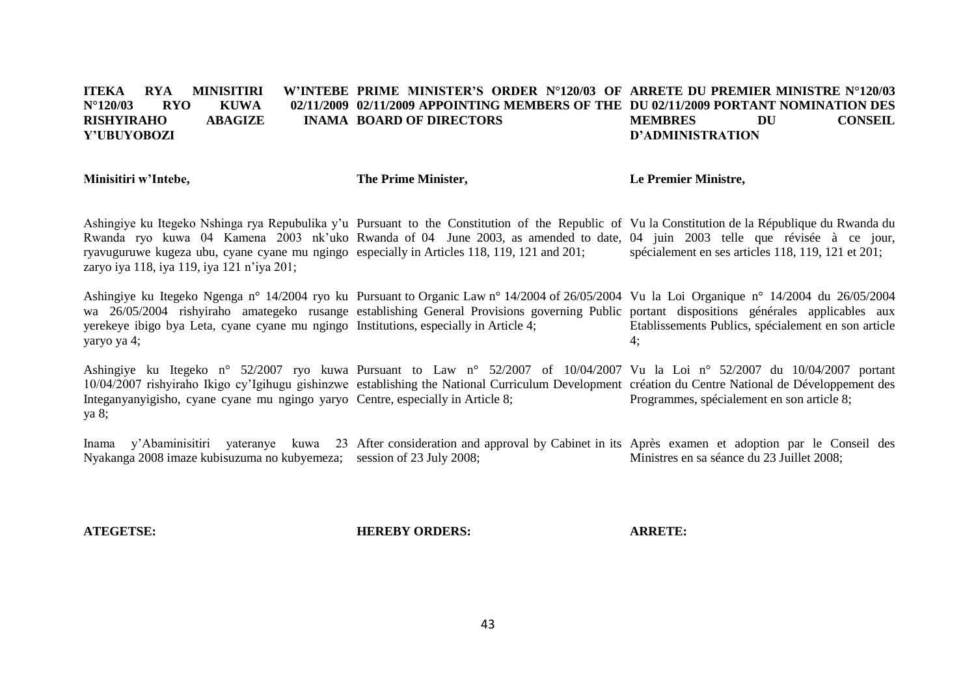#### **ITEKA RYA MINISITIRI N°120/03 RYO KUWA 02/11/2009 02/11/2009 APPOINTING MEMBERS OF THE DU 02/11/2009 PORTANT NOMINATION DES RISHYIRAHO ABAGIZE Y'UBUYOBOZI PRIME MINISTER'S ORDER N°120/03 OF ARRETE DU PREMIER MINISTRE N°120/03 INAMA BOARD OF DIRECTORS MEMBRES DU CONSEIL D'ADMINISTRATION**

**Minisitiri w'Intebe, The Prime Minister, Le Premier Ministre,**

Ashingiye ku Itegeko Nshinga rya Repubulika y'u Pursuant to the Constitution of the Republic of Vu la Constitution de la République du Rwanda du Rwanda ryo kuwa 04 Kamena 2003 nk'uko Rwanda of 04 June 2003, as amended to date, 04 juin 2003 telle que révisée à ce jour, ryavuguruwe kugeza ubu, cyane cyane mu ngingo especially in Articles 118, 119, 121 and 201; zaryo iya 118, iya 119, iya 121 n'iya 201; spécialement en ses articles 118, 119, 121 et 201;

Ashingiye ku Itegeko Ngenga n° 14/2004 ryo ku Pursuant to Organic Law n° 14/2004 of 26/05/2004 Vu la Loi Organique n° 14/2004 du 26/05/2004 wa 26/05/2004 rishyiraho amategeko rusange establishing General Provisions governing Public portant dispositions générales applicables aux yerekeye ibigo bya Leta, cyane cyane mu ngingo Institutions, especially in Article 4; yaryo ya 4; Etablissements Publics, spécialement en son article 4;

Ashingiye ku Itegeko n° 52/2007 ryo kuwa Pursuant to Law n° 52/2007 of 10/04/2007 Vu la Loi n° 52/2007 du 10/04/2007 portant 10/04/2007 rishyiraho Ikigo cy'Igihugu gishinzwe establishing the National Curriculum Development création du Centre National de Développement des Integanyanyigisho, cyane cyane mu ngingo yaryo Centre, especially in Article 8; ya 8; Programmes, spécialement en son article 8;

Inama y'Abaminisitiri yateranye kuwa 23 After consideration and approval by Cabinet in its Après examen et adoption par le Conseil des Nyakanga 2008 imaze kubisuzuma no kubyemeza; session of 23 July 2008; Ministres en sa séance du 23 Juillet 2008;

**ATEGETSE:**

**HEREBY ORDERS:**

**ARRETE:**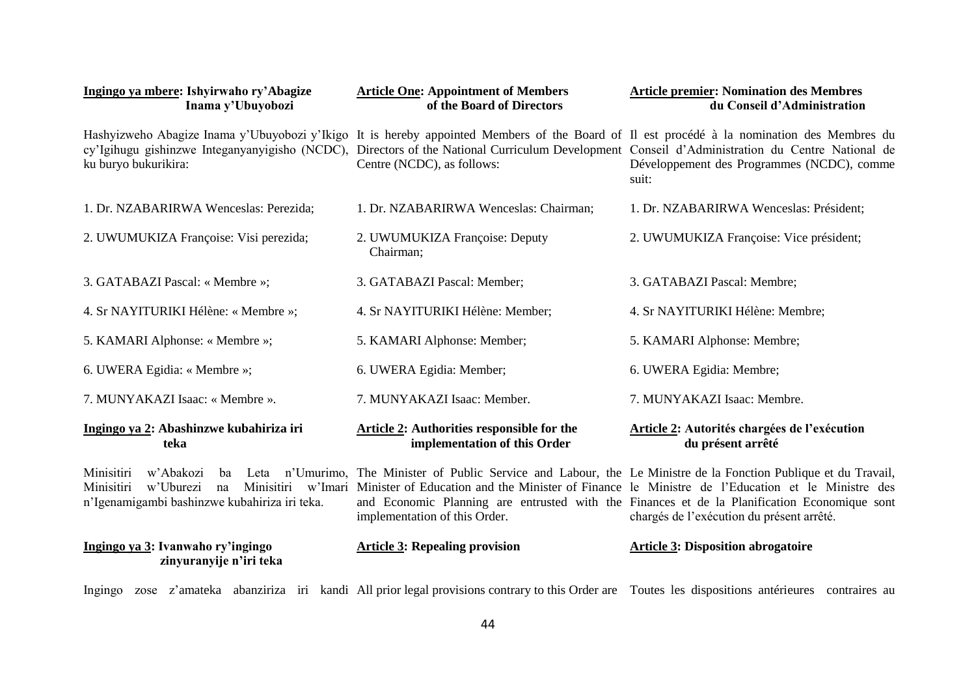| Ingingo ya mbere: Ishyirwaho ry'Abagize<br>Inama y'Ubuyobozi                                                                  | <b>Article One: Appointment of Members</b><br>of the Board of Directors                                                                                                                                                                                                                                                    | <b>Article premier: Nomination des Membres</b><br>du Conseil d'Administration                                                             |
|-------------------------------------------------------------------------------------------------------------------------------|----------------------------------------------------------------------------------------------------------------------------------------------------------------------------------------------------------------------------------------------------------------------------------------------------------------------------|-------------------------------------------------------------------------------------------------------------------------------------------|
| ku buryo bukurikira:                                                                                                          | Hashyizweho Abagize Inama y'Ubuyobozi y'Ikigo It is hereby appointed Members of the Board of Il est procédé à la nomination des Membres du<br>cy'Igihugu gishinzwe Integanyanyigisho (NCDC), Directors of the National Curriculum Development Conseil d'Administration du Centre National de<br>Centre (NCDC), as follows: | Développement des Programmes (NCDC), comme<br>suit:                                                                                       |
| 1. Dr. NZABARIRWA Wenceslas: Perezida;                                                                                        | 1. Dr. NZABARIRWA Wenceslas: Chairman;                                                                                                                                                                                                                                                                                     | 1. Dr. NZABARIRWA Wenceslas: Président;                                                                                                   |
| 2. UWUMUKIZA Françoise: Visi perezida;                                                                                        | 2. UWUMUKIZA Françoise: Deputy<br>Chairman:                                                                                                                                                                                                                                                                                | 2. UWUMUKIZA Françoise: Vice président;                                                                                                   |
| 3. GATABAZI Pascal: « Membre »;                                                                                               | 3. GATABAZI Pascal: Member;                                                                                                                                                                                                                                                                                                | 3. GATABAZI Pascal: Membre;                                                                                                               |
| 4. Sr NAYITURIKI Hélène: « Membre »;                                                                                          | 4. Sr NAYITURIKI Hélène: Member;                                                                                                                                                                                                                                                                                           | 4. Sr NAYITURIKI Hélène: Membre;                                                                                                          |
| 5. KAMARI Alphonse: « Membre »;                                                                                               | 5. KAMARI Alphonse: Member;                                                                                                                                                                                                                                                                                                | 5. KAMARI Alphonse: Membre;                                                                                                               |
| 6. UWERA Egidia: « Membre »;                                                                                                  | 6. UWERA Egidia: Member;                                                                                                                                                                                                                                                                                                   | 6. UWERA Egidia: Membre;                                                                                                                  |
| 7. MUNYAKAZI Isaac: « Membre ».                                                                                               | 7. MUNYAKAZI Isaac: Member.                                                                                                                                                                                                                                                                                                | 7. MUNYAKAZI Isaac: Membre.                                                                                                               |
| Ingingo ya 2: Abashinzwe kubahiriza iri<br>teka                                                                               | Article 2: Authorities responsible for the<br>implementation of this Order                                                                                                                                                                                                                                                 | Article 2: Autorités chargées de l'exécution<br>du présent arrêté                                                                         |
| Minisitiri<br>w'Abakozi<br>ba<br>Minisitiri<br>w'Uburezi<br>Minisitiri<br>na<br>n'Igenamigambi bashinzwe kubahiriza iri teka. | Leta n'Umurimo, The Minister of Public Service and Labour, the Le Ministre de la Fonction Publique et du Travail,<br>w'Imari Minister of Education and the Minister of Finance le Ministre de l'Education et le Ministre des<br>implementation of this Order.                                                              | and Economic Planning are entrusted with the Finances et de la Planification Economique sont<br>chargés de l'exécution du présent arrêté. |
| Ingingo ya 3: Ivanwaho ry'ingingo<br>zinyuranyije n'iri teka                                                                  | <b>Article 3: Repealing provision</b>                                                                                                                                                                                                                                                                                      | <b>Article 3: Disposition abrogatoire</b>                                                                                                 |

Ingingo zose z'amateka abanziriza iri kandi All prior legal provisions contrary to this Order are Toutes les dispositions antérieures contraires au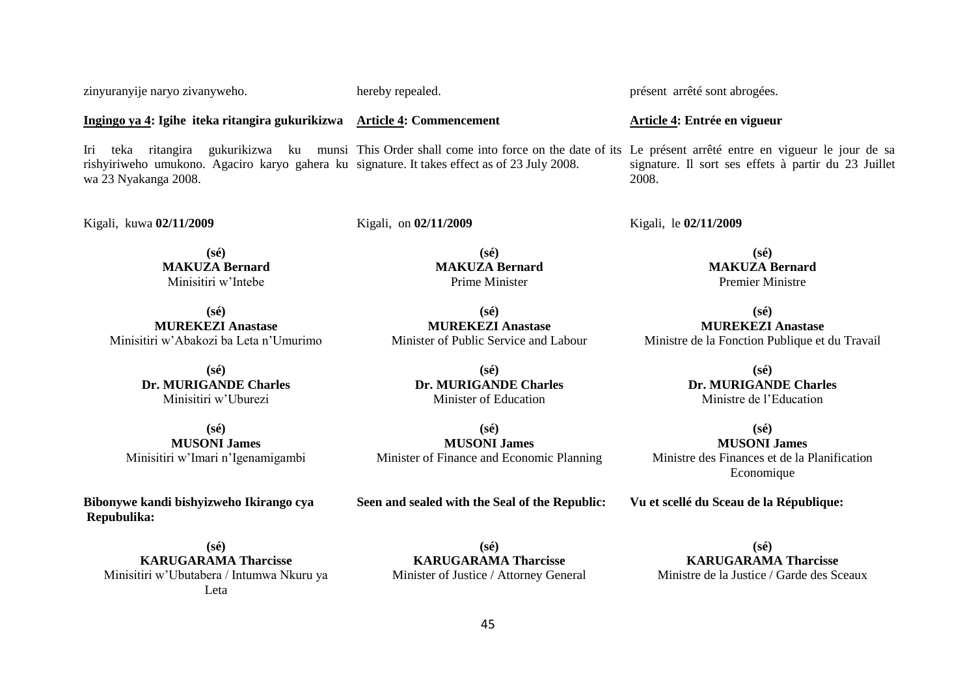45

**Ingingo ya 4: Igihe iteka ritangira gukurikizwa Article 4: Commencement**

zinyuranyije naryo zivanyweho.

Iri teka ritangira gukurikizwa ku munsi This Order shall come into force on the date of its Le présent arrêté entre en vigueur le jour de sa rishyiriweho umukono. Agaciro karyo gahera ku signature. It takes effect as of 23 July 2008. wa 23 Nyakanga 2008. signature. Il sort ses effets à partir du 23 Juillet 2008.

Kigali, kuwa **02/11/2009**

Kigali, on **02/11/2009**

**(sé) MAKUZA Bernard** Minisitiri w'Intebe

**(sé) MUREKEZI Anastase** Minisitiri w'Abakozi ba Leta n'Umurimo

> **(sé) Dr. MURIGANDE Charles** Minisitiri w'Uburezi

**(sé) MUSONI James**  Minisitiri w'Imari n'Igenamigambi

**Bibonywe kandi bishyizweho Ikirango cya Repubulika:**

**(sé) KARUGARAMA Tharcisse** Minisitiri w'Ubutabera / Intumwa Nkuru ya Leta

Minister of Education **(sé)**

**(sé) Dr. MURIGANDE Charles**

**(sé) MAKUZA Bernard** Prime Minister

**(sé) MUREKEZI Anastase** Minister of Public Service and Labour

**MUSONI James**  Minister of Finance and Economic Planning

**Seen and sealed with the Seal of the Republic:**

**(sé) KARUGARAMA Tharcisse** Minister of Justice / Attorney General

**(sé) KARUGARAMA Tharcisse** Ministre de la Justice / Garde des Sceaux

**(sé) MUREKEZI Anastase** Ministre de la Fonction Publique et du Travail

**(sé) Dr. MURIGANDE Charles**

Ministre de l'Education

**(sé) MUSONI James** 

**Vu et scellé du Sceau de la République:**

Ministre des Finances et de la Planification Economique

Kigali, le **02/11/2009**

**(sé) MAKUZA Bernard** Premier Ministre

**Article 4: Entrée en vigueur**

présent arrêté sont abrogées.

hereby repealed.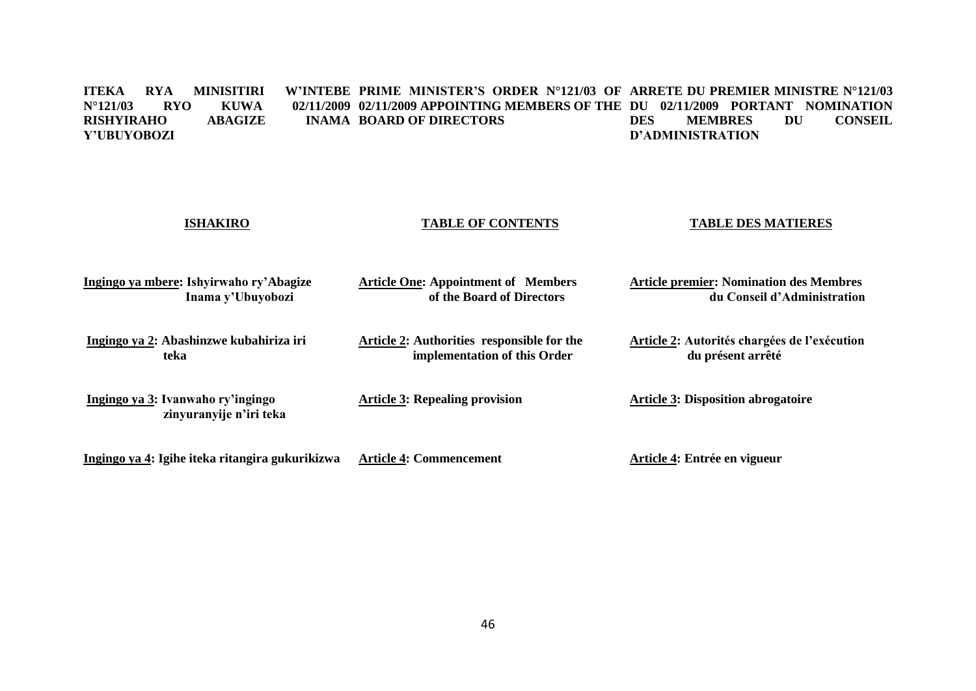#### **ITEKA RYA MINISITIRI W'INTEBE PRIME MINISTER'S ORDER N°121/03 OF ARRETE DU PREMIER MINISTRE N°121/03 N°121/03 RYO KUWA 02/11/2009 02/11/2009 APPOINTING MEMBERS OF THE DU 02/11/2009 PORTANT NOMINATION RISHYIRAHO ABAGIZE Y'UBUYOBOZI INAMA BOARD OF DIRECTORS DES MEMBRES DU CONSEIL D'ADMINISTRATION**

| <b>ISHAKIRO</b>                                              | <b>TABLE OF CONTENTS</b>                                                          | <b>TABLE DES MATIERES</b>                                                     |  |
|--------------------------------------------------------------|-----------------------------------------------------------------------------------|-------------------------------------------------------------------------------|--|
| Ingingo ya mbere: Ishyirwaho ry'Abagize<br>Inama y'Ubuyobozi | <b>Article One: Appointment of Members</b><br>of the Board of Directors           | <b>Article premier: Nomination des Membres</b><br>du Conseil d'Administration |  |
| Ingingo ya 2: Abashinzwe kubahiriza iri<br>teka              | <b>Article 2:</b> Authorities responsible for the<br>implementation of this Order | Article 2: Autorités chargées de l'exécution<br>du présent arrêté             |  |
| Ingingo ya 3: Ivanwaho ry'ingingo<br>zinyuranyije n'iri teka | <b>Article 3: Repealing provision</b>                                             | <b>Article 3: Disposition abrogatoire</b>                                     |  |
| Ingingo ya 4: Igihe iteka ritangira gukurikizwa              | <b>Article 4: Commencement</b>                                                    | Article 4: Entrée en vigueur                                                  |  |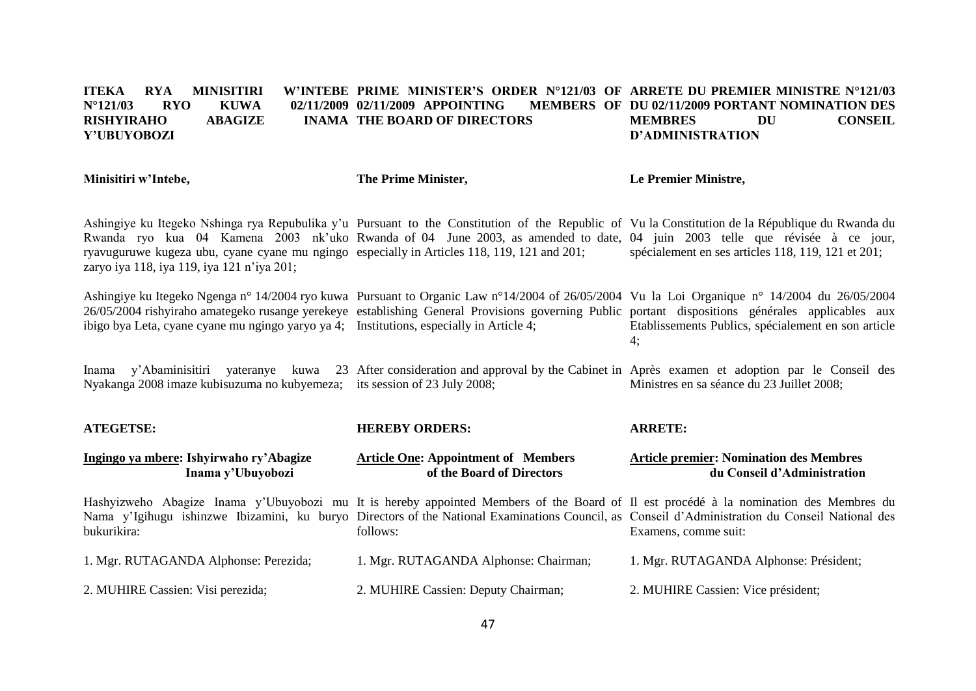#### **ITEKA RYA MINISITIRI W'INTEBE PRIME MINISTER'S ORDER N°121/03 OF ARRETE DU PREMIER MINISTRE N°121/03 N°121/03 RYO KUWA 02/11/2009 02/11/2009 APPOINTING MEMBERS OF RISHYIRAHO ABAGIZE Y'UBUYOBOZI THE BOARD OF DIRECTORS DU 02/11/2009 PORTANT NOMINATION DES**<br>RS **DU** CONSEIL **MEMBRES D'ADMINISTRATION**

| Minisitiri w'Intebe,                                                                                                                      | The Prime Minister,                                                                                                                                                                                                                                                                                  | Le Premier Ministre,                                                          |
|-------------------------------------------------------------------------------------------------------------------------------------------|------------------------------------------------------------------------------------------------------------------------------------------------------------------------------------------------------------------------------------------------------------------------------------------------------|-------------------------------------------------------------------------------|
| ryavuguruwe kugeza ubu, cyane cyane mu ngingo especially in Articles 118, 119, 121 and 201;<br>zaryo iya 118, iya 119, iya 121 n'iya 201; | Ashingiye ku Itegeko Nshinga rya Repubulika y'u Pursuant to the Constitution of the Republic of Vu la Constitution de la République du Rwanda du<br>Rwanda ryo kua 04 Kamena 2003 nk'uko Rwanda of 04 June 2003, as amended to date, 04 juin 2003 telle que révisée à ce jour,                       | spécialement en ses articles 118, 119, 121 et 201;                            |
| ibigo bya Leta, cyane cyane mu ngingo yaryo ya 4; Institutions, especially in Article 4;                                                  | Ashingiye ku Itegeko Ngenga n° 14/2004 ryo kuwa Pursuant to Organic Law n°14/2004 of 26/05/2004 Vu la Loi Organique n° 14/2004 du 26/05/2004<br>26/05/2004 rishyiraho amategeko rusange yerekeye establishing General Provisions governing Public portant dispositions générales applicables aux     | Etablissements Publics, spécialement en son article<br>4:                     |
| Nyakanga 2008 imaze kubisuzuma no kubyemeza; its session of 23 July 2008;                                                                 | Inama y'Abaminisitiri yateranye kuwa 23 After consideration and approval by the Cabinet in Après examen et adoption par le Conseil des                                                                                                                                                               | Ministres en sa séance du 23 Juillet 2008;                                    |
| <b>ATEGETSE:</b>                                                                                                                          | <b>HEREBY ORDERS:</b>                                                                                                                                                                                                                                                                                | <b>ARRETE:</b>                                                                |
| Ingingo ya mbere: Ishyirwaho ry'Abagize<br>Inama y'Ubuyobozi                                                                              | <b>Article One: Appointment of Members</b><br>of the Board of Directors                                                                                                                                                                                                                              | <b>Article premier: Nomination des Membres</b><br>du Conseil d'Administration |
| bukurikira:                                                                                                                               | Hashyizweho Abagize Inama y'Ubuyobozi mu It is hereby appointed Members of the Board of Il est procédé à la nomination des Membres du<br>Nama y'Igihugu ishinzwe Ibizamini, ku buryo Directors of the National Examinations Council, as Conseil d'Administration du Conseil National des<br>follows: | Examens, comme suit:                                                          |
| 1. Mgr. RUTAGANDA Alphonse: Perezida;                                                                                                     | 1. Mgr. RUTAGANDA Alphonse: Chairman;                                                                                                                                                                                                                                                                | 1. Mgr. RUTAGANDA Alphonse: Président;                                        |
| 2. MUHIRE Cassien: Visi perezida;                                                                                                         | 2. MUHIRE Cassien: Deputy Chairman;                                                                                                                                                                                                                                                                  | 2. MUHIRE Cassien: Vice président;                                            |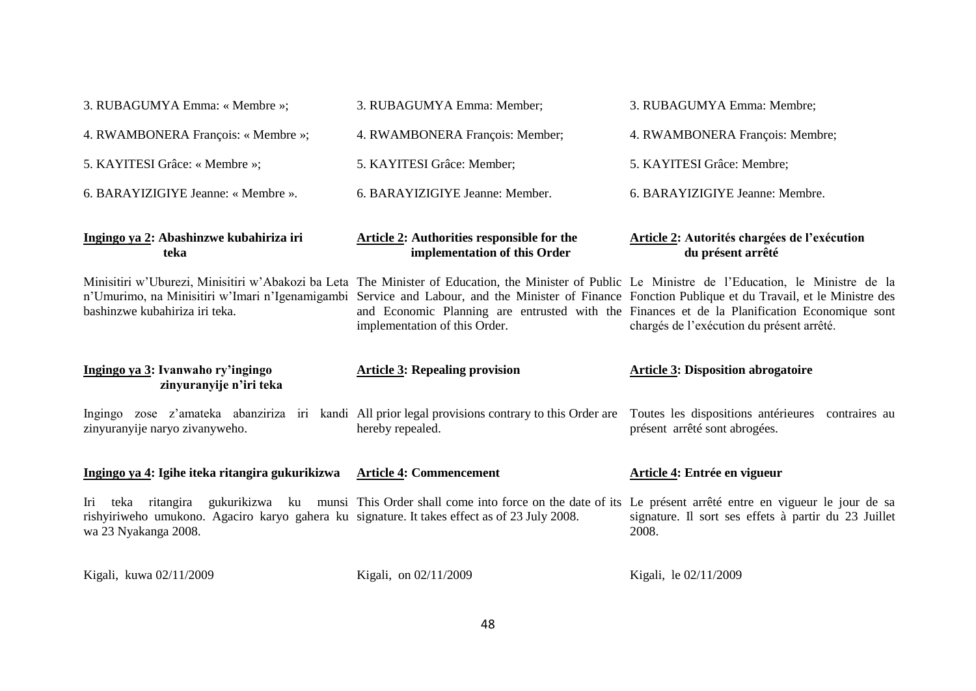| 3. RUBAGUMYA Emma: « Membre »;                                                                                                                | 3. RUBAGUMYA Emma: Member;                                                                                                                                                                                                                                                                                                                 | 3. RUBAGUMYA Emma: Membre;                                                                                                                |
|-----------------------------------------------------------------------------------------------------------------------------------------------|--------------------------------------------------------------------------------------------------------------------------------------------------------------------------------------------------------------------------------------------------------------------------------------------------------------------------------------------|-------------------------------------------------------------------------------------------------------------------------------------------|
| 4. RWAMBONERA François: « Membre »;                                                                                                           | 4. RWAMBONERA François: Member;                                                                                                                                                                                                                                                                                                            | 4. RWAMBONERA François: Membre;                                                                                                           |
| 5. KAYITESI Grâce: « Membre »;                                                                                                                | 5. KAYITESI Grâce: Member;                                                                                                                                                                                                                                                                                                                 | 5. KAYITESI Grâce: Membre;                                                                                                                |
| 6. BARAYIZIGIYE Jeanne: « Membre ».                                                                                                           | 6. BARAYIZIGIYE Jeanne: Member.                                                                                                                                                                                                                                                                                                            | 6. BARAYIZIGIYE Jeanne: Membre.                                                                                                           |
| Ingingo ya 2: Abashinzwe kubahiriza iri<br>teka                                                                                               | <b>Article 2: Authorities responsible for the</b><br>implementation of this Order                                                                                                                                                                                                                                                          | Article 2: Autorités chargées de l'exécution<br>du présent arrêté                                                                         |
| bashinzwe kubahiriza iri teka.                                                                                                                | Minisitiri w'Uburezi, Minisitiri w'Abakozi ba Leta The Minister of Education, the Minister of Public Le Ministre de l'Education, le Ministre de la<br>n'Umurimo, na Minisitiri w'Imari n'Igenamigambi Service and Labour, and the Minister of Finance Fonction Publique et du Travail, et le Ministre des<br>implementation of this Order. | and Economic Planning are entrusted with the Finances et de la Planification Economique sont<br>chargés de l'exécution du présent arrêté. |
|                                                                                                                                               |                                                                                                                                                                                                                                                                                                                                            |                                                                                                                                           |
| Ingingo ya 3: Ivanwaho ry'ingingo<br>zinyuranyije n'iri teka                                                                                  | <b>Article 3: Repealing provision</b>                                                                                                                                                                                                                                                                                                      | <b>Article 3: Disposition abrogatoire</b>                                                                                                 |
| zinyuranyije naryo zivanyweho.                                                                                                                | Ingingo zose z'amateka abanziriza iri kandi All prior legal provisions contrary to this Order are Toutes les dispositions antérieures contraires au<br>hereby repealed.                                                                                                                                                                    | présent arrêté sont abrogées.                                                                                                             |
| Ingingo ya 4: Igihe iteka ritangira gukurikizwa                                                                                               | <b>Article 4: Commencement</b>                                                                                                                                                                                                                                                                                                             | Article 4: Entrée en vigueur                                                                                                              |
| teka ritangira<br>Iri<br>rishyiriweho umukono. Agaciro karyo gahera ku signature. It takes effect as of 23 July 2008.<br>wa 23 Nyakanga 2008. | gukurikizwa ku munsi This Order shall come into force on the date of its Le présent arrêté entre en vigueur le jour de sa                                                                                                                                                                                                                  | signature. Il sort ses effets à partir du 23 Juillet<br>2008.                                                                             |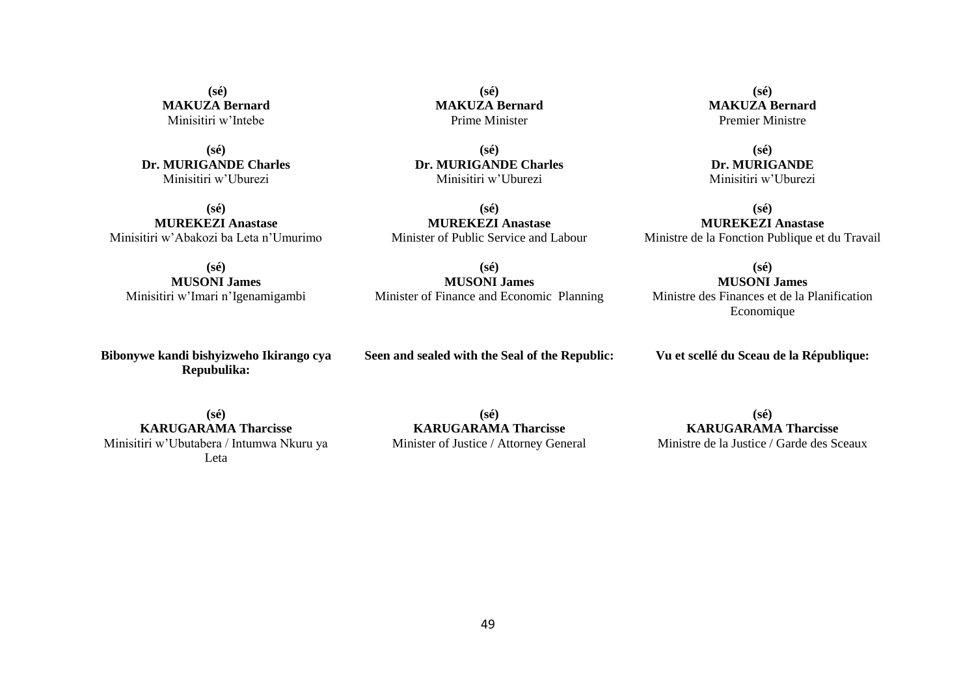**(sé) MAKUZA Bernard** Minisitiri w'Intebe

**(sé) Dr. MURIGANDE Charles** Minisitiri w'Uburezi

**(sé) MUREKEZI Anastase** Minisitiri w'Abakozi ba Leta n'Umurimo

**(sé) MUSONI James** Minisitiri w'Imari n'Igenamigambi

**Bibonywe kandi bishyizweho Ikirango cya Repubulika:**

> **(sé) KARUGARAMA Tharcisse**

**Seen and sealed with the Seal of the Republic:**

**Vu et scellé du Sceau de la République:**

Minisitiri w'Ubutabera / Intumwa Nkuru ya **(sé)**

Leta

**KARUGARAMA Tharcisse** Minister of Justice / Attorney General

**(sé) KARUGARAMA Tharcisse** Ministre de la Justice / Garde des Sceaux

**MAKUZA Bernard** Prime Minister

**(sé)**

**(sé) Dr. MURIGANDE Charles** Minisitiri w'Uburezi

**(sé) MUREKEZI Anastase** Minister of Public Service and Labour

**(sé) MUSONI James** Minister of Finance and Economic Planning

**(sé) MAKUZA Bernard** Premier Ministre

**(sé) Dr. MURIGANDE** Minisitiri w'Uburezi

**(sé) MUREKEZI Anastase** Ministre de la Fonction Publique et du Travail

**(sé) MUSONI James**

Ministre des Finances et de la Planification Economique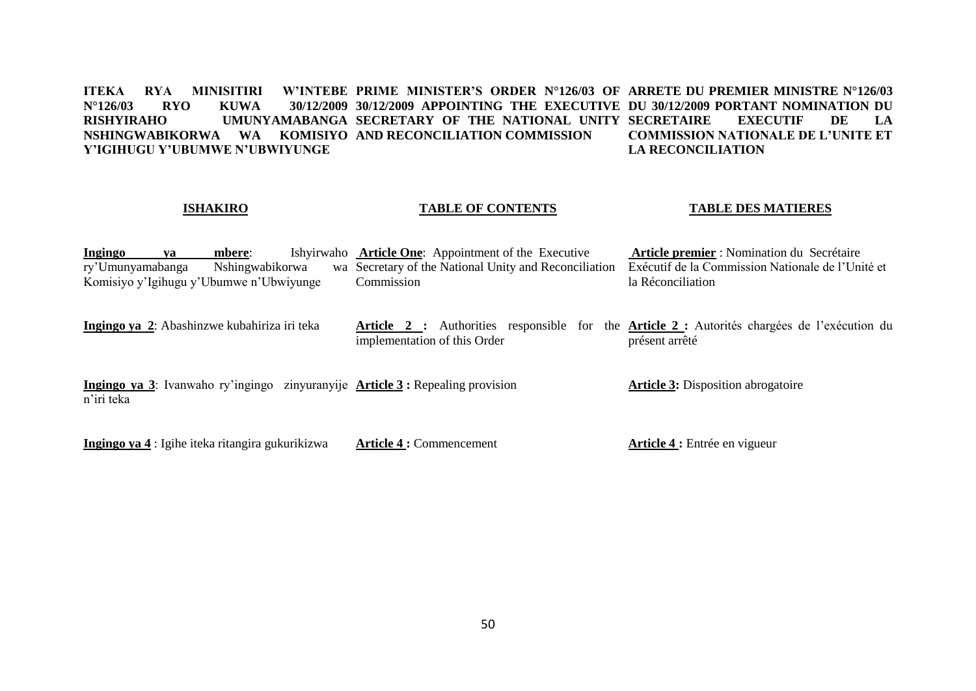**ITEKA RYA MINISITIRI W'INTEBE PRIME MINISTER'S ORDER N°126/03 OF ARRETE DU PREMIER MINISTRE N°126/03 N°126/03 RYO KUWA 30/12/2009 30/12/2009 APPOINTING THE EXECUTIVE DU 30/12/2009 PORTANT NOMINATION DU RISHYIRAHO UMUNYAMABANGA SECRETARY OF THE NATIONAL UNITY NSHINGWABIKORWA WA KOMISIYO AND RECONCILIATION COMMISSION Y'IGIHUGU Y'UBUMWE N'UBWIYUNGE SECRETAIRE EXECUTIF DE LA COMMISSION NATIONALE DE L'UNITE ET LA RECONCILIATION**

# **ISHAKIRO**

# **TABLE OF CONTENTS**

# **TABLE DES MATIERES**

| Ingingo          | va                                               | mbere:          |  | Ishyirwaho Article One: Appointment of the Executive                                                                         | Article premier : Nomination du Secrétaire        |
|------------------|--------------------------------------------------|-----------------|--|------------------------------------------------------------------------------------------------------------------------------|---------------------------------------------------|
| ry'Umunyamabanga |                                                  | Nshingwabikorwa |  | wa Secretary of the National Unity and Reconciliation                                                                        | Exécutif de la Commission Nationale de l'Unité et |
|                  | Komisiyo y'Igihugu y'Ubumwe n'Ubwiyunge          |                 |  | Commission                                                                                                                   | la Réconciliation                                 |
|                  | Ingingo ya 2: Abashinzwe kubahiriza iri teka     |                 |  | Article 2 : Authorities responsible for the Article 2 : Autorités chargées de l'exécution du<br>implementation of this Order | présent arrêté                                    |
| n'iri teka       |                                                  |                 |  | Ingingo ya 3: Ivanwaho ry'ingingo zinyuranyije Article 3: Repealing provision                                                | <b>Article 3:</b> Disposition abrogatoire         |
|                  | Ingingo ya 4 : Igihe iteka ritangira gukurikizwa |                 |  | <b>Article 4: Commencement</b>                                                                                               | <b>Article 4 :</b> Entrée en vigueur              |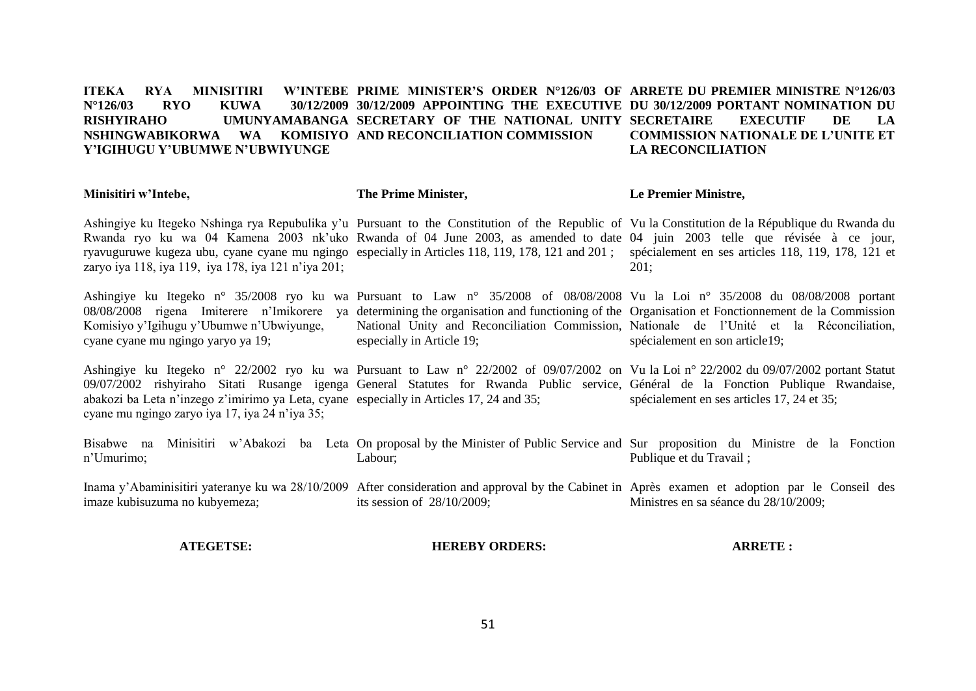### **ITEKA RYA MINISITIRI N°126/03 RYO KUWA 30/12/2009 30/12/2009 APPOINTING THE EXECUTIVE DU 30/12/2009 PORTANT NOMINATION DU RISHYIRAHO UMUNYAMABANGA SECRETARY OF THE NATIONAL UNITY SECRETAIRE EXECUTIF DE LA NSHINGWABIKORWA WA KOMISIYO AND RECONCILIATION COMMISSION Y'IGIHUGU Y'UBUMWE N'UBWIYUNGE PRIME MINISTER'S ORDER N°126/03 OF ARRETE DU PREMIER MINISTRE N°126/03 COMMISSION NATIONALE DE L'UNITE ET LA RECONCILIATION**

#### **Minisitiri w'Intebe, The Prime Minister, Le Premier Ministre,**

Ashingiye ku Itegeko Nshinga rya Repubulika y'u Pursuant to the Constitution of the Republic of Vu la Constitution de la République du Rwanda du Rwanda ryo ku wa 04 Kamena 2003 nk'uko Rwanda of 04 June 2003, as amended to date 04 juin 2003 telle que révisée à ce jour, ryavuguruwe kugeza ubu, cyane cyane mu ngingo especially in Articles 118, 119, 178, 121 and 201; spécialement en ses articles 118, 119, 178, 121 et zaryo iya 118, iya 119, iya 178, iya 121 n'iya 201; 201;

Ashingiye ku Itegeko n° 35/2008 ryo ku wa Pursuant to Law n° 35/2008 of 08/08/2008 Vu la Loi n° 35/2008 du 08/08/2008 portant 08/08/2008 rigena Imiterere n'Imikorere ya determining the organisation and functioning of the Organisation et Fonctionnement de la Commission Komisiyo y'Igihugu y'Ubumwe n'Ubwiyunge, cyane cyane mu ngingo yaryo ya 19; National Unity and Reconciliation Commission, Nationale de l'Unité et la Réconciliation, especially in Article 19; spécialement en son article19;

Ashingiye ku Itegeko n° 22/2002 ryo ku wa Pursuant to Law n° 22/2002 of 09/07/2002 on Vu la Loi n° 22/2002 du 09/07/2002 portant Statut 09/07/2002 rishyiraho Sitati Rusange igenga General Statutes for Rwanda Public service, Général de la Fonction Publique Rwandaise, abakozi ba Leta n'inzego z'imirimo ya Leta, cyane especially in Articles 17, 24 and 35; cyane mu ngingo zaryo iya 17, iya 24 n'iya 35; spécialement en ses articles 17, 24 et 35;

Bisabwe na Minisitiri w'Abakozi ba Leta On-proposal-by-the-Minister-of-Public-Service-and-Sur-proposition du Ministre de la Fonction n'Umurimo; Labour; Publique et du Travail ;

Inama y'Abaminisitiri yateranye ku wa 28/10/2009 After consideration and approval by the Cabinet in Après examen et adoption par le Conseil des imaze kubisuzuma no kubyemeza; its session of 28/10/2009; Ministres en sa séance du 28/10/2009;

# **ATEGETSE:**

**HEREBY ORDERS:**

**ARRETE :**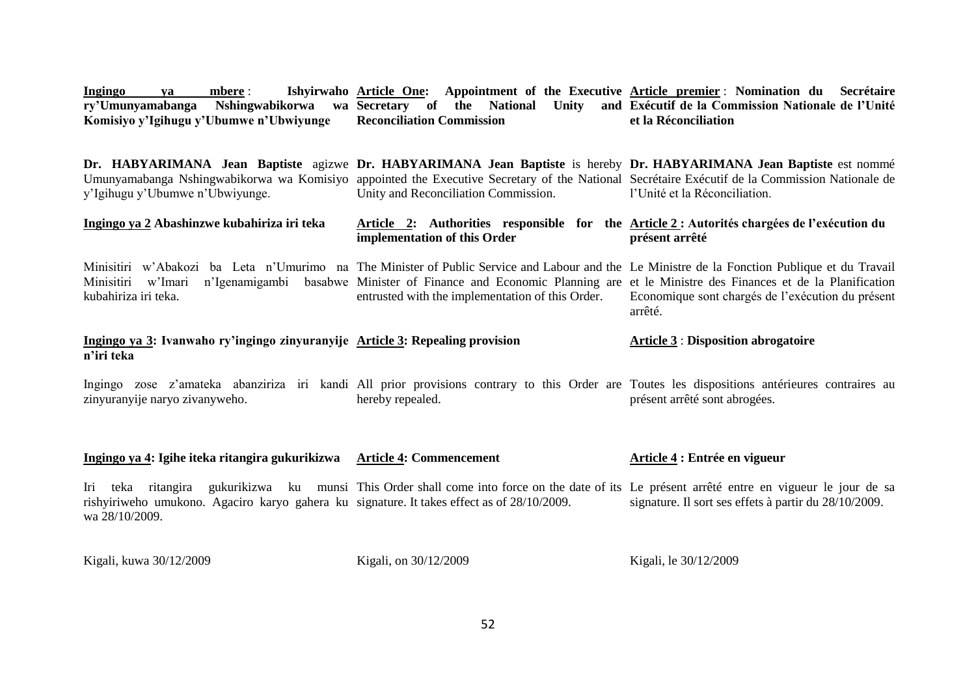| mbere :<br>Ingingo<br>ya<br>ry'Umunyamabanga<br>Komisiyo y'Igihugu y'Ubumwe n'Ubwiyunge                                     | Ishyirwaho Article One: Appointment of the Executive Article premier: Nomination du Secrétaire<br>Nshingwabikorwa wa Secretary of the National Unity<br><b>Reconciliation Commission</b>                                                                                                                      | and Exécutif de la Commission Nationale de l'Unité<br>et la Réconciliation |
|-----------------------------------------------------------------------------------------------------------------------------|---------------------------------------------------------------------------------------------------------------------------------------------------------------------------------------------------------------------------------------------------------------------------------------------------------------|----------------------------------------------------------------------------|
| y'Igihugu y'Ubumwe n'Ubwiyunge.                                                                                             | Dr. HABYARIMANA Jean Baptiste agizwe Dr. HABYARIMANA Jean Baptiste is hereby Dr. HABYARIMANA Jean Baptiste est nommé<br>Umunyamabanga Nshingwabikorwa wa Komisiyo appointed the Executive Secretary of the National Secretaire Executif de la Commission Nationale de<br>Unity and Reconciliation Commission. | l'Unité et la Réconciliation.                                              |
| Ingingo ya 2 Abashinzwe kubahiriza iri teka                                                                                 | Article 2: Authorities responsible for the Article 2: Autorités chargées de l'exécution du<br>implementation of this Order                                                                                                                                                                                    | présent arrêté                                                             |
| Minisitiri<br>w'Imari<br>n'Igenamigambi<br>kubahiriza iri teka.                                                             | Minisitiri w'Abakozi ba Leta n'Umurimo na The Minister of Public Service and Labour and the Le Ministre de la Fonction Publique et du Travail<br>basabwe Minister of Finance and Economic Planning are et le Ministre des Finances et de la Planification<br>entrusted with the implementation of this Order. | Economique sont chargés de l'exécution du présent<br>arrêté.               |
| Ingingo ya 3: Ivanwaho ry'ingingo zinyuranyije Article 3: Repealing provision<br>n'iri teka                                 |                                                                                                                                                                                                                                                                                                               | <b>Article 3: Disposition abrogatoire</b>                                  |
| zinyuranyije naryo zivanyweho.                                                                                              | Ingingo zose z'amateka abanziriza iri kandi All prior provisions contrary to this Order are Toutes les dispositions antérieures contraires au<br>hereby repealed.                                                                                                                                             | présent arrêté sont abrogées.                                              |
| Ingingo ya 4: Igihe iteka ritangira gukurikizwa                                                                             | <b>Article 4: Commencement</b>                                                                                                                                                                                                                                                                                | Article 4 : Entrée en vigueur                                              |
| Iri<br>teka<br>rishyiriweho umukono. Agaciro karyo gahera ku signature. It takes effect as of 28/10/2009.<br>wa 28/10/2009. | ritangira gukurikizwa ku munsi This Order shall come into force on the date of its Le présent arrêté entre en vigueur le jour de sa                                                                                                                                                                           | signature. Il sort ses effets à partir du 28/10/2009.                      |
| Kigali, kuwa 30/12/2009                                                                                                     | Kigali, on 30/12/2009                                                                                                                                                                                                                                                                                         | Kigali, le 30/12/2009                                                      |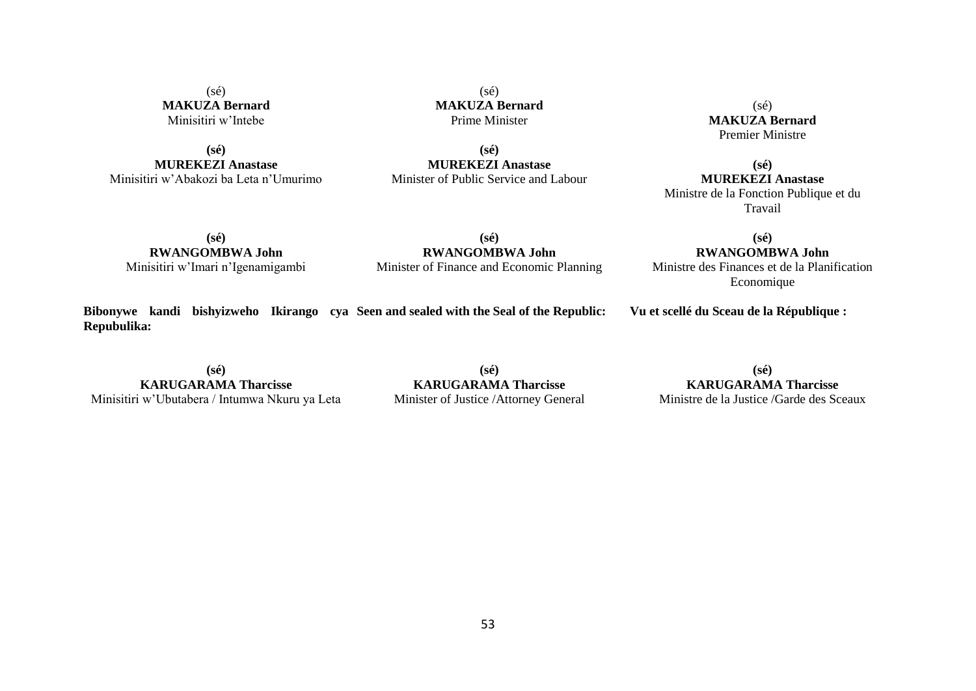$(sé)$ **MAKUZA Bernard** Minisitiri w'Intebe

**(sé) MUREKEZI Anastase** Minisitiri w'Abakozi ba Leta n'Umurimo

(sé) **MAKUZA Bernard** Prime Minister

**(sé) MUREKEZI Anastase** Minister of Public Service and Labour

(sé) **MAKUZA Bernard** Premier Ministre

**(sé) MUREKEZI Anastase** Ministre de la Fonction Publique et du Travail

**(sé) RWANGOMBWA John** Minisitiri w'Imari n'Igenamigambi

**(sé) RWANGOMBWA John** Minister of Finance and Economic Planning

**Bibonywe kandi bishyizweho Ikirango cya Seen and sealed with the Seal of the Republic: Repubulika:**

**(sé) KARUGARAMA Tharcisse** Minisitiri w'Ubutabera / Intumwa Nkuru ya Leta

**(sé) KARUGARAMA Tharcisse** Minister of Justice /Attorney General

**(sé) RWANGOMBWA John**

Ministre des Finances et de la Planification Economique

**Vu et scellé du Sceau de la République :**

**(sé) KARUGARAMA Tharcisse** Ministre de la Justice /Garde des Sceaux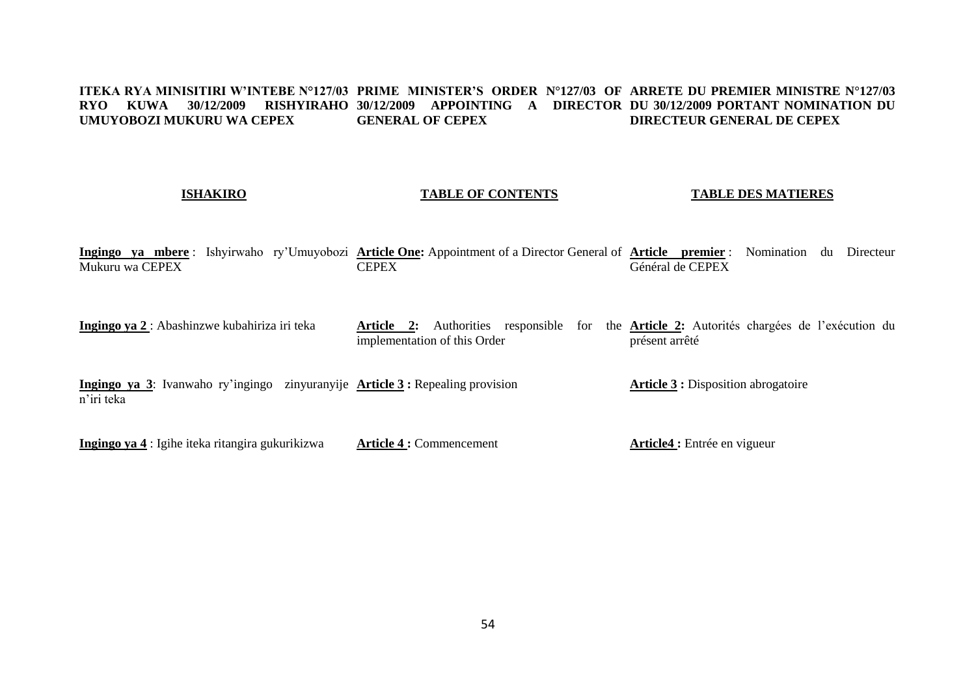#### **ITEKA RYA MINISITIRI W'INTEBE N°127/03 PRIME MINISTER'S ORDER N°127/03 OF ARRETE DU PREMIER MINISTRE N°127/03 RYO KUWA 30/12/2009 RISHYIRAHO 30/12/2009 APPOINTING A DIRECTOR DU 30/12/2009 PORTANT NOMINATION DU UMUYOBOZI MUKURU WA CEPEX GENERAL OF CEPEX DIRECTEUR GENERAL DE CEPEX**

# **ISHAKIRO**

# **TABLE OF CONTENTS**

# **TABLE DES MATIERES**

**Ingingo ya mbere** : Ishyirwaho ry'Umuyobozi **Article One:** Appointment of a Director General of **Article premier** : Nomination du Directeur Mukuru wa CEPEX **CEPEX** Général de CEPEX

**Ingingo ya 2** : Abashinzwe kubahiriza iri teka **Article 2:** Authorities responsible for the **Article 2:** Autorités chargées de l'exécution du implementation of this Order présent arrêté

**Ingingo ya 3**: Ivanwaho ry'ingingo zinyuranyije **Article 3 :** Repealing provision n'iri teka **Article 3 :** Disposition abrogatoire

**Ingingo ya 4** : Igihe iteka ritangira gukurikizwa **Article 4 :** Commencement **Article4 :** Entrée en vigueur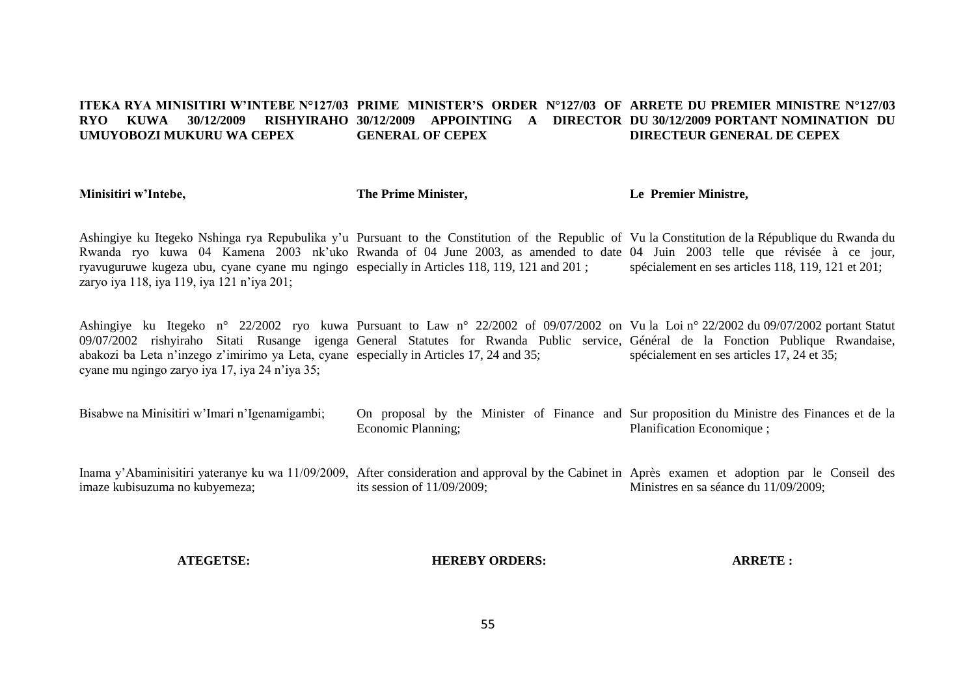### **ITEKA RYA MINISITIRI W'INTEBE N°127/03 PRIME MINISTER'S ORDER N°127/03 OF ARRETE DU PREMIER MINISTRE N°127/03 RYO KUWA 30/12/2009 RISHYIRAHO 30/12/2009 APPOINTING A DIRECTOR DU 30/12/2009 PORTANT NOMINATION DU UMUYOBOZI MUKURU WA CEPEX GENERAL OF CEPEX DIRECTEUR GENERAL DE CEPEX**

**Minisitiri w'Intebe,**

**The Prime Minister,**

**Le Premier Ministre,**

Ashingiye ku Itegeko Nshinga rya Repubulika y'u Pursuant to the Constitution of the Republic of Vu la Constitution de la République du Rwanda du Rwanda ryo kuwa 04 Kamena 2003 nk'uko Rwanda of 04 June 2003, as amended to date 04 Juin 2003 telle que révisée à ce jour, ryavuguruwe kugeza ubu, cyane cyane mu ngingo especially in Articles 118, 119, 121 and 201 ; zaryo iya 118, iya 119, iya 121 n'iya 201; spécialement en ses articles 118, 119, 121 et 201;

Ashingiye ku Itegeko n° 22/2002 ryo kuwa Pursuant to Law n° 22/2002 of 09/07/2002 on Vu la Loi n° 22/2002 du 09/07/2002 portant Statut 09/07/2002 rishyiraho Sitati Rusange igenga General Statutes for Rwanda Public service, Général de la Fonction Publique Rwandaise, abakozi ba Leta n'inzego z'imirimo ya Leta, cyane especially in Articles 17, 24 and 35; cyane mu ngingo zaryo iya 17, iya 24 n'iya 35; spécialement en ses articles 17, 24 et 35;

- Bisabwe na Minisitiri w'Imari n'Igenamigambi; On proposal by the Minister of Finance and Sur proposition du Ministre des Finances et de la Economic Planning; Planification Economique ;
- Inama y'Abaminisitiri yateranye ku wa 11/09/2009, After consideration and approval by the Cabinet in Après examen et adoption par le Conseil des imaze kubisuzuma no kubyemeza; its session of 11/09/2009; Ministres en sa séance du 11/09/2009;

# **ATEGETSE:**

**HEREBY ORDERS:**

**ARRETE :**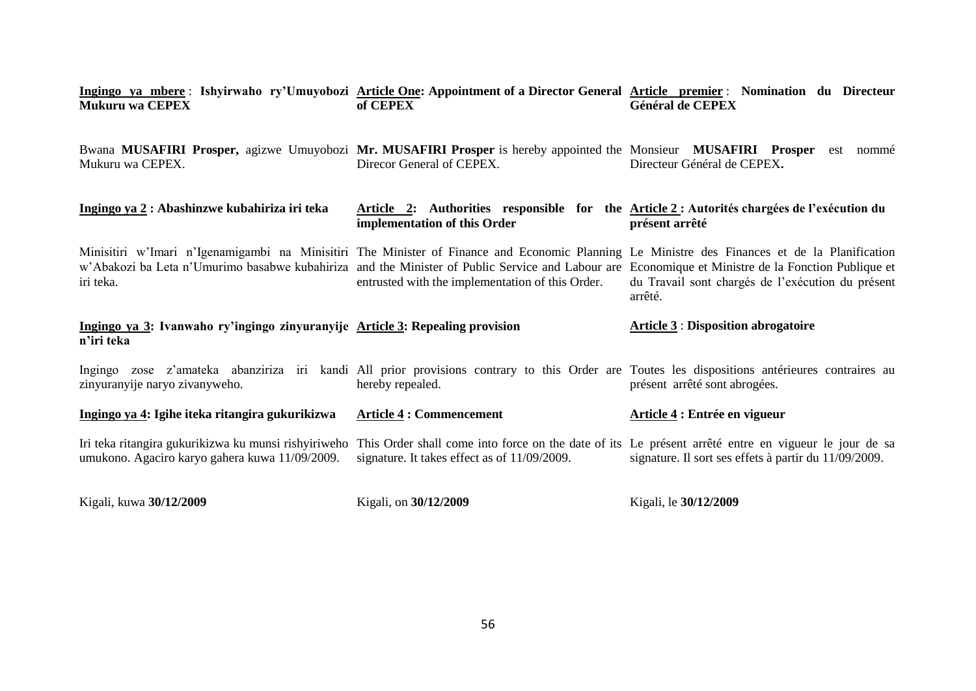| Ingingo ya mbere: Ishyirwaho ry'Umuyobozi Article One: Appointment of a Director General Article premier: Nomination du Directeur<br><b>Mukuru wa CEPEX</b>                                                                                                                                                      | of CEPEX                                                                                                                   | <b>Général de CEPEX</b>                                      |
|------------------------------------------------------------------------------------------------------------------------------------------------------------------------------------------------------------------------------------------------------------------------------------------------------------------|----------------------------------------------------------------------------------------------------------------------------|--------------------------------------------------------------|
| Bwana MUSAFIRI Prosper, agizwe Umuyobozi Mr. MUSAFIRI Prosper is hereby appointed the Monsieur MUSAFIRI Prosper est nommé<br>Mukuru wa CEPEX.                                                                                                                                                                    | Direcor General of CEPEX.                                                                                                  | Directeur Général de CEPEX.                                  |
| Ingingo ya 2: Abashinzwe kubahiriza iri teka                                                                                                                                                                                                                                                                     | Article 2: Authorities responsible for the Article 2: Autorités chargées de l'exécution du<br>implementation of this Order | présent arrêté                                               |
| Minisitiri w'Imari n'Igenamigambi na Minisitiri The Minister of Finance and Economic Planning Le Ministre des Finances et de la Planification<br>w'Abakozi ba Leta n'Umurimo basabwe kubahiriza and the Minister of Public Service and Labour are Economique et Ministre de la Fonction Publique et<br>iri teka. | entrusted with the implementation of this Order.                                                                           | du Travail sont chargés de l'exécution du présent<br>arrêté. |
| Ingingo ya 3: Ivanwaho ry'ingingo zinyuranyije Article 3: Repealing provision<br>n'iri teka                                                                                                                                                                                                                      |                                                                                                                            | <b>Article 3: Disposition abrogatoire</b>                    |
| Ingingo zose z'amateka abanziriza iri kandi All prior provisions contrary to this Order are Toutes les dispositions antérieures contraires au<br>zinyuranyije naryo zivanyweho.                                                                                                                                  | hereby repealed.                                                                                                           | présent arrêté sont abrogées.                                |
| Ingingo ya 4: Igihe iteka ritangira gukurikizwa                                                                                                                                                                                                                                                                  | <b>Article 4 : Commencement</b>                                                                                            | Article 4 : Entrée en vigueur                                |
| Iri teka ritangira gukurikizwa ku munsi rishyiriweho This Order shall come into force on the date of its Le présent arrêté entre en vigueur le jour de sa<br>umukono. Agaciro karyo gahera kuwa 11/09/2009.                                                                                                      | signature. It takes effect as of 11/09/2009.                                                                               | signature. Il sort ses effets à partir du 11/09/2009.        |
| Kigali, kuwa 30/12/2009                                                                                                                                                                                                                                                                                          | Kigali, on 30/12/2009                                                                                                      | Kigali, le 30/12/2009                                        |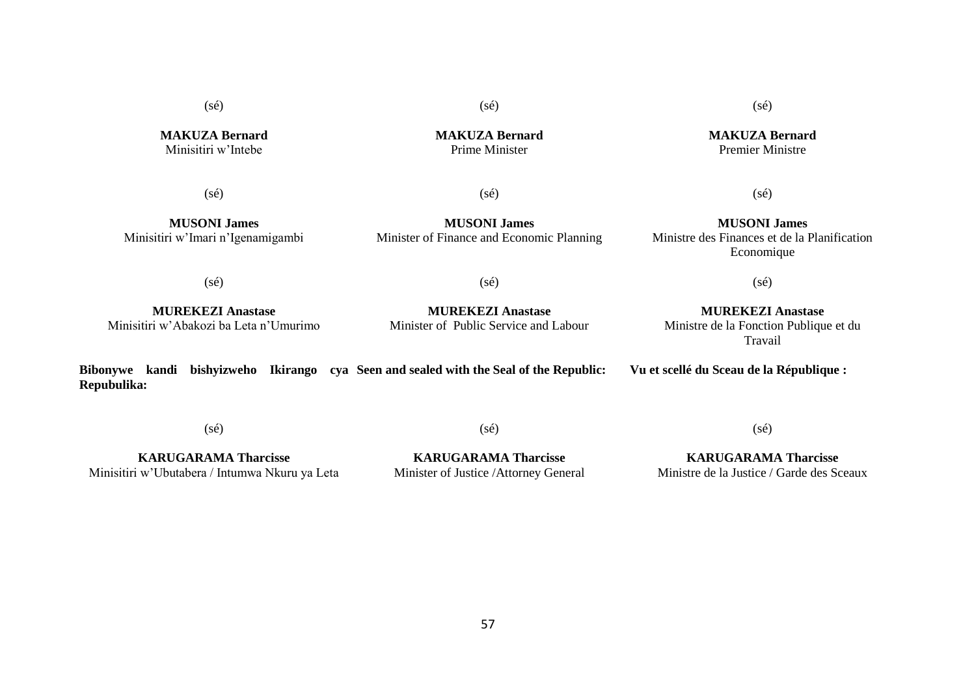(sé)

**MAKUZA Bernard** Minisitiri w'Intebe

**MAKUZA Bernard** Prime Minister

(sé)

**MUSONI James**

(sé)

(sé)

(sé)

Minisitiri w'Imari n'Igenamigambi **MUSONI James** Minister of Finance and Economic Planning

**MUREKEZI Anastase** Minisitiri w'Abakozi ba Leta n'Umurimo

**MUREKEZI Anastase** Minister of Public Service and Labour

**MUREKEZI Anastase** Ministre de la Fonction Publique et du Travail

(sé)

**Bibonywe kandi bishyizweho Ikirango cya Seen and sealed with the Seal of the Republic: Repubulika: Vu et scellé du Sceau de la République :**

(sé)

(sé)

 $(sé)$ 

**KARUGARAMA Tharcisse** Minisitiri w'Ubutabera / Intumwa Nkuru ya Leta

**KARUGARAMA Tharcisse** Minister of Justice /Attorney General

57

**KARUGARAMA Tharcisse** Ministre de la Justice / Garde des Sceaux

**MAKUZA Bernard** Premier Ministre

(sé)

**MUSONI James** Ministre des Finances et de la Planification Economique

(sé)

(sé)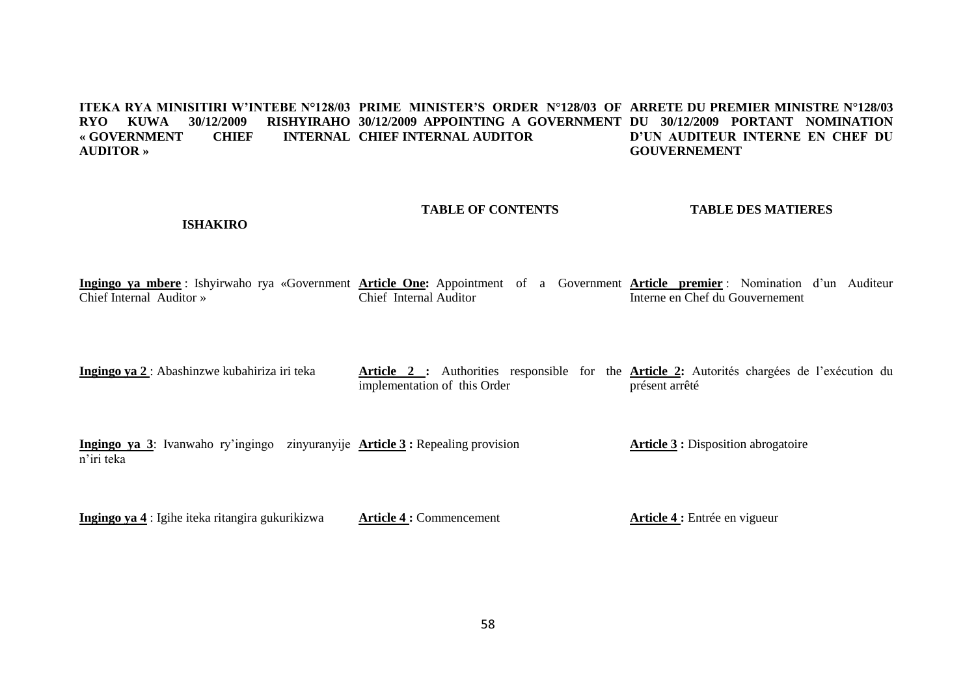#### **ITEKA RYA MINISITIRI W'INTEBE N°128/03 PRIME MINISTER'S ORDER N°128/03 OF ARRETE DU PREMIER MINISTRE N°128/03 RYO KUWA 30/12/2009 RISHYIRAHO 30/12/2009 APPOINTING A GOVERNMENT DU 30/12/2009 PORTANT NOMINATION «** GOVERNMENT CHIEF **AUDITOR » INTERNAL CHIEF INTERNAL AUDITOR D'UN AUDITEUR INTERNE EN CHEF DU GOUVERNEMENT**

# **TABLE OF CONTENTS**

# **TABLE DES MATIERES**

# **ISHAKIRO**

**Ingingo ya mbere** : Ishyirwaho rya «Government **Article One:** Appointment of a Government **Article premier** : Nomination d'un Auditeur Chief Internal Auditor » Chief Internal Auditor Interne en Chef du Gouvernement

**Ingingo ya 2** : Abashinzwe kubahiriza iri teka **Article 2 :** Authorities responsible for the **Article 2:** Autorités chargées de l'exécution du implementation of this Order présent arrêté

**Ingingo ya 3**: Ivanwaho ry'ingingo zinyuranyije **Article 3 :** Repealing provision n'iri teka **Article 3 :** Disposition abrogatoire

**Ingingo ya 4** : Igihe iteka ritangira gukurikizwa **Article 4 :** Commencement **Article 4 :** Entrée en vigueur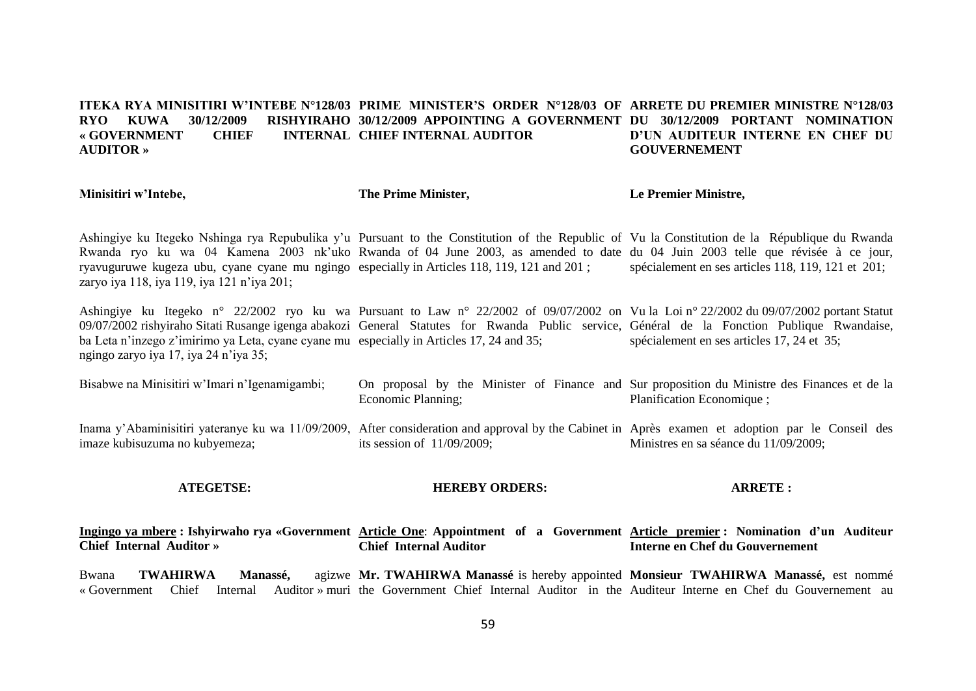#### **ITEKA RYA MINISITIRI W'INTEBE N°128/03 PRIME MINISTER'S ORDER N°128/03 OF ARRETE DU PREMIER MINISTRE N°128/03 RYO KUWA 30/12/2009 « GOVERNMENT CHIEF INTERNAL AUDITOR » 30/12/2009 APPOINTING A GOVERNMENT DU 30/12/2009 PORTANT NOMINATION INTERNAL CHIEF INTERNAL AUDITOR D'UN AUDITEUR INTERNE EN CHEF DU GOUVERNEMENT**

**Minisitiri w'Intebe,**

**The Prime Minister,**

**Le Premier Ministre,**

Ashingiye ku Itegeko Nshinga rya Repubulika y'u Pursuant to the Constitution of the Republic of Vu la Constitution de la République du Rwanda Rwanda ryo ku wa 04 Kamena 2003 nk'uko Rwanda of 04 June 2003, as amended to date du 04 Juin 2003 telle que révisée à ce jour, ryavuguruwe kugeza ubu, cyane cyane mu ngingo especially in Articles 118, 119, 121 and 201 ; zaryo iya 118, iya 119, iya 121 n'iya 201; spécialement en ses articles 118, 119, 121 et 201;

Ashingiye ku Itegeko n° 22/2002 ryo ku wa Pursuant to Law n° 22/2002 of 09/07/2002 on Vu la Loi n° 22/2002 du 09/07/2002 portant Statut 09/07/2002 rishyiraho Sitati Rusange igenga abakozi General Statutes for Rwanda Public service, Général de la Fonction Publique Rwandaise, ba Leta n'inzego z'imirimo ya Leta, cyane cyane mu especially in Articles 17, 24 and 35; ngingo zaryo iya 17, iya 24 n'iya 35; spécialement en ses articles 17, 24 et 35;

| Bisabwe na Minisitiri w'Imari n'Igenamigambi; On proposal by the Minister of Finance and Sur proposition du Ministre des Finances et de la |                    |                            |
|--------------------------------------------------------------------------------------------------------------------------------------------|--------------------|----------------------------|
|                                                                                                                                            | Economic Planning; | Planification Economique : |

Inama y'Abaminisitiri yateranye ku wa 11/09/2009, After consideration and approval by the Cabinet in Après examen et adoption par le Conseil des imaze kubisuzuma no kubyemeza; its session of 11/09/2009; Ministres en sa séance du 11/09/2009;

**ATEGETSE:**

# **HEREBY ORDERS:**

**ARRETE :**

#### **Ingingo ya mbere : Ishyirwaho rya «Government Article One**: **Appointment of a Government Article premier : Nomination d'un Auditeur Chief Internal Auditor » Chief Internal Auditor Interne en Chef du Gouvernement**

Bwana **TWAHIRWA** Manassé. «Government Chief Internal Auditor » muri the Government Chief Internal Auditor in the Auditeur Interne en Chef du Gouvernement au **Mr. TWAHIRWA Manassé** is hereby appointed **Monsieur TWAHIRWA Manassé,** est nommé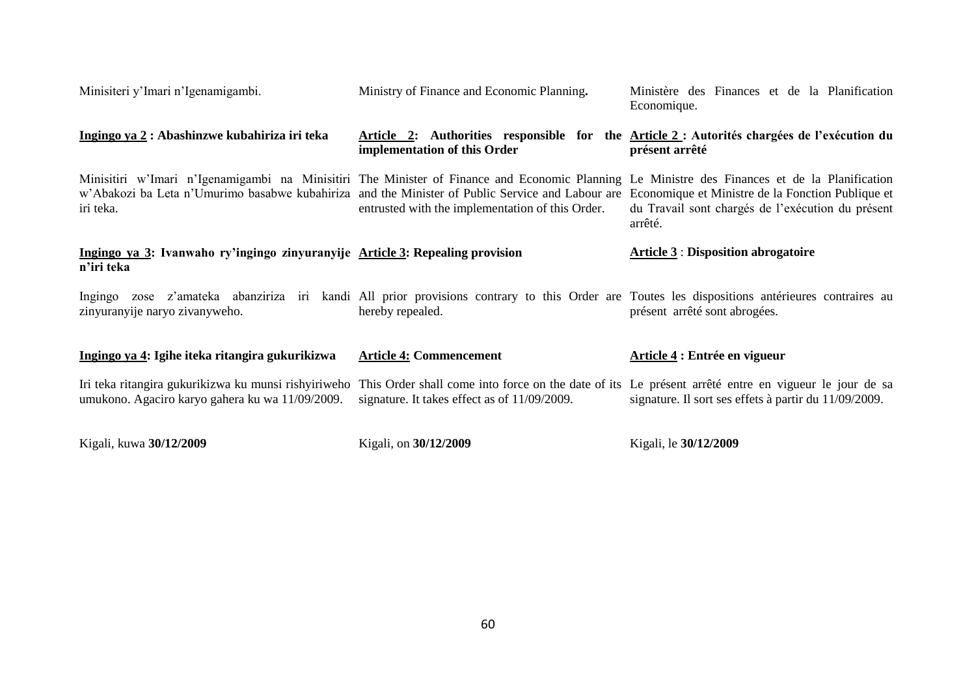| Minisiteri y'Imari n'Igenamigambi.                                                                                                                                                                                                                             | Ministry of Finance and Economic Planning.                                                                                                                | Ministère des Finances et de la Planification<br>Economique.                                                      |
|----------------------------------------------------------------------------------------------------------------------------------------------------------------------------------------------------------------------------------------------------------------|-----------------------------------------------------------------------------------------------------------------------------------------------------------|-------------------------------------------------------------------------------------------------------------------|
| Ingingo ya 2 : Abashinzwe kubahiriza iri teka                                                                                                                                                                                                                  | implementation of this Order                                                                                                                              | Article 2: Authorities responsible for the Article 2 : Autorités chargées de l'exécution du<br>présent arrêté     |
| Minisitiri w'Imari n'Igenamigambi na Minisitiri The Minister of Finance and Economic Planning Le Ministre des Finances et de la Planification<br>w'Abakozi ba Leta n'Umurimo basabwe kubahiriza and the Minister of Public Service and Labour are<br>iri teka. | entrusted with the implementation of this Order.                                                                                                          | Economique et Ministre de la Fonction Publique et<br>du Travail sont chargés de l'exécution du présent<br>arrêté. |
| Ingingo ya 3: Ivanwaho ry'ingingo zinyuranyije Article 3: Repealing provision<br>n'iri teka                                                                                                                                                                    |                                                                                                                                                           | <b>Article 3: Disposition abrogatoire</b>                                                                         |
| Ingingo<br>zinyuranyije naryo zivanyweho.                                                                                                                                                                                                                      | zose z'amateka abanziriza iri kandi All prior provisions contrary to this Order are Toutes les dispositions antérieures contraires au<br>hereby repealed. | présent arrêté sont abrogées.                                                                                     |
| Ingingo ya 4: Igihe iteka ritangira gukurikizwa                                                                                                                                                                                                                | <b>Article 4: Commencement</b>                                                                                                                            | Article 4 : Entrée en vigueur                                                                                     |
| Iri teka ritangira gukurikizwa ku munsi rishyiriweho<br>umukono. Agaciro karyo gahera ku wa 11/09/2009.                                                                                                                                                        | This Order shall come into force on the date of its Le présent arrêté entre en vigueur le jour de sa<br>signature. It takes effect as of 11/09/2009.      | signature. Il sort ses effets à partir du 11/09/2009.                                                             |
| Kigali, kuwa 30/12/2009                                                                                                                                                                                                                                        | Kigali, on 30/12/2009                                                                                                                                     | Kigali, le 30/12/2009                                                                                             |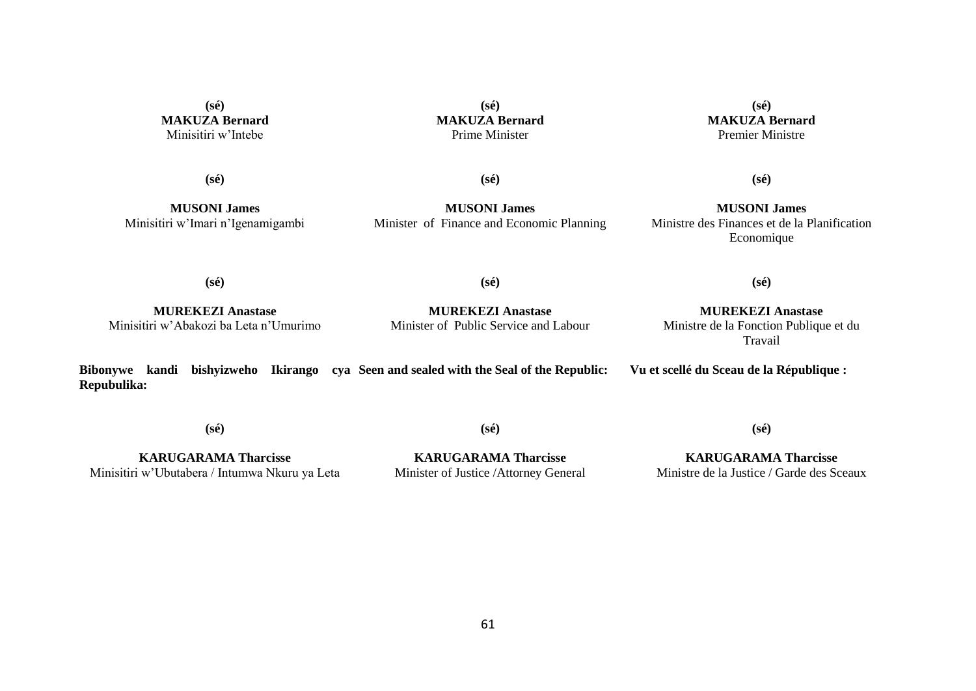**(sé) MAKUZA Bernard** Minisitiri w'Intebe

**(sé) MAKUZA Bernard** Prime Minister

**(sé) MAKUZA Bernard** Premier Ministre

**(sé)**

**MUSONI James** Minisitiri w'Imari n'Igenamigambi **(sé)**

**MUSONI James** Minister of Finance and Economic Planning

**(sé)**

**MUSONI James** Ministre des Finances et de la Planification Economique

**(sé)**

**(sé)**

**MUREKEZI Anastase** Minisitiri w'Abakozi ba Leta n'Umurimo

**MUREKEZI Anastase** Minister of Public Service and Labour

**MUREKEZI Anastase** Ministre de la Fonction Publique et du Travail

**(sé)**

**Bibonywe kandi bishyizweho Ikirango cya Seen and sealed with the Seal of the Republic: Repubulika: Vu et scellé du Sceau de la République :**

**(sé)**

**(sé)**

**KARUGARAMA Tharcisse** Minisitiri w'Ubutabera / Intumwa Nkuru ya Leta

**KARUGARAMA Tharcisse** Minister of Justice /Attorney General

**KARUGARAMA Tharcisse** Ministre de la Justice / Garde des Sceaux

**(sé)**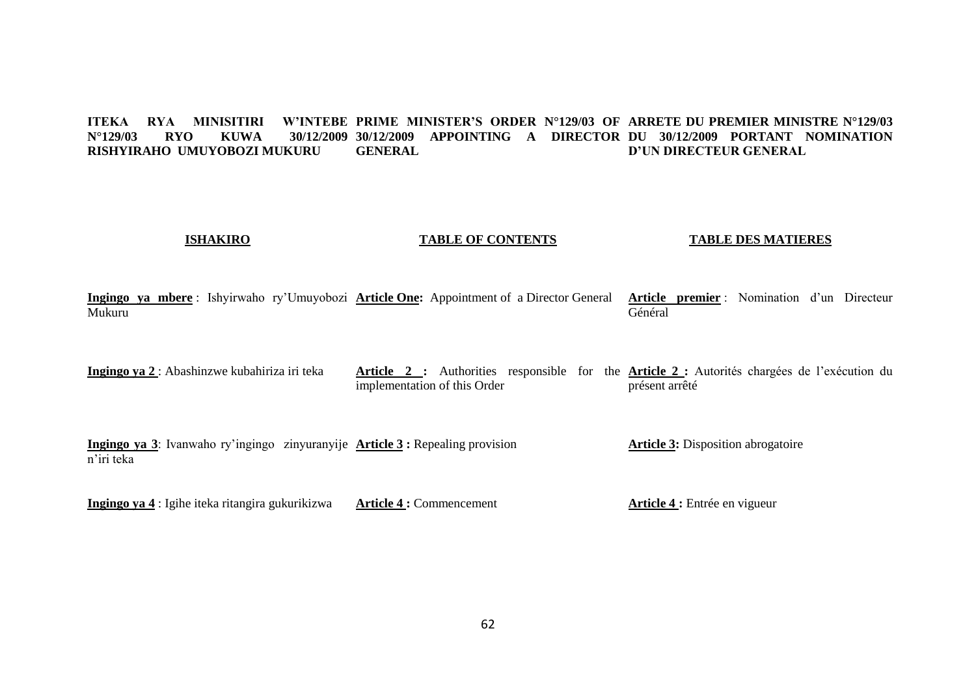#### **ITEKA RYA MINISITIRI W'INTEBE PRIME MINISTER'S ORDER N°129/03 OF ARRETE DU PREMIER MINISTRE N°129/03 N°129/03 RYO KUWA 30/12/2009 30/12/2009 APPOINTING A DIRECTOR DU 30/12/2009 PORTANT NOMINATION RISHYIRAHO UMUYOBOZI MUKURU GENERAL D'UN DIRECTEUR GENERAL**

# **ISHAKIRO**

# **TABLE OF CONTENTS**

# **TABLE DES MATIERES**

**Ingingo ya mbere** : Ishyirwaho ry'Umuyobozi **Article One:** Appointment of a Director General Mukuru **Article premier** : Nomination d'un Directeur Général

**Ingingo ya 2** : Abashinzwe kubahiriza iri teka **Article 2 :** Authorities responsible for the **Article 2 :** Autorités chargées de l'exécution du implementation of this Order présent arrêté

**Ingingo ya 3**: Ivanwaho ry'ingingo zinyuranyije **Article 3 :** Repealing provision n'iri teka **Article 3:** Disposition abrogatoire

**Ingingo ya 4** : Igihe iteka ritangira gukurikizwa **Article 4 :** Commencement **Article 4 :** Entrée en vigueur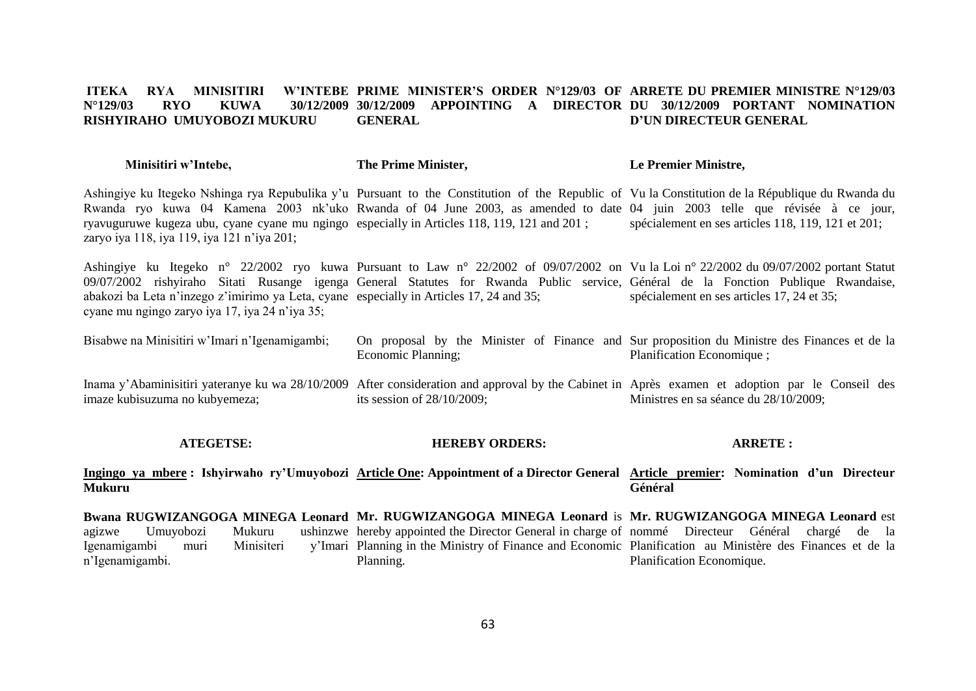#### **ITEKA RYA MINISITIRI N°129/03 RYO KUWA 30/12/2009 30/12/2009 APPOINTING A DIRECTOR DU 30/12/2009 PORTANT NOMINATION RISHYIRAHO UMUYOBOZI MUKURU PRIME MINISTER'S ORDER N°129/03 OF ARRETE DU PREMIER MINISTRE N°129/03 GENERAL D'UN DIRECTEUR GENERAL**

| Minisitiri w'Intebe, | The Prime Minister, | Le Premier Ministre, |
|----------------------|---------------------|----------------------|
|----------------------|---------------------|----------------------|

Ashingiye ku Itegeko Nshinga rya Repubulika y'u Pursuant to the Constitution of the Republic of Vu la Constitution de la République du Rwanda du Rwanda ryo kuwa 04 Kamena 2003 nk'uko Rwanda of 04 June 2003, as amended to date 04 juin 2003 telle que révisée à ce jour, ryavuguruwe kugeza ubu, cyane cyane mu ngingo especially in Articles 118, 119, 121 and 201 ; zaryo iya 118, iya 119, iya 121 n'iya 201; spécialement en ses articles 118, 119, 121 et 201;

Ashingiye ku Itegeko n° 22/2002 ryo kuwa Pursuant to Law n° 22/2002 of 09/07/2002 on Vu la Loi n° 22/2002 du 09/07/2002 portant Statut 09/07/2002 rishyiraho Sitati Rusange igenga General Statutes for Rwanda Public service, Général de la Fonction Publique Rwandaise, abakozi ba Leta n'inzego z'imirimo ya Leta, cyane especially in Articles 17, 24 and 35; cyane mu ngingo zaryo iya 17, iya 24 n'iya 35; spécialement en ses articles 17, 24 et 35;

Bisabwe na Minisitiri w'Imari n'Igenamigambi; On proposal by the Minister of Finance and Sur proposition du Ministre des Finances et de la Economic Planning; Planification Economique ;

Inama y'Abaminisitiri yateranye ku wa 28/10/2009 After consideration and approval by the Cabinet in Après examen et adoption par le Conseil des imaze kubisuzuma no kubyemeza; its session of 28/10/2009; Ministres en sa séance du 28/10/2009;

#### **ATEGETSE: HEREBY ORDERS:**

**ARRETE :**

**Ingingo ya mbere : Ishyirwaho ry'Umuyobozi Article One: Appointment of a Director General Article premier: Nomination d'un Directeur Mukuru Général** 

**Bwana RUGWIZANGOGA MINEGA Leonard Mr. RUGWIZANGOGA MINEGA Leonard** is **Mr. RUGWIZANGOGA MINEGA Leonard** est agizwe Umuyobozi Mukuru Igenamigambi muri Minisiteri n'Igenamigambi. hereby appointed the Director General in charge of nommé Directeur Général chargé de la Planning in the Ministry of Finance and Economic Planification au Ministère des Finances et de la Planning. Planification Economique.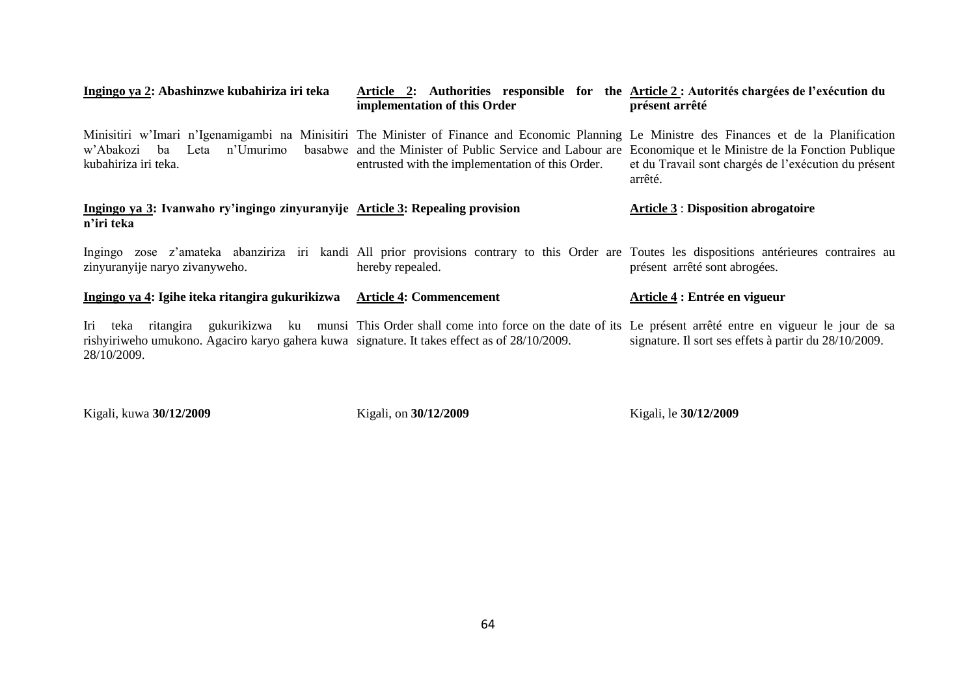| Ingingo ya 2: Abashinzwe kubahiriza iri teka                                                                       | Article 2: Authorities responsible for the Article 2 : Autorités chargées de l'exécution du<br>implementation of this Order                                                                                                                                                                                      | présent arrêté                                                  |
|--------------------------------------------------------------------------------------------------------------------|------------------------------------------------------------------------------------------------------------------------------------------------------------------------------------------------------------------------------------------------------------------------------------------------------------------|-----------------------------------------------------------------|
| w'Abakozi ba Leta n'Umurimo<br>kubahiriza iri teka.                                                                | Minisitiri w'Imari n'Igenamigambi na Minisitiri The Minister of Finance and Economic Planning Le Ministre des Finances et de la Planification<br>basabwe and the Minister of Public Service and Labour are Economique et le Ministre de la Fonction Publique<br>entrusted with the implementation of this Order. | et du Travail sont chargés de l'exécution du présent<br>arrêté. |
| Ingingo ya 3: Ivanwaho ry'ingingo zinyuranyije Article 3: Repealing provision<br>n'iri teka                        |                                                                                                                                                                                                                                                                                                                  | <b>Article 3 : Disposition abrogatoire</b>                      |
| zinyuranyije naryo zivanyweho.                                                                                     | Ingingo zose z'amateka abanziriza iri kandi All prior provisions contrary to this Order are Toutes les dispositions antérieures contraires au<br>hereby repealed.                                                                                                                                                | présent arrêté sont abrogées.                                   |
| Ingingo ya 4: Igihe iteka ritangira gukurikizwa                                                                    | <b>Article 4: Commencement</b>                                                                                                                                                                                                                                                                                   | Article 4 : Entrée en vigueur                                   |
| Iri<br>rishyiriweho umukono. Agaciro karyo gahera kuwa signature. It takes effect as of 28/10/2009.<br>28/10/2009. | teka ritangira gukurikizwa ku munsi This Order shall come into force on the date of its Le présent arrêté entre en vigueur le jour de sa                                                                                                                                                                         | signature. Il sort ses effets à partir du 28/10/2009.           |

Kigali, kuwa **30/12/2009**

Kigali, on **30/12/2009** 

Kigali, le **30/12/2009**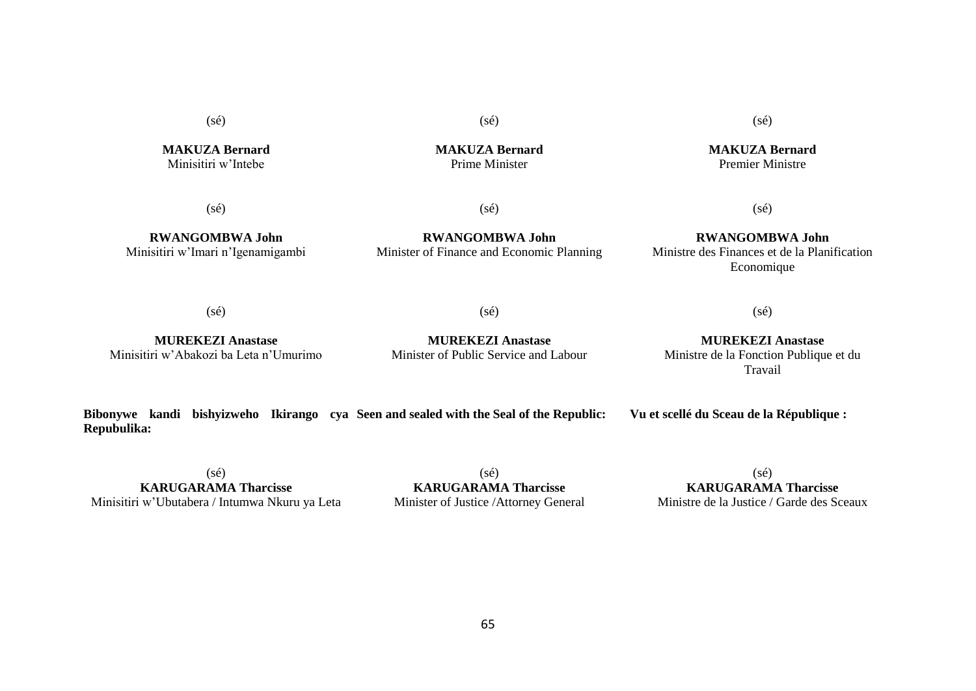(sé)

**MAKUZA Bernard** Minisitiri w'Intebe

(sé)

**RWANGOMBWA John** Minisitiri w'Imari n'Igenamigambi

**RWANGOMBWA John** Minister of Finance and Economic Planning

(sé)

# **RWANGOMBWA John** Ministre des Finances et de la Planification Economique

(sé)

 $(sé)$ 

**MUREKEZI Anastase**

# **MUREKEZI Anastase** Ministre de la Fonction Publique et du Travail

**Bibonywe kandi bishyizweho Ikirango cya Seen and sealed with the Seal of the Republic: Repubulika: Vu et scellé du Sceau de la République :**

 $(sé)$ **KARUGARAMA Tharcisse** Minisitiri w'Ubutabera / Intumwa Nkuru ya Leta

 $(sé)$ **KARUGARAMA Tharcisse** Minister of Justice /Attorney General

65

(sé) **KARUGARAMA Tharcisse** Ministre de la Justice / Garde des Sceaux

(sé)

 $(sé)$ 

Minister of Public Service and Labour

**MUREKEZI Anastase** Minisitiri w'Abakozi ba Leta n'Umurimo **MAKUZA Bernard** Prime Minister

(sé)

**MAKUZA Bernard** Premier Ministre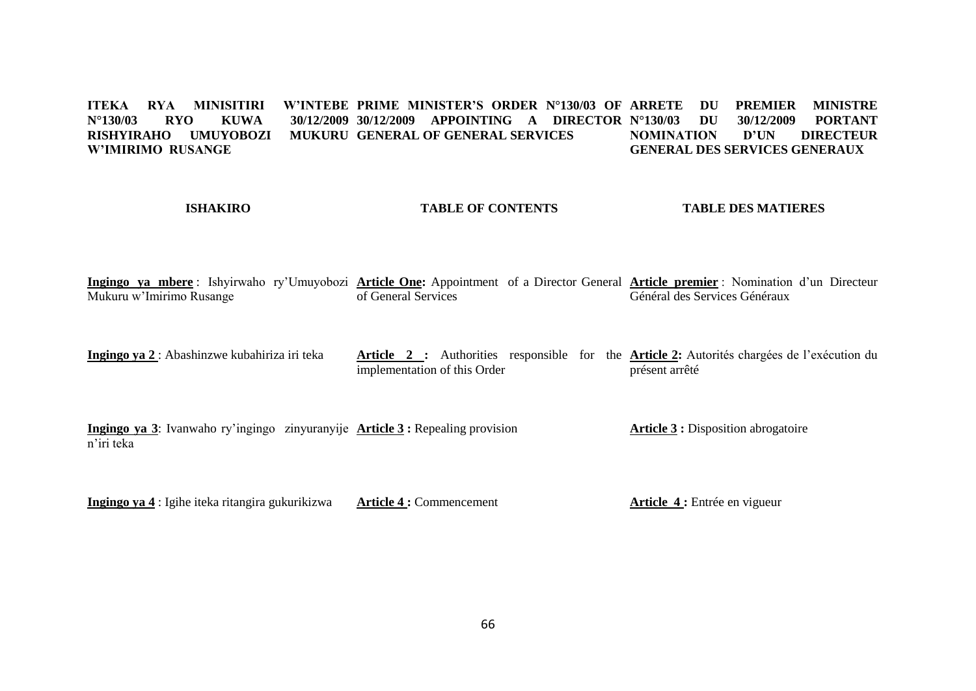ITEKA RYA MINISITIRI W'INTEBE PRIME MINISTER'S ORDER N°130/03 OF ARRETE DU PREMIER MINISTRE **N°130/03 RYO KUWA 30/12/2009 30/12/2009 APPOINTING A DIRECTOR N°130/03 DU 30/12/2009 PORTANT RISHYIRAHO UMUYOBOZI MUKURU GENERAL OF GENERAL SERVICES W'IMIRIMO RUSANGE NOMINATION D'UN DIRECTEUR GENERAL DES SERVICES GENERAUX**

# **ISHAKIRO**

# **TABLE OF CONTENTS**

**TABLE DES MATIERES**

**Ingingo ya mbere** : Ishyirwaho ry'Umuyobozi **Article One:** Appointment of a Director General **Article premier** : Nomination d'un Directeur Mukuru w'Imirimo Rusange of General Services Général des Services Généraux

**Ingingo ya 2** : Abashinzwe kubahiriza iri teka **Article 2 :** Authorities responsible for the **Article 2:** Autorités chargées de l'exécution du implementation of this Order présent arrêté

**Ingingo ya 3**: Ivanwaho ry'ingingo zinyuranyije **Article 3 :** Repealing provision n'iri teka **Article 3 :** Disposition abrogatoire

**Ingingo ya 4** : Igihe iteka ritangira gukurikizwa **Article 4 :** Commencement **Article 4 :** Entrée en vigueur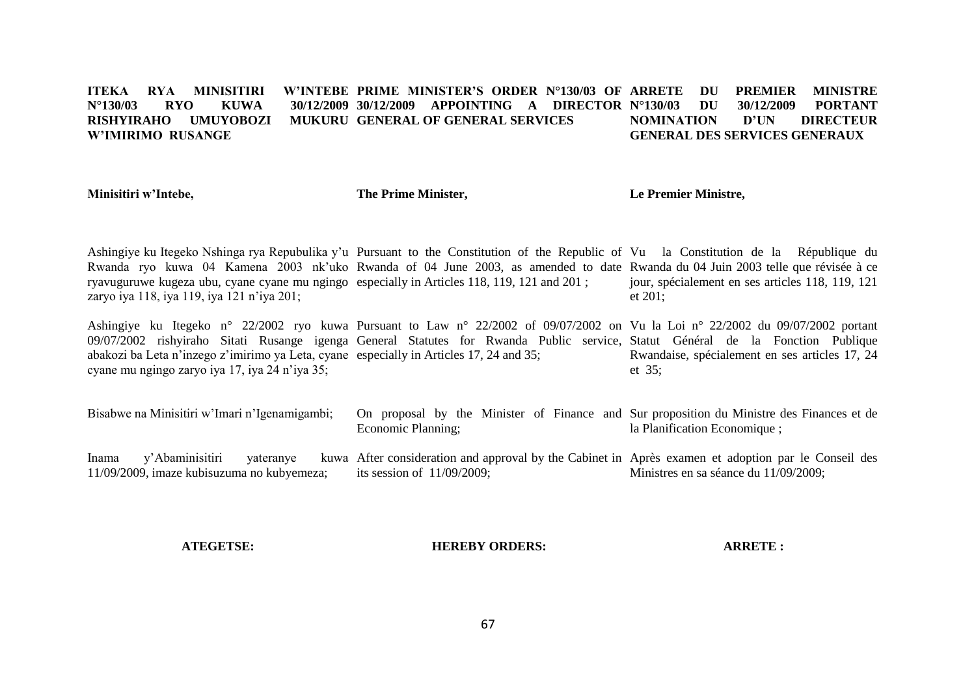#### **ITEKA RYA MINISITIRI N°130/03 RYO KUWA 30/12/2009 30/12/2009 APPOINTING A DIRECTOR N°130/03 DU 30/12/2009 PORTANT RISHYIRAHO UMUYOROZI W'IMIRIMO RUSANGE W'INTEBE PRIME MINISTER'S ORDER N°130/03 OF ARRETE DU MUKURU GENERAL OF GENERAL SERVICES PREMIER MINISTRE NOMINATION D'UN DIRECTEUR GENERAL DES SERVICES GENERAUX**

**Minisitiri w'Intebe,**

**The Prime Minister,**

**Le Premier Ministre,**

Ashingiye ku Itegeko Nshinga rya Repubulika y'u Pursuant to the Constitution of the Republic of Vu la Constitution de la République du Rwanda ryo kuwa 04 Kamena 2003 nk'uko Rwanda of 04 June 2003, as amended to date Rwanda du 04 Juin 2003 telle que révisée à ce ryavuguruwe kugeza ubu, cyane cyane mu ngingo especially in Articles 118, 119, 121 and 201 ; zaryo iya 118, iya 119, iya 121 n'iya 201; jour, spécialement en ses articles 118, 119, 121 et 201;

Ashingiye ku Itegeko n° 22/2002 ryo kuwa Pursuant to Law n° 22/2002 of 09/07/2002 on Vu la Loi n° 22/2002 du 09/07/2002 portant 09/07/2002 rishyiraho Sitati Rusange igenga General Statutes for Rwanda Public service, Statut Général de la Fonction Publique abakozi ba Leta n'inzego z'imirimo ya Leta, cyane especially in Articles 17, 24 and 35; cyane mu ngingo zaryo iya 17, iya 24 n'iya 35; Rwandaise, spécialement en ses articles 17, 24 et 35;

Bisabwe na Minisitiri w'Imari n'Igenamigambi; On proposal by the Minister of Finance and Sur proposition du Ministre des Finances et de Economic Planning; la Planification Economique ;

Inama y'Abaminisitiri yateranye 11/09/2009, imaze kubisuzuma no kubyemeza; After consideration and approval by the Cabinet in Après examen et adoption par le Conseil des its session of 11/09/2009; Ministres en sa séance du 11/09/2009:

**ATEGETSE:**

**HEREBY ORDERS:**

**ARRETE :**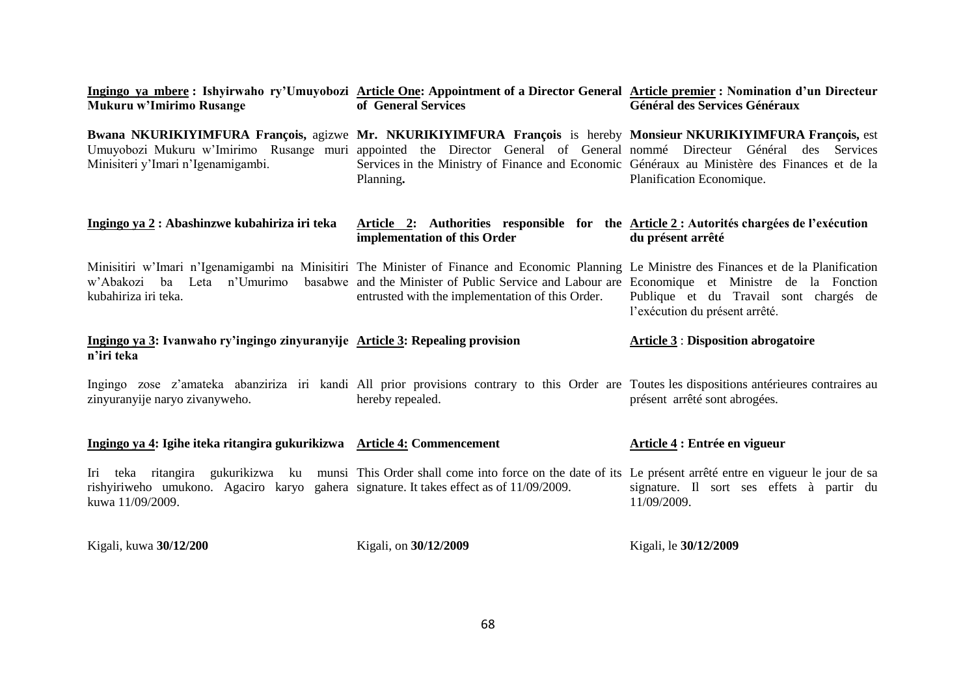| Mukuru w'Imirimo Rusange                                                                                    | Ingingo ya mbere: Ishyirwaho ry'Umuyobozi Article One: Appointment of a Director General Article premier: Nomination d'un Directeur<br>of General Services                                                                                                                                                                          | Général des Services Généraux                                            |
|-------------------------------------------------------------------------------------------------------------|-------------------------------------------------------------------------------------------------------------------------------------------------------------------------------------------------------------------------------------------------------------------------------------------------------------------------------------|--------------------------------------------------------------------------|
| Minisiteri y'Imari n'Igenamigambi.                                                                          | Bwana NKURIKIYIMFURA François, agizwe Mr. NKURIKIYIMFURA François is hereby Monsieur NKURIKIYIMFURA François, est<br>Umuyobozi Mukuru w'Imirimo Rusange muri appointed the Director General of General nommé Directeur<br>Services in the Ministry of Finance and Economic Généraux au Ministère des Finances et de la<br>Planning. | Général<br>Services<br>des<br>Planification Economique.                  |
| Ingingo ya 2 : Abashinzwe kubahiriza iri teka                                                               | Article 2: Authorities responsible for the Article 2: Autorités chargées de l'exécution<br>implementation of this Order                                                                                                                                                                                                             | du présent arrêté                                                        |
| w'Abakozi<br>ba Leta<br>kubahiriza iri teka.                                                                | Minisitiri w'Imari n'Igenamigambi na Minisitiri The Minister of Finance and Economic Planning Le Ministre des Finances et de la Planification<br>n'Umurimo basabwe and the Minister of Public Service and Labour are Economique et Ministre de la Fonction<br>entrusted with the implementation of this Order.                      | Publique et du Travail sont chargés de<br>l'exécution du présent arrêté. |
| Ingingo ya 3: Ivanwaho ry'ingingo zinyuranyije Article 3: Repealing provision<br>n'iri teka                 |                                                                                                                                                                                                                                                                                                                                     | <b>Article 3: Disposition abrogatoire</b>                                |
| zinyuranyije naryo zivanyweho.                                                                              | Ingingo zose z'amateka abanziriza iri kandi All prior provisions contrary to this Order are Toutes les dispositions antérieures contraires au<br>hereby repealed.                                                                                                                                                                   | présent arrêté sont abrogées.                                            |
| Ingingo ya 4: Igihe iteka ritangira gukurikizwa Article 4: Commencement                                     |                                                                                                                                                                                                                                                                                                                                     | Article 4 : Entrée en vigueur                                            |
| rishyiriweho umukono. Agaciro karyo gahera signature. It takes effect as of 11/09/2009.<br>kuwa 11/09/2009. | Iri teka ritangira gukurikizwa ku munsi This Order shall come into force on the date of its Le présent arrêté entre en vigueur le jour de sa                                                                                                                                                                                        | signature. Il sort ses effets à partir du<br>11/09/2009.                 |
| Kigali, kuwa 30/12/200                                                                                      | Kigali, on 30/12/2009                                                                                                                                                                                                                                                                                                               | Kigali, le 30/12/2009                                                    |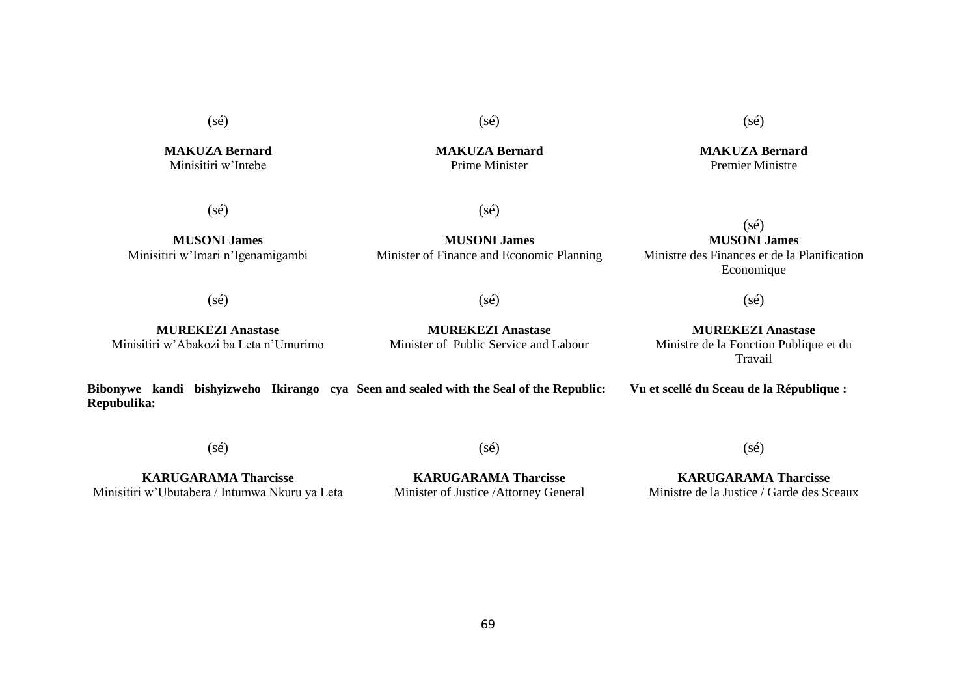(sé)

**MAKUZA Bernard** Minisitiri w'Intebe

**MAKUZA Bernard** Prime Minister

(sé)

 $(sé)$ 

(sé)

**MUSONI James** Minisitiri w'Imari n'Igenamigambi

**MUSONI James** Minister of Finance and Economic Planning

# $(sé)$ **MUSONI James** Ministre des Finances et de la Planification Economique

(sé)

(sé)

**MUREKEZI Anastase** Minisitiri w'Abakozi ba Leta n'Umurimo

**MUREKEZI Anastase** Minister of Public Service and Labour

**MUREKEZI Anastase** Ministre de la Fonction Publique et du Travail

(sé)

**Bibonywe kandi bishyizweho Ikirango cya Seen and sealed with the Seal of the Republic: Repubulika: Vu et scellé du Sceau de la République :**

(sé)

(sé)

**KARUGARAMA Tharcisse** Minisitiri w'Ubutabera / Intumwa Nkuru ya Leta

**KARUGARAMA Tharcisse** Minister of Justice /Attorney General

**KARUGARAMA Tharcisse** Ministre de la Justice / Garde des Sceaux

(sé)

**MAKUZA Bernard** Premier Ministre

(sé)

69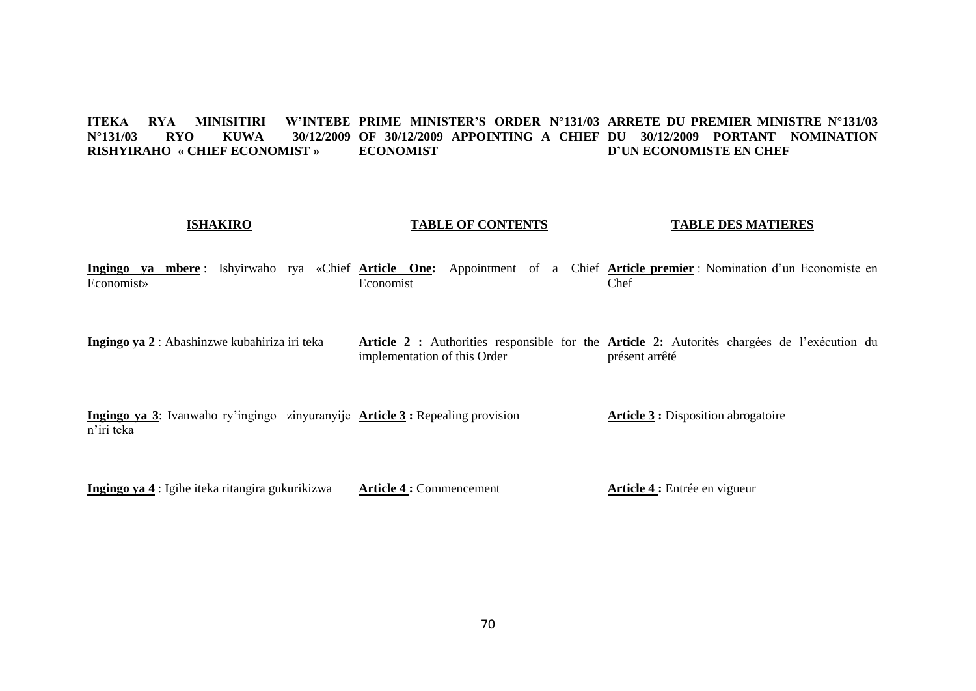#### **ITEKA RYA MINISITIRI W'INTEBE PRIME MINISTER'S ORDER N°131/03 ARRETE DU PREMIER MINISTRE N°131/03 N°131/03 RYO KUWA 30/12/2009 OF 30/12/2009 APPOINTING A CHIEF DU 30/12/2009 PORTANT NOMINATION RISHYIRAHO « CHIEF ECONOMIST » ECONOMIST D'UN ECONOMISTE EN CHEF**

# **ISHAKIRO**

# **TABLE OF CONTENTS**

### **TABLE DES MATIERES**

**Article 4 :** Entrée en vigueur

**Ingingo ya mbere** : Ishyirwaho rya «Chief **Article One:** Appointment of a Chief **Article premier** : Nomination d'un Economiste en Economist» Economist Chef

**Ingingo ya 2** : Abashinzwe kubahiriza iri teka **Article 2 :** Authorities responsible for the **Article 2:** Autorités chargées de l'exécution du implementation of this Order présent arrêté

**Ingingo ya 3**: Ivanwaho ry'ingingo zinyuranyije **Article 3 :** Repealing provision n'iri teka **Article 3 :** Disposition abrogatoire

**Ingingo ya 4** : Igihe iteka ritangira gukurikizwa **Article 4 :** Commencement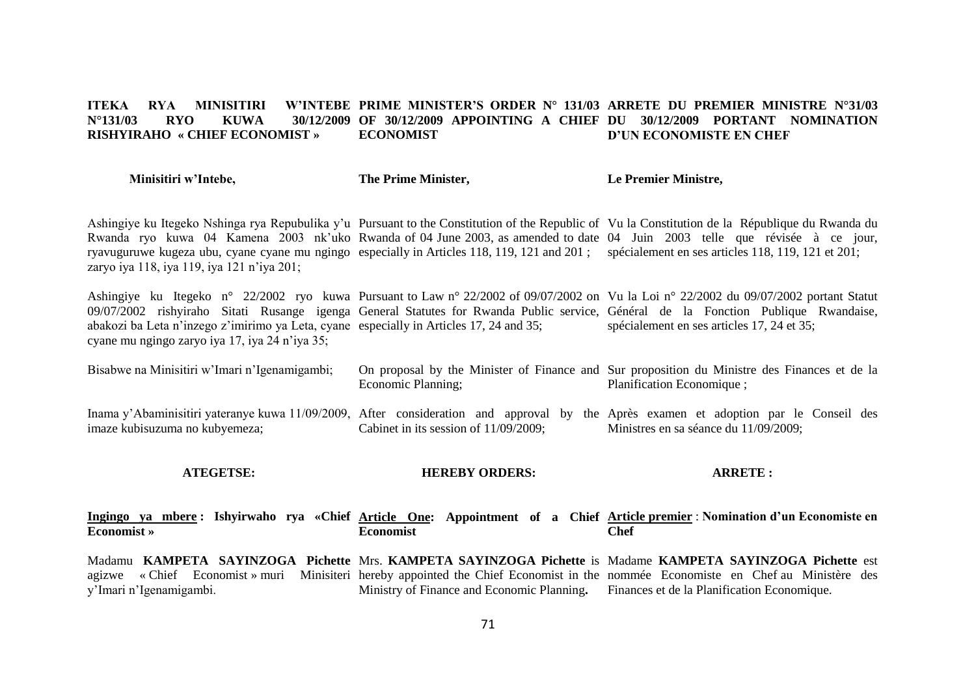#### **ITEKA RYA MINISITIRI<br>N°131/03 RYO KUWA N°131/03 RYO KUWA 30/12/2009 OF 30/12/2009 APPOINTING A CHIEF DU 30/12/2009 PORTANT NOMINATION RISHYIRAHO « CHIEF ECONOMIST » PRIME MINISTER'S ORDER N° 131/03 ARRETE DU PREMIER MINISTRE N°31/03 ECONOMIST D'UN ECONOMISTE EN CHEF**

| Minisitiri w'Intebe, | The Prime Minister, | Le Premier Ministre, |
|----------------------|---------------------|----------------------|
|----------------------|---------------------|----------------------|

Ashingiye ku Itegeko Nshinga rya Repubulika y'u Pursuant to the Constitution of the Republic of Vu la Constitution de la République du Rwanda du Rwanda ryo kuwa 04 Kamena 2003 nk'uko Rwanda of 04 June 2003, as amended to date 04 Juin 2003 telle que révisée à ce jour, ryavuguruwe kugeza ubu, cyane cyane mu ngingo especially in Articles 118, 119, 121 and 201; spécialement en ses articles 118, 119, 121 et 201; zaryo iya 118, iya 119, iya 121 n'iya 201;

Ashingiye ku Itegeko n° 22/2002 ryo kuwa Pursuant to Law n° 22/2002 of 09/07/2002 on Vu la Loi n° 22/2002 du 09/07/2002 portant Statut 09/07/2002 rishyiraho Sitati Rusange igenga General Statutes for Rwanda Public service, Général de la Fonction Publique Rwandaise, abakozi ba Leta n'inzego z'imirimo ya Leta, cyane especially in Articles 17, 24 and 35; cyane mu ngingo zaryo iya 17, iya 24 n'iya 35; spécialement en ses articles 17, 24 et 35;

Bisabwe na Minisitiri w'Imari n'Igenamigambi; On proposal by the Minister of Finance and Sur proposition du Ministre des Finances et de la Economic Planning; Planification Economique ;

Inama y'Abaminisitiri yateranye kuwa 11/09/2009, After consideration and approval by the Après examen et adoption par le Conseil des imaze kubisuzuma no kubyemeza; Cabinet in its session of 11/09/2009; Ministres en sa séance du 11/09/2009;

### **ATEGETSE:**

### **HEREBY ORDERS:**

**ARRETE :**

**Ingingo ya mbere : Ishyirwaho rya «Chief Article One: Appointment of a Chief Article premier** : **Nomination d'un Economiste en Economist » Economist Chef**

Madamu **KAMPETA SAYINZOGA Pichette** Mrs. **KAMPETA SAYINZOGA Pichette** is Madame **KAMPETA SAYINZOGA Pichette** est agizwe « Chief Economist » muri Minisiteri hereby appointed the Chief Economist in the nommée Economiste en Chef au Ministère des y'Imari n'Igenamigambi. Ministry of Finance and Economic Planning**.** Finances et de la Planification Economique.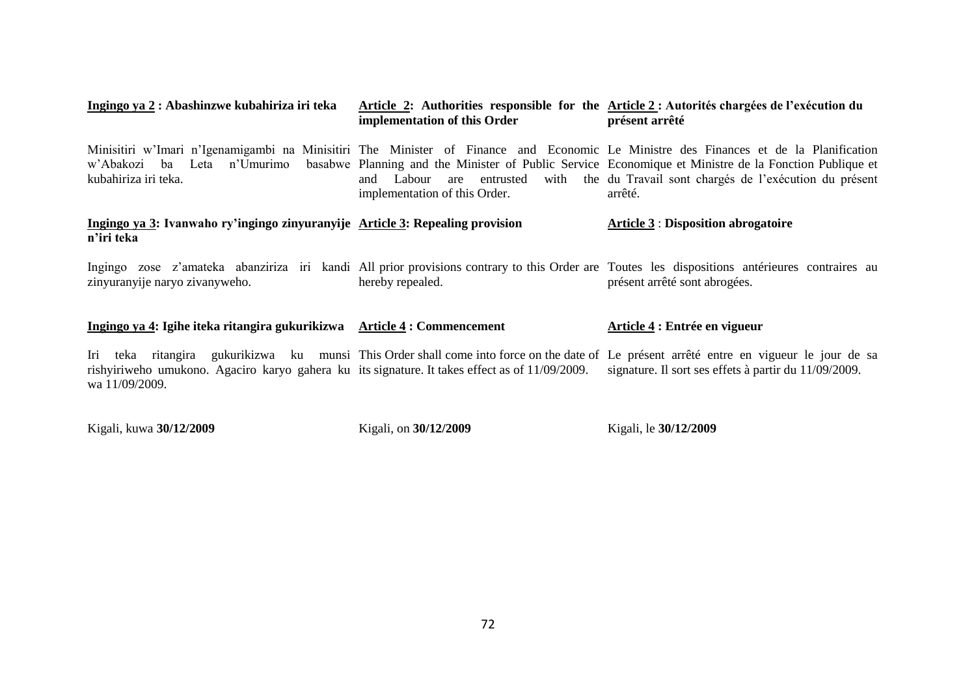| Ingingo ya 2 : Abashinzwe kubahiriza iri teka                                                                    | implementation of this Order  | Article 2: Authorities responsible for the Article 2: Autorités chargées de l'exécution du<br>présent arrêté                                                                                                                                                                                                                                                                |
|------------------------------------------------------------------------------------------------------------------|-------------------------------|-----------------------------------------------------------------------------------------------------------------------------------------------------------------------------------------------------------------------------------------------------------------------------------------------------------------------------------------------------------------------------|
| kubahiriza iri teka.                                                                                             | implementation of this Order. | Minisitiri w'Imari n'Igenamigambi na Minisitiri The Minister of Finance and Economic Le Ministre des Finances et de la Planification<br>w'Abakozi ba Leta n'Umurimo basabwe Planning and the Minister of Public Service Economique et Ministre de la Fonction Publique et<br>and Labour are entrusted with the du Travail sont chargés de l'exécution du présent<br>arrêté. |
| Ingingo ya 3: Ivanwaho ry'ingingo zinyuranyije Article 3: Repealing provision<br>n'iri teka                      |                               | $Article 3 : Disposition abrogatoire$                                                                                                                                                                                                                                                                                                                                       |
| zinyuranyije naryo zivanyweho.                                                                                   | hereby repealed.              | Ingingo zose z'amateka abanziriza iri kandi All prior provisions contrary to this Order are Toutes les dispositions antérieures contraires au<br>présent arrêté sont abrogées.                                                                                                                                                                                              |
| Ingingo ya 4: Igihe iteka ritangira gukurikizwa Article 4: Commencement                                          |                               | Article 4 : Entrée en vigueur                                                                                                                                                                                                                                                                                                                                               |
| rishyiriweho umukono. Agaciro karyo gahera ku its signature. It takes effect as of 11/09/2009.<br>wa 11/09/2009. |                               | Iri teka ritangira gukurikizwa ku munsi This Order shall come into force on the date of Le présent arrêté entre en vigueur le jour de sa<br>signature. Il sort ses effets à partir du 11/09/2009.                                                                                                                                                                           |

Kigali, kuwa **30/12/2009**

Kigali, on **30/12/2009**

Kigali, le **30/12/2009**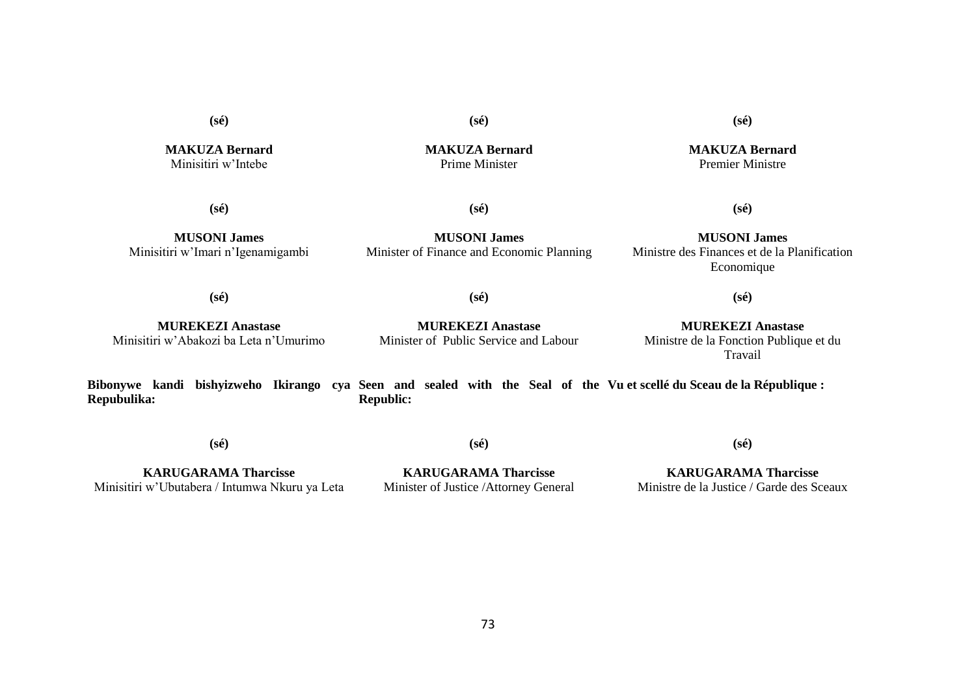**(sé)**

**MAKUZA Bernard** Minisitiri w'Intebe

**(sé) MAKUZA Bernard**

Prime Minister

**(sé)**

**MAKUZA Bernard** Premier Ministre

**(sé)**

**(sé)**

**MUSONI James** Minisitiri w'Imari n'Igenamigambi

**MUSONI James** Minister of Finance and Economic Planning

**MUSONI James** Ministre des Finances et de la Planification Economique

**(sé)**

**(sé)**

**(sé)**

**MUREKEZI Anastase** Minisitiri w'Abakozi ba Leta n'Umurimo

**MUREKEZI Anastase** Minister of Public Service and Labour

**MUREKEZI Anastase** Ministre de la Fonction Publique et du Travail

**(sé)**

**Bibonywe kandi bishyizweho Ikirango cya Seen and sealed with the Seal of the Vu et scellé du Sceau de la République : Repubulika: Republic:**

**(sé)**

**KARUGARAMA Tharcisse** Minisitiri w'Ubutabera / Intumwa Nkuru ya Leta

**KARUGARAMA Tharcisse** Minister of Justice /Attorney General

**(sé)**

**KARUGARAMA Tharcisse** Ministre de la Justice / Garde des Sceaux

**(sé)**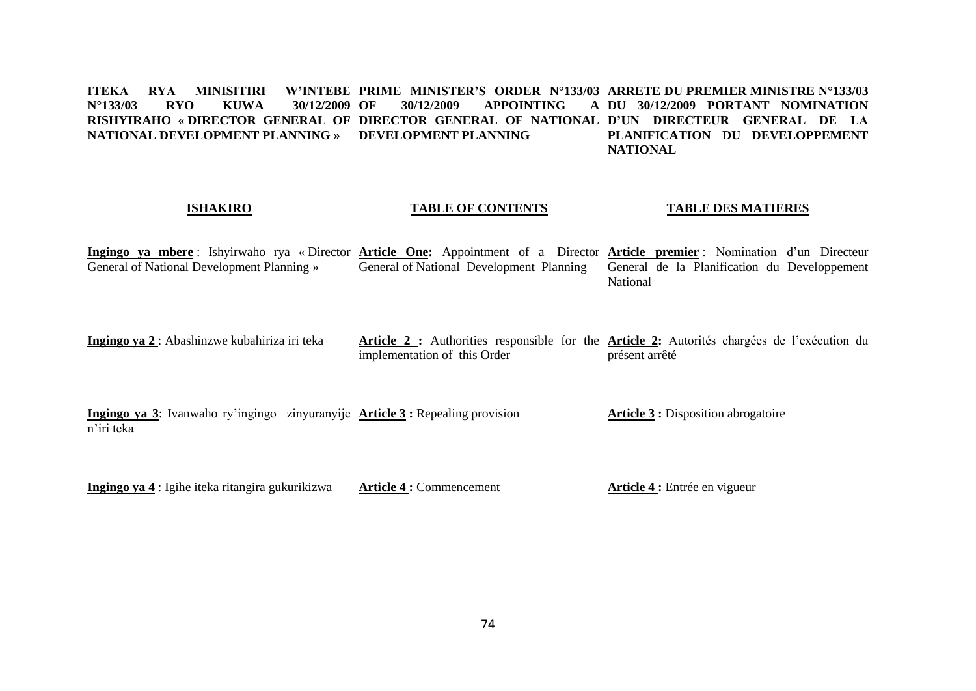#### **ITEKA RYA MINISITIRI N°133/03 RYO KUWA 30/12/2009 RISHYIRAHO « DIRECTOR GENERAL OF DIRECTOR GENERAL OF NATIONAL D'UN DIRECTEUR GENERAL DE LA NATIONAL DEVELOPMENT PLANNING » DEVELOPMENT PLANNING PRIME MINISTER'S ORDER N°133/03 ARRETE DU PREMIER MINISTRE N°133/03 OF 30/12/2009 APPOINTING A DU 30/12/2009 PORTANT NOMINATION PLANIFICATION DU DEVELOPPEMENT NATIONAL**

#### **ISHAKIRO**

#### **TABLE OF CONTENTS**

#### **TABLE DES MATIERES**

**Ingingo ya mbere** : Ishyirwaho rya « Director **Article One:** Appointment of a Director **Article premier** : Nomination d'un Directeur General of National Development Planning » General of National Development Planning General de la Planification du Developpement National

**Ingingo ya 2** : Abashinzwe kubahiriza iri teka **Article 2 :** Authorities responsible for the **Article 2:** Autorités chargées de l'exécution du implementation of this Order présent arrêté

**Ingingo ya 3**: Ivanwaho ry'ingingo zinyuranyije **Article 3 :** Repealing provision n'iri teka **Article 3 :** Disposition abrogatoire

**Ingingo ya 4** : Igihe iteka ritangira gukurikizwa **Article 4 :** Commencement **Article 4 :** Entrée en vigueur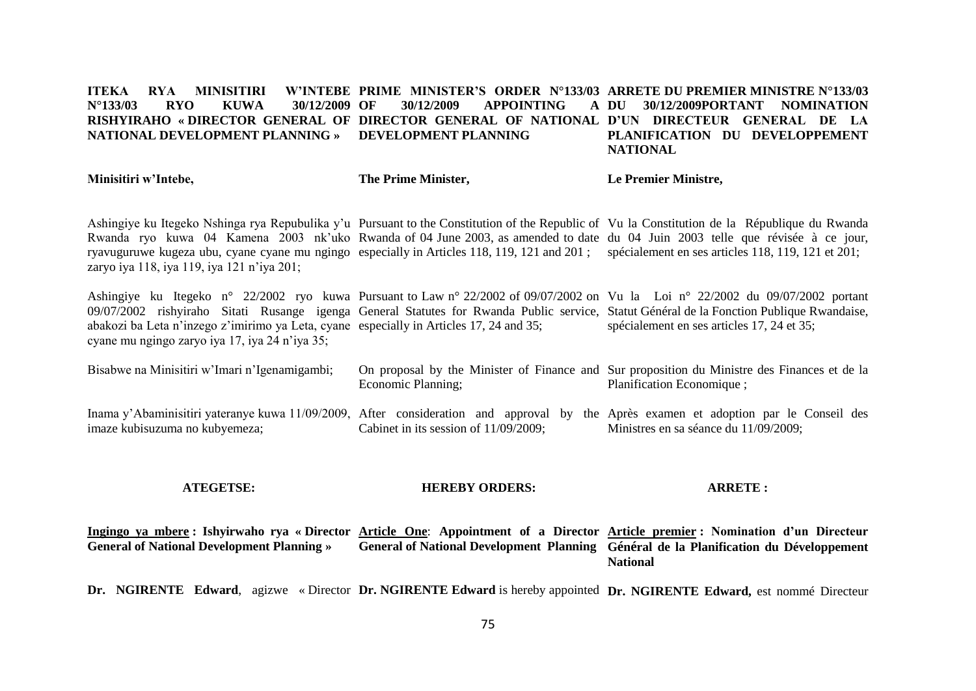#### **ITEKA RYA MINISITIRI N°133/03 RYO KUWA 30/12/2009 RISHYIRAHO « DIRECTOR GENERAL OF DIRECTOR GENERAL OF NATIONAL D'UN DIRECTEUR GENERAL DE LA NATIONAL DEVELOPMENT PLANNING » DEVELOPMENT PLANNING PRIME MINISTER'S ORDER N°133/03 ARRETE DU PREMIER MINISTRE N°133/03 OF 30/12/2009 APPOINTING A DU 30/12/2009PORTANT NOMINATION PLANIFICATION DU DEVELOPPEMENT NATIONAL**

| Minisitiri w'Intebe,                                                                                                                                                                                                                                                                                                                                                                                                                                                           | The Prime Minister,                      | Le Premier Ministre,                                                                                                                                                          |
|--------------------------------------------------------------------------------------------------------------------------------------------------------------------------------------------------------------------------------------------------------------------------------------------------------------------------------------------------------------------------------------------------------------------------------------------------------------------------------|------------------------------------------|-------------------------------------------------------------------------------------------------------------------------------------------------------------------------------|
| Ashingiye ku Itegeko Nshinga rya Repubulika y'u Pursuant to the Constitution of the Republic of Vu la Constitution de la République du Rwanda<br>Rwanda ryo kuwa 04 Kamena 2003 nk'uko Rwanda of 04 June 2003, as amended to date du 04 Juin 2003 telle que révisée à ce jour,<br>ryavuguruwe kugeza ubu, cyane cyane mu ngingo especially in Articles 118, 119, 121 and 201; spécialement en ses articles 118, 119, 121 et 201;<br>zaryo iya 118, iya 119, iya 121 n'iya 201; |                                          |                                                                                                                                                                               |
| 09/07/2002 rishyiraho Sitati Rusange igenga General Statutes for Rwanda Public service, Statut Général de la Fonction Publique Rwandaise,<br>abakozi ba Leta n'inzego z'imirimo ya Leta, cyane especially in Articles 17, 24 and 35;<br>cyane mu ngingo zaryo iya 17, iya 24 n'iya 35;                                                                                                                                                                                         |                                          | Ashingiye ku Itegeko n° 22/2002 ryo kuwa Pursuant to Law n° 22/2002 of 09/07/2002 on Vu la Loi n° 22/2002 du 09/07/2002 portant<br>spécialement en ses articles 17, 24 et 35; |
| Bisabwe na Minisitiri w'Imari n'Igenamigambi;                                                                                                                                                                                                                                                                                                                                                                                                                                  | Economic Planning;                       | On proposal by the Minister of Finance and Sur proposition du Ministre des Finances et de la<br>Planification Economique;                                                     |
| Inama y'Abaminisitiri yateranye kuwa 11/09/2009, After consideration and approval by<br>imaze kubisuzuma no kubyemeza;                                                                                                                                                                                                                                                                                                                                                         | Cabinet in its session of $11/09/2009$ ; | the Après examen et adoption par le Conseil des<br>Ministres en sa séance du 11/09/2009;                                                                                      |

**ATEGETSE:**

#### **HEREBY ORDERS:**

**ARRETE :**

Ingingo ya mbere : Ishyirwaho rya «Director Article One: Appointment of a Director Article premier : Nomination d'un Directeur **General of National Development Planning » General of National Development Planning Général de la Planification du Développement National**

Dr. NGIRENTE Edward, agizwe « Director Dr. NGIRENTE Edward is hereby appointed Dr. NGIRENTE Edward, est nommé Directeur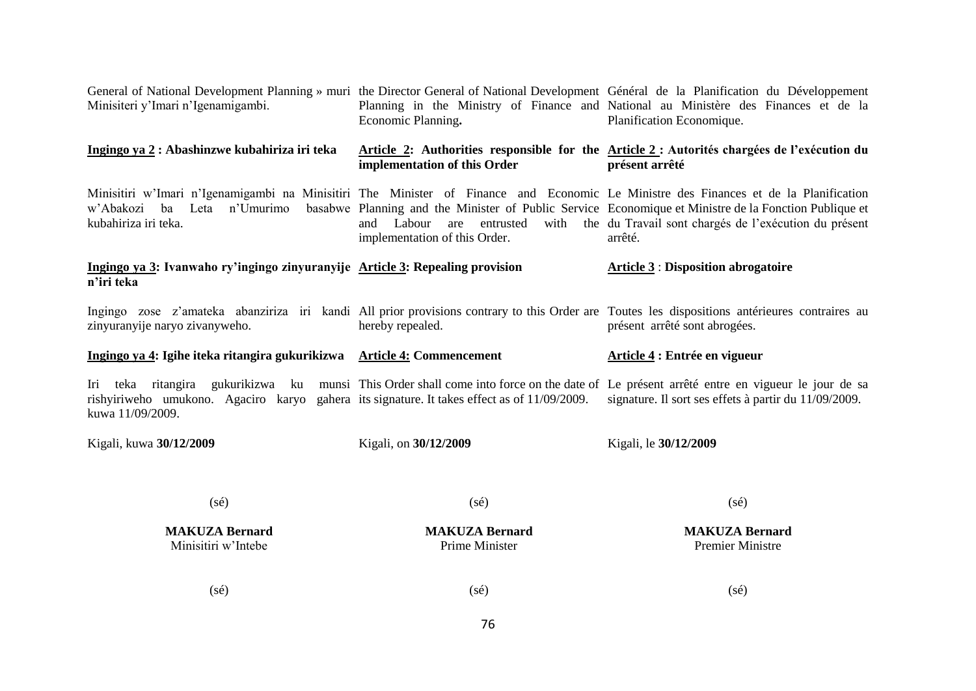| General of National Development Planning » muri the Director General of National Development Général de la Planification du Développement<br>Minisiteri y'Imari n'Igenamigambi.                                                                             | Economic Planning.                                              | Planning in the Ministry of Finance and National au Ministère des Finances et de la<br>Planification Economique.                                                               |
|-------------------------------------------------------------------------------------------------------------------------------------------------------------------------------------------------------------------------------------------------------------|-----------------------------------------------------------------|--------------------------------------------------------------------------------------------------------------------------------------------------------------------------------|
| Ingingo ya 2 : Abashinzwe kubahiriza iri teka                                                                                                                                                                                                               | implementation of this Order                                    | Article 2: Authorities responsible for the Article 2: Autorités chargées de l'exécution du<br>présent arrêté                                                                   |
| Minisitiri w'Imari n'Igenamigambi na Minisitiri The Minister of Finance and Economic Le Ministre des Finances et de la Planification<br>ba Leta n'Umurimo<br>w'Abakozi<br>kubahiriza iri teka.                                                              | and Labour<br>entrusted<br>are<br>implementation of this Order. | basabwe Planning and the Minister of Public Service Economique et Ministre de la Fonction Publique et<br>with the du Travail sont chargés de l'exécution du présent<br>arrêté. |
| Ingingo ya 3: Ivanwaho ry'ingingo zinyuranyije Article 3: Repealing provision<br>n'iri teka                                                                                                                                                                 |                                                                 | <b>Article 3: Disposition abrogatoire</b>                                                                                                                                      |
| zinyuranyije naryo zivanyweho.                                                                                                                                                                                                                              | hereby repealed.                                                | Ingingo zose z'amateka abanziriza iri kandi All prior provisions contrary to this Order are Toutes les dispositions antérieures contraires au<br>présent arrêté sont abrogées. |
|                                                                                                                                                                                                                                                             |                                                                 |                                                                                                                                                                                |
| Ingingo ya 4: Igihe iteka ritangira gukurikizwa Article 4: Commencement                                                                                                                                                                                     |                                                                 | Article 4 : Entrée en vigueur                                                                                                                                                  |
| Iri teka ritangira gukurikizwa ku munsi This Order shall come into force on the date of Le présent arrêté entre en vigueur le jour de sa<br>rishyiriweho umukono. Agaciro karyo gahera its signature. It takes effect as of 11/09/2009.<br>kuwa 11/09/2009. |                                                                 | signature. Il sort ses effets à partir du 11/09/2009.                                                                                                                          |
| Kigali, kuwa 30/12/2009                                                                                                                                                                                                                                     | Kigali, on 30/12/2009                                           | Kigali, le 30/12/2009                                                                                                                                                          |
| (sé)                                                                                                                                                                                                                                                        | $(s\acute{e})$                                                  | $(s\acute{e})$                                                                                                                                                                 |
| <b>MAKUZA Bernard</b><br>Minisitiri w'Intebe                                                                                                                                                                                                                | <b>MAKUZA Bernard</b><br>Prime Minister                         | <b>MAKUZA Bernard</b><br><b>Premier Ministre</b>                                                                                                                               |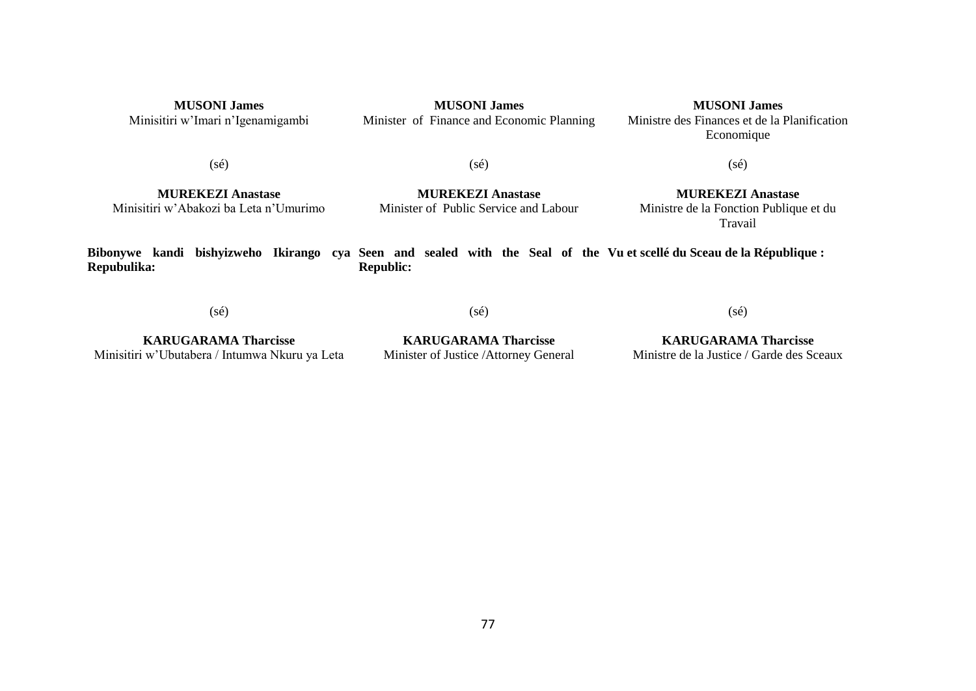| <b>MUSONI James</b>               | <b>MUSONI James</b>                       | <b>MUSONI</b> James                          |
|-----------------------------------|-------------------------------------------|----------------------------------------------|
| Minisitiri w'Imari n'Igenamigambi | Minister of Finance and Economic Planning | Ministre des Finances et de la Planification |
|                                   |                                           | Economique                                   |

(sé)

(sé)

**MUREKEZI Anastase** Minisitiri w'Abakozi ba Leta n'Umurimo

**MUREKEZI Anastase** Minister of Public Service and Labour

**MUREKEZI Anastase** Ministre de la Fonction Publique et du Travail

(sé)

**Bibonywe kandi bishyizweho Ikirango cya Seen and sealed with the Seal of the Vu et scellé du Sceau de la République : Repubulika: Republic:**

(sé)

(sé)

**KARUGARAMA Tharcisse** Minisitiri w'Ubutabera / Intumwa Nkuru ya Leta

**KARUGARAMA Tharcisse** Minister of Justice /Attorney General

**KARUGARAMA Tharcisse** Ministre de la Justice / Garde des Sceaux

(sé)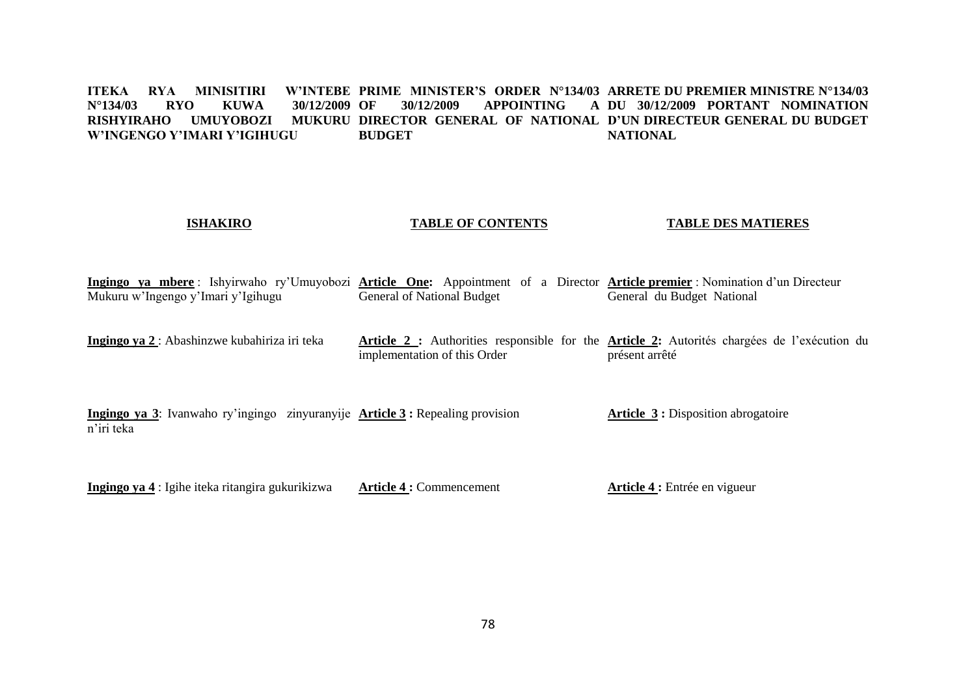#### **ITEKA RYA MINISITIRI<br>N°134/03 RYO KUWA N°134/03 RYO KUWA 30/12/2009**  RISHYIRAHO UMUYOBOZI MUKURU DIRECTOR GENERAL OF NATIONAL D'UN DIRECTEUR GENERAL DU BUDGET **W'INGENGO Y'IMARI Y'IGIHUGU PRIME MINISTER'S ORDER N°134/03 ARRETE DU PREMIER MINISTRE N°134/03 OF 30/12/2009 APPOINTING A BUDGET DU 30/12/2009 PORTANT NOMINATION NATIONAL**

# **ISHAKIRO**

#### **TABLE OF CONTENTS**

#### **TABLE DES MATIERES**

**Ingingo ya mbere** : Ishyirwaho ry'Umuyobozi **Article One:** Appointment of a Director **Article premier** : Nomination d'un Directeur Mukuru w'Ingengo y'Imari y'Igihugu General of National Budget General du Budget National

**Ingingo ya 2** : Abashinzwe kubahiriza iri teka **Article 2 :** Authorities responsible for the **Article 2:** Autorités chargées de l'exécution du implementation of this Order présent arrêté

**Ingingo ya 3**: Ivanwaho ry'ingingo zinyuranyije **Article 3 :** Repealing provision n'iri teka **Article 3 :** Disposition abrogatoire

**Ingingo ya 4** : Igihe iteka ritangira gukurikizwa **Article 4 :** Commencement **Article 4 :** Entrée en vigueur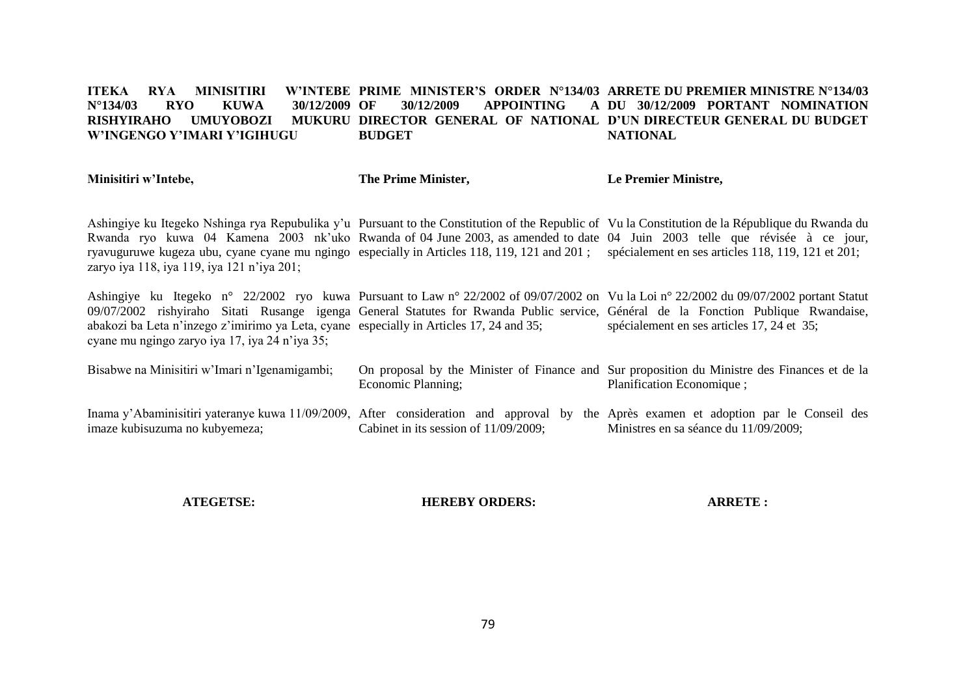#### **ITEKA RYA MINISITIRI W'INTEBE PRIME MINISTER'S ORDER N°134/03 ARRETE DU PREMIER MINISTRE N°134/03 N°134/03 RYO KUWA 30/12/2009 RISHYIRAHO UMUYOBOZI MUKURU DIRECTOR GENERAL OF NATIONAL D'UN DIRECTEUR GENERAL DU BUDGET W'INGENGO Y'IMARI Y'IGIHUGU OF 30/12/2009 APPOINTING A DU 30/12/2009 PORTANT NOMINATION BUDGET NATIONAL**

| Minisitiri w'Intebe,                                                                                                                                                                                                                                                                                                                                                                                                                                                           | The Prime Minister,                      | Le Premier Ministre,                                                                                                      |
|--------------------------------------------------------------------------------------------------------------------------------------------------------------------------------------------------------------------------------------------------------------------------------------------------------------------------------------------------------------------------------------------------------------------------------------------------------------------------------|------------------------------------------|---------------------------------------------------------------------------------------------------------------------------|
| Ashingiye ku Itegeko Nshinga rya Repubulika y'u Pursuant to the Constitution of the Republic of Vu la Constitution de la République du Rwanda du<br>Rwanda ryo kuwa 04 Kamena 2003 nk'uko Rwanda of 04 June 2003, as amended to date 04 Juin 2003 telle que révisée à ce jour,<br>ryavuguruwe kugeza ubu, cyane cyane mu ngingo especially in Articles 118, 119, 121 and 201; spécialement en ses articles 118, 119, 121 et 201;<br>zaryo iya 118, iya 119, iya 121 n'iya 201; |                                          |                                                                                                                           |
| Ashingiye ku Itegeko n° 22/2002 ryo kuwa Pursuant to Law n° 22/2002 of 09/07/2002 on Vu la Loi n° 22/2002 du 09/07/2002 portant Statut<br>09/07/2002 rishyiraho Sitati Rusange igenga General Statutes for Rwanda Public service, Général de la Fonction Publique Rwandaise,<br>abakozi ba Leta n'inzego z'imirimo ya Leta, cyane especially in Articles 17, 24 and 35;<br>cyane mu ngingo zaryo iya 17, iya 24 n'iya 35;                                                      |                                          | spécialement en ses articles 17, 24 et 35;                                                                                |
| Bisabwe na Minisitiri w'Imari n'Igenamigambi;                                                                                                                                                                                                                                                                                                                                                                                                                                  | Economic Planning;                       | On proposal by the Minister of Finance and Sur proposition du Ministre des Finances et de la<br>Planification Economique; |
| Inama y'Abaminisitiri yateranye kuwa 11/09/2009, After consideration and approval by the Après examen et adoption par le Conseil des<br>imaze kubisuzuma no kubyemeza;                                                                                                                                                                                                                                                                                                         | Cabinet in its session of $11/09/2009$ ; | Ministres en sa séance du 11/09/2009;                                                                                     |

**ATEGETSE:**

**HEREBY ORDERS:**

**ARRETE :**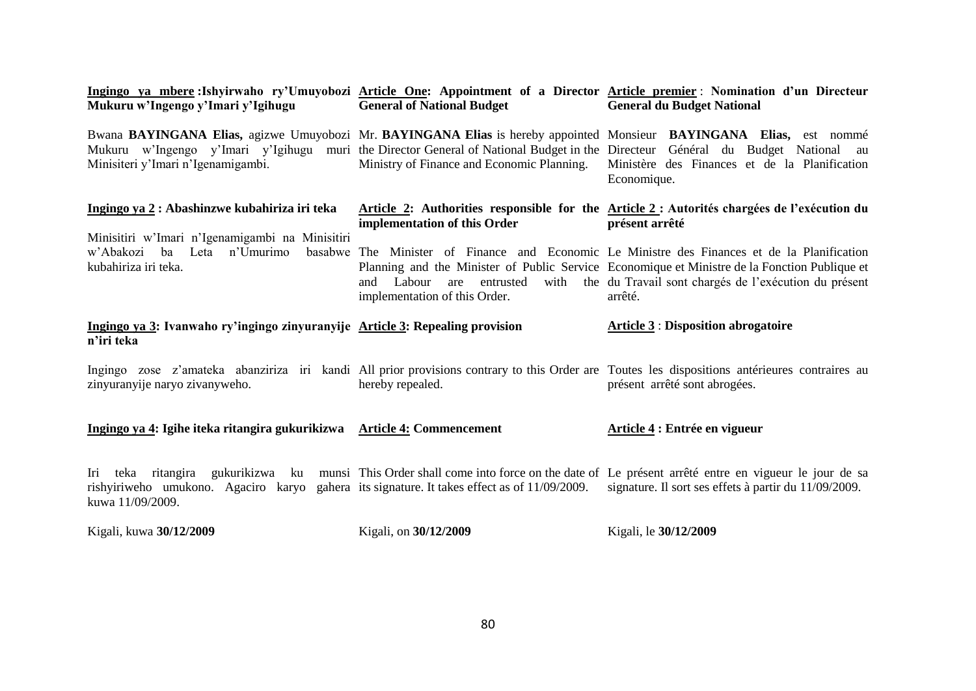| Mukuru w'Ingengo y'Imari y'Igihugu                                                                                                                      | <b>General of National Budget</b>                               | Ingingo ya mbere :Ishyirwaho ry'Umuyobozi Article One: Appointment of a Director Article premier : Nomination d'un Directeur<br><b>General du Budget National</b>                                                                                                                                                     |
|---------------------------------------------------------------------------------------------------------------------------------------------------------|-----------------------------------------------------------------|-----------------------------------------------------------------------------------------------------------------------------------------------------------------------------------------------------------------------------------------------------------------------------------------------------------------------|
| Minisiteri y'Imari n'Igenamigambi.                                                                                                                      | Ministry of Finance and Economic Planning.                      | Bwana BAYINGANA Elias, agizwe Umuyobozi Mr. BAYINGANA Elias is hereby appointed Monsieur BAYINGANA Elias, est nommé<br>Mukuru w'Ingengo y'Imari y'Igihugu muri the Director General of National Budget in the Directeur Général du Budget National au<br>Ministère des Finances et de la Planification<br>Economique. |
| Ingingo ya 2 : Abashinzwe kubahiriza iri teka<br>Minisitiri w'Imari n'Igenamigambi na Minisitiri                                                        | implementation of this Order                                    | Article 2: Authorities responsible for the Article 2: Autorités chargées de l'exécution du<br>présent arrêté                                                                                                                                                                                                          |
| w'Abakozi<br>Leta<br>n'Umurimo<br>ba<br>kubahiriza iri teka.                                                                                            | and Labour<br>entrusted<br>are<br>implementation of this Order. | basabwe The Minister of Finance and Economic Le Ministre des Finances et de la Planification<br>Planning and the Minister of Public Service Economique et Ministre de la Fonction Publique et<br>with the du Travail sont chargés de l'exécution du présent<br>arrêté.                                                |
|                                                                                                                                                         |                                                                 |                                                                                                                                                                                                                                                                                                                       |
| Ingingo ya 3: Ivanwaho ry'ingingo zinyuranyije Article 3: Repealing provision<br>n'iri teka                                                             |                                                                 | <b>Article 3 : Disposition abrogatoire</b>                                                                                                                                                                                                                                                                            |
| zinyuranyije naryo zivanyweho.                                                                                                                          | hereby repealed.                                                | Ingingo zose z'amateka abanziriza iri kandi All prior provisions contrary to this Order are Toutes les dispositions antérieures contraires au<br>présent arrêté sont abrogées.                                                                                                                                        |
| Ingingo ya 4: Igihe iteka ritangira gukurikizwa Article 4: Commencement                                                                                 |                                                                 | Article 4 : Entrée en vigueur                                                                                                                                                                                                                                                                                         |
| Iri teka ritangira<br>gukurikizwa ku<br>rishyiriweho umukono. Agaciro karyo gahera its signature. It takes effect as of 11/09/2009.<br>kuwa 11/09/2009. |                                                                 | munsi This Order shall come into force on the date of Le présent arrêté entre en vigueur le jour de sa<br>signature. Il sort ses effets à partir du 11/09/2009.                                                                                                                                                       |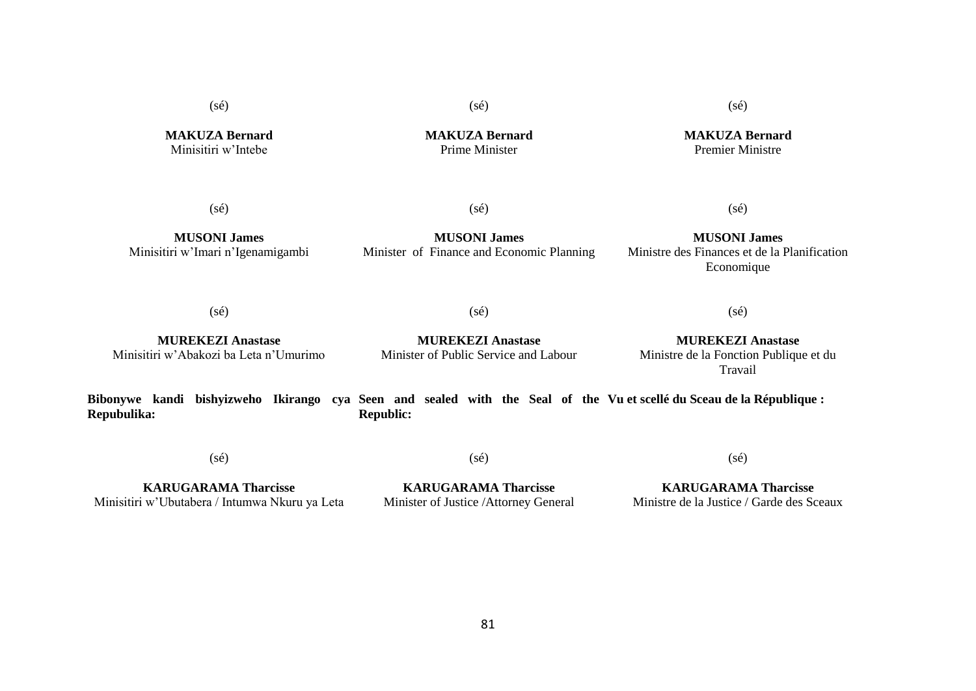(sé)

(sé)

(sé)

**MAKUZA Bernard** Minisitiri w'Intebe

**MAKUZA Bernard** Prime Minister

**MAKUZA Bernard** Premier Ministre

(sé)

(sé)

**MUSONI James** Minisitiri w'Imari n'Igenamigambi

**MUSONI James** Minister of Finance and Economic Planning

**MUSONI James** Ministre des Finances et de la Planification Economique

(sé)

 $(sé)$ 

 $(sé)$ 

(sé)

**MUREKEZI Anastase** Minisitiri w'Abakozi ba Leta n'Umurimo

**MUREKEZI Anastase** Minister of Public Service and Labour

**MUREKEZI Anastase** Ministre de la Fonction Publique et du Travail

**Bibonywe kandi bishyizweho Ikirango cya Seen and sealed with the Seal of the Vu et scellé du Sceau de la République : Repubulika: Republic:**

(sé)

(sé)

(sé)

**KARUGARAMA Tharcisse** Minisitiri w'Ubutabera / Intumwa Nkuru ya Leta

**KARUGARAMA Tharcisse** Minister of Justice /Attorney General

**KARUGARAMA Tharcisse** Ministre de la Justice / Garde des Sceaux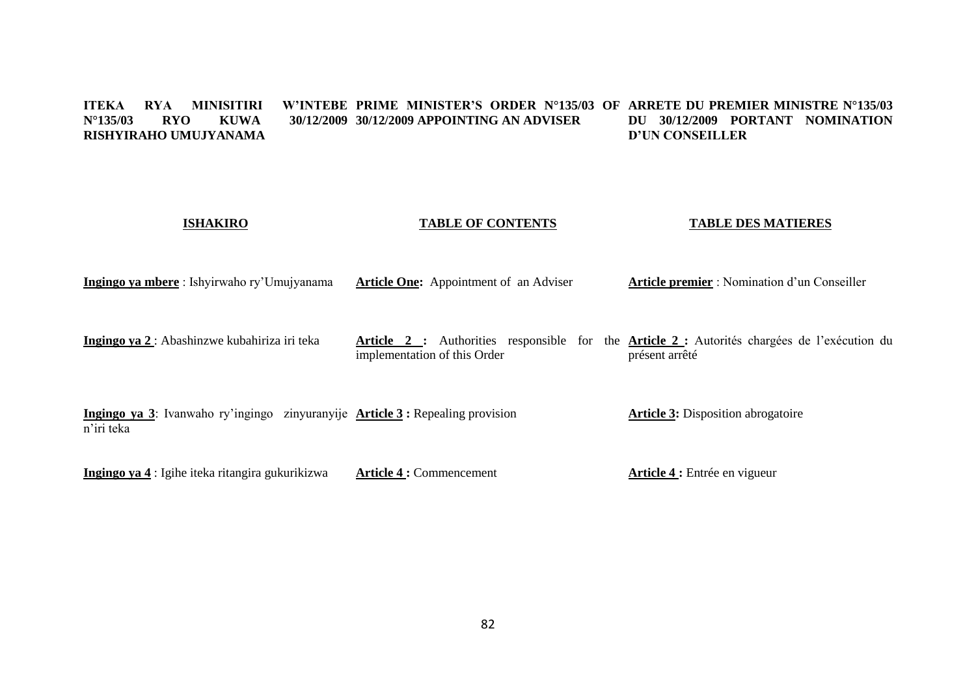#### **ITEKA RYA MINISITIRI W'INTEBE PRIME MINISTER'S ORDER N°135/03 OF ARRETE DU PREMIER MINISTRE N°135/03**  N°135/03 **RYO KUWA RISHYIRAHO UMUJYANAMA 30/12/2009 APPOINTING AN ADVISER DU 30/12/2009 PORTANT NOMINATION D'UN CONSEILLER**

**TABLE OF CONTENTS** 

**TABLE DES MATIERES**

**ISHAKIRO**

| ISHAKIKU                                                                                     | <b>IABLE OF CONTENIS</b>                      | TABLE DES MATIERES                                                                                             |
|----------------------------------------------------------------------------------------------|-----------------------------------------------|----------------------------------------------------------------------------------------------------------------|
| Ingingo ya mbere: Ishyirwaho ry'Umujyanama                                                   | <b>Article One:</b> Appointment of an Adviser | <b>Article premier</b> : Nomination d'un Conseiller                                                            |
| Ingingo ya 2 : Abashinzwe kubahiriza iri teka                                                | implementation of this Order                  | Article 2 : Authorities responsible for the Article 2 : Autorités chargées de l'exécution du<br>présent arrêté |
| Ingingo ya 3: Ivanwaho ry'ingingo zinyuranyije Article 3 : Repealing provision<br>n'iri teka |                                               | <b>Article 3:</b> Disposition abrogatoire                                                                      |
| Ingingo ya 4 : Igihe iteka ritangira gukurikizwa                                             | <b>Article 4: Commencement</b>                | Article 4 : Entrée en vigueur                                                                                  |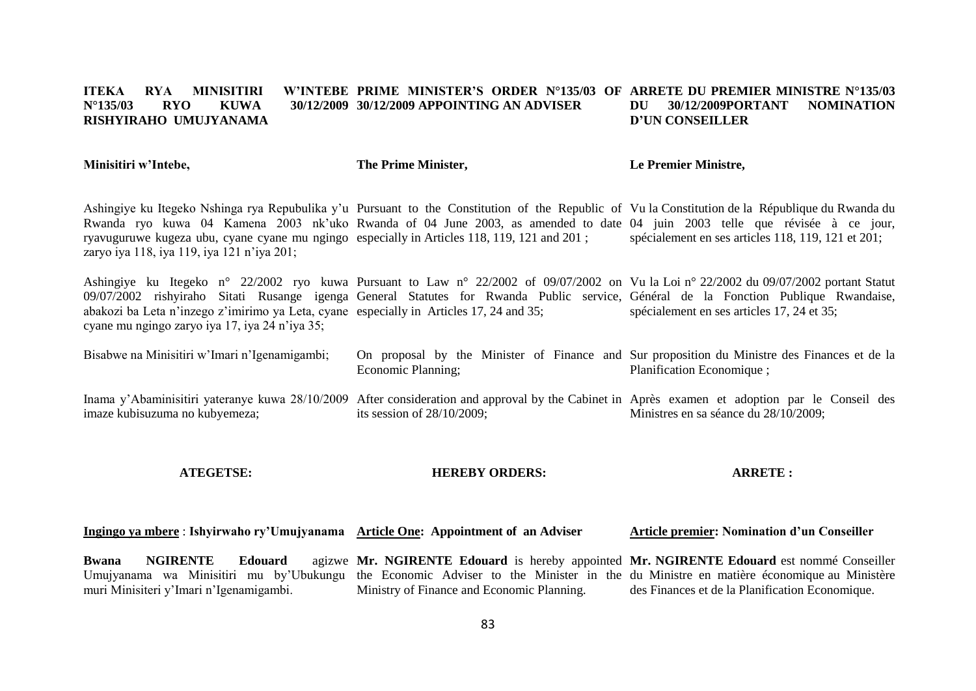#### **ITEKA RYA MINISITIRI W'INTEBE PRIME MINISTER'S ORDER N°135/03 OF ARRETE DU PREMIER MINISTRE N°135/03 N°135/03 RYO KUWA 30/12/2009 30/12/2009 APPOINTING AN ADVISER RISHYIRAHO UMUJYANAMA DU 30/12/2009PORTANT NOMINATION D'UN CONSEILLER**

**Minisitiri w'Intebe,**

**The Prime Minister,**

**Le Premier Ministre,**

Ashingiye ku Itegeko Nshinga rya Repubulika y'u Pursuant to the Constitution of the Republic of Vu la Constitution de la République du Rwanda du Rwanda ryo kuwa 04 Kamena 2003 nk'uko Rwanda of 04 June 2003, as amended to date 04 juin 2003 telle que révisée à ce jour, ryavuguruwe kugeza ubu, cyane cyane mu ngingo especially in Articles 118, 119, 121 and 201 ; zaryo iya 118, iya 119, iya 121 n'iya 201; spécialement en ses articles 118, 119, 121 et 201;

Ashingiye ku Itegeko n° 22/2002 ryo kuwa Pursuant to Law n° 22/2002 of 09/07/2002 on Vu la Loi n° 22/2002 du 09/07/2002 portant Statut 09/07/2002 rishyiraho Sitati Rusange igenga General Statutes for Rwanda Public service, Général de la Fonction Publique Rwandaise, abakozi ba Leta n'inzego z'imirimo ya Leta, cyane especially in Articles 17, 24 and 35; cyane mu ngingo zaryo iya 17, iya 24 n'iya 35; spécialement en ses articles 17, 24 et 35;

Bisabwe na Minisitiri w'Imari n'Igenamigambi; On proposal by the Minister of Finance and Sur proposition du Ministre des Finances et de la Economic Planning; Planification Economique ;

Inama y'Abaminisitiri yateranye kuwa 28/10/2009 After consideration and approval by the Cabinet in Après examen et adoption par le Conseil des imaze kubisuzuma no kubyemeza; its session of 28/10/2009; Ministres en sa séance du 28/10/2009;

**ATEGETSE:**

#### **HEREBY ORDERS:**

#### **ARRETE :**

**Ingingo ya mbere** : **Ishyirwaho ry'Umujyanama Article One: Appointment of an Adviser Article premier: Nomination d'un Conseiller** 

**Bwana NGIRENTE Edouard** Umujyanama wa Minisitiri mu by'Ubukungu the Economic Adviser to the Minister in the du Ministre en matière économique au Ministère muri Minisiteri y'Imari n'Igenamigambi. **Mr. NGIRENTE Edouard** is hereby appointed **Mr. NGIRENTE Edouard** est nommé Conseiller Ministry of Finance and Economic Planning. des Finances et de la Planification Economique.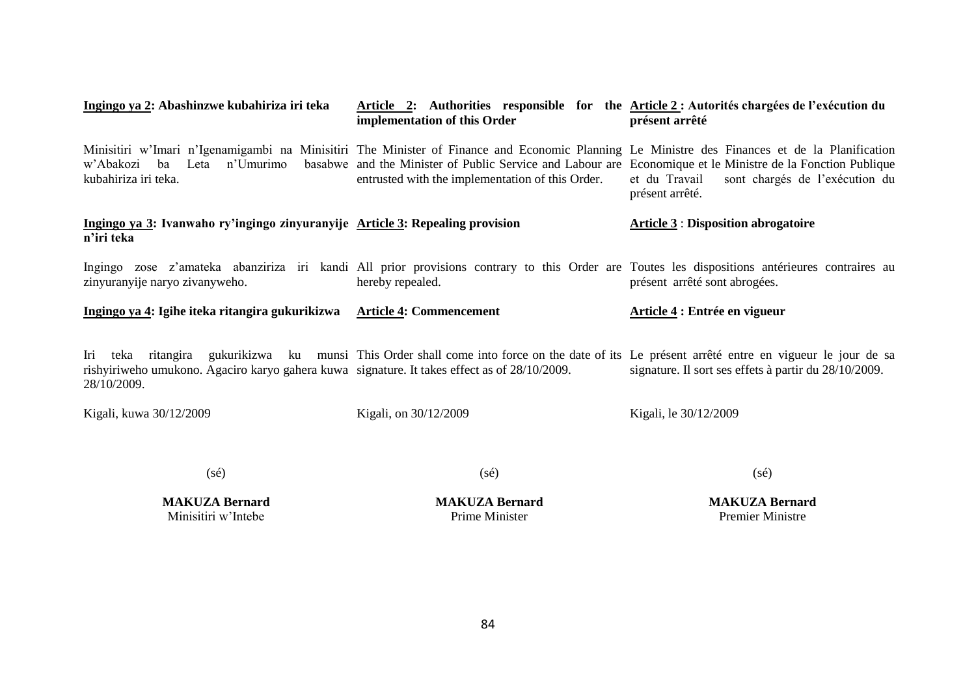| Ingingo ya 2: Abashinzwe kubahiriza iri teka                                                                                            | Article 2: Authorities responsible for the Article 2: Autorités chargées de l'exécution du<br>implementation of this Order                                                                                                                                                                                                      | présent arrêté                                                     |
|-----------------------------------------------------------------------------------------------------------------------------------------|---------------------------------------------------------------------------------------------------------------------------------------------------------------------------------------------------------------------------------------------------------------------------------------------------------------------------------|--------------------------------------------------------------------|
| w'Abakozi<br>ba<br>kubahiriza iri teka.                                                                                                 | Minisitiri w'Imari n'Igenamigambi na Minisitiri The Minister of Finance and Economic Planning Le Ministre des Finances et de la Planification<br>Leta n'Umurimo basabwe and the Minister of Public Service and Labour are Economique et le Ministre de la Fonction Publique<br>entrusted with the implementation of this Order. | et du Travail<br>sont chargés de l'exécution du<br>présent arrêté. |
| Ingingo ya 3: Ivanwaho ry'ingingo zinyuranyije Article 3: Repealing provision<br>n'iri teka                                             |                                                                                                                                                                                                                                                                                                                                 | <b>Article 3: Disposition abrogatoire</b>                          |
| zinyuranyije naryo zivanyweho.                                                                                                          | Ingingo zose z'amateka abanziriza iri kandi All prior provisions contrary to this Order are Toutes les dispositions antérieures contraires au<br>hereby repealed.                                                                                                                                                               | présent arrêté sont abrogées.                                      |
|                                                                                                                                         |                                                                                                                                                                                                                                                                                                                                 |                                                                    |
| Ingingo ya 4: Igihe iteka ritangira gukurikizwa Article 4: Commencement                                                                 |                                                                                                                                                                                                                                                                                                                                 | Article 4 : Entrée en vigueur                                      |
| Iri<br>ritangira<br>teka<br>rishyiriweho umukono. Agaciro karyo gahera kuwa signature. It takes effect as of 28/10/2009.<br>28/10/2009. | gukurikizwa ku munsi This Order shall come into force on the date of its Le présent arrêté entre en vigueur le jour de sa                                                                                                                                                                                                       | signature. Il sort ses effets à partir du 28/10/2009.              |
| Kigali, kuwa 30/12/2009                                                                                                                 | Kigali, on 30/12/2009                                                                                                                                                                                                                                                                                                           | Kigali, le 30/12/2009                                              |
| $(s\acute{e})$                                                                                                                          | $(s\acute{e})$                                                                                                                                                                                                                                                                                                                  | $(s\acute{e})$                                                     |

**MAKUZA Bernard** Minisitiri w'Intebe

**MAKUZA Bernard** Prime Minister

**MAKUZA Bernard** Premier Ministre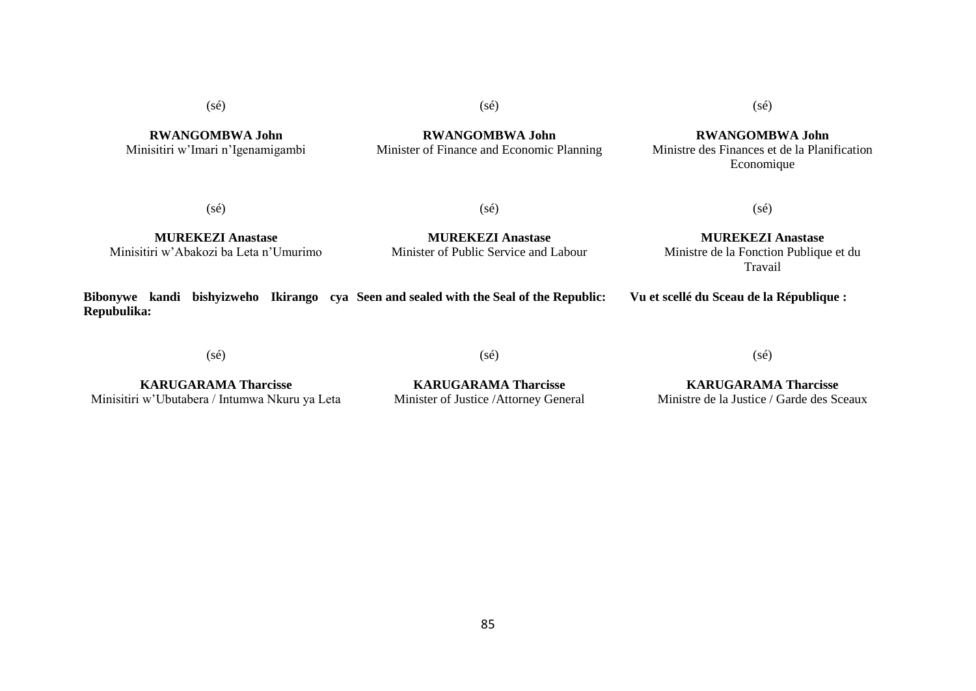**RWANGOMBWA John** Minisitiri w'Imari n'Igenamigambi (sé)

**RWANGOMBWA John** Minister of Finance and Economic Planning (sé)

**RWANGOMBWA John** Ministre des Finances et de la Planification Economique

(sé)

(sé)

**MUREKEZI Anastase** Minisitiri w'Abakozi ba Leta n'Umurimo

**MUREKEZI Anastase** Minister of Public Service and Labour

**MUREKEZI Anastase** Ministre de la Fonction Publique et du Travail

(sé)

**Bibonywe kandi bishyizweho Ikirango cya Seen and sealed with the Seal of the Republic: Repubulika: Vu et scellé du Sceau de la République :**

(sé)

(sé)

**KARUGARAMA Tharcisse** Minisitiri w'Ubutabera / Intumwa Nkuru ya Leta

**KARUGARAMA Tharcisse** Minister of Justice /Attorney General

(sé)

**KARUGARAMA Tharcisse**

Ministre de la Justice / Garde des Sceaux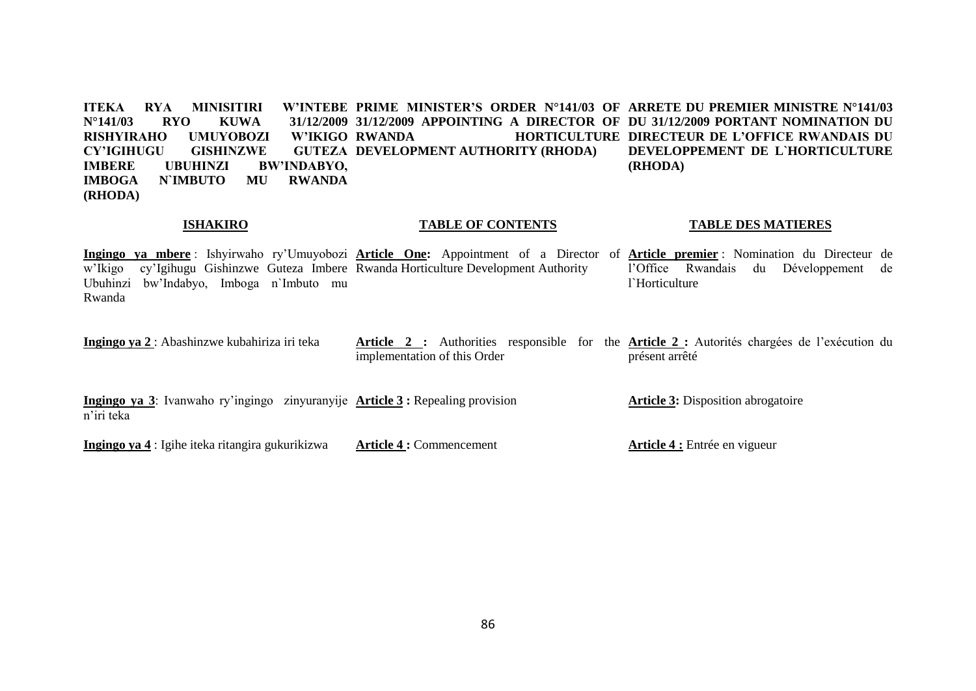**ITEKA RYA MINISITIRI N°141/03 RYO KUWA 31/12/2009 31/12/2009 APPOINTING A DIRECTOR OF DU 31/12/2009 PORTANT NOMINATION DU RISHYIRAHO UMUYOBOZI W'IKIGO CY'IGIHUGU GISHINZWE IMBERE UBUHINZI BW'INDABYO, IMBOGA N`IMBUTO MU RWANDA (RHODA) PRIME MINISTER'S ORDER N°141/03 OF ARRETE DU PREMIER MINISTRE N°141/03 RWANDA HORTICULTURE DIRECTEUR DE L'OFFICE RWANDAIS DU GUTEZA DEVELOPMENT AUTHORITY (RHODA) DEVELOPPEMENT DE L`HORTICULTURE (RHODA)**

#### **ISHAKIRO**

#### **TABLE OF CONTENTS**

#### **TABLE DES MATIERES**

**Ingingo ya mbere** : Ishyirwaho ry'Umuyobozi **Article One:** Appointment of a Director of **Article premier** : Nomination du Directeur de w'Ikigo cy'Igihugu Gishinzwe Guteza Imbere Rwanda Horticulture Development Authority Ubuhinzi bw'Indabyo, Imboga n`Imbuto mu Rwanda l'Office Rwandais du Développement de l`Horticulture

**Ingingo ya 2** : Abashinzwe kubahiriza iri teka **Article 2 :** Authorities responsible for the **Article 2 :** Autorités chargées de l'exécution du implementation of this Order présent arrêté

**Ingingo ya 3**: Ivanwaho ry'ingingo zinyuranyije **Article 3 :** Repealing provision n'iri teka **Article 3:** Disposition abrogatoire

**Ingingo ya 4** : Igihe iteka ritangira gukurikizwa

**Article 4 :** Commencement

**Article 4 :** Entrée en vigueur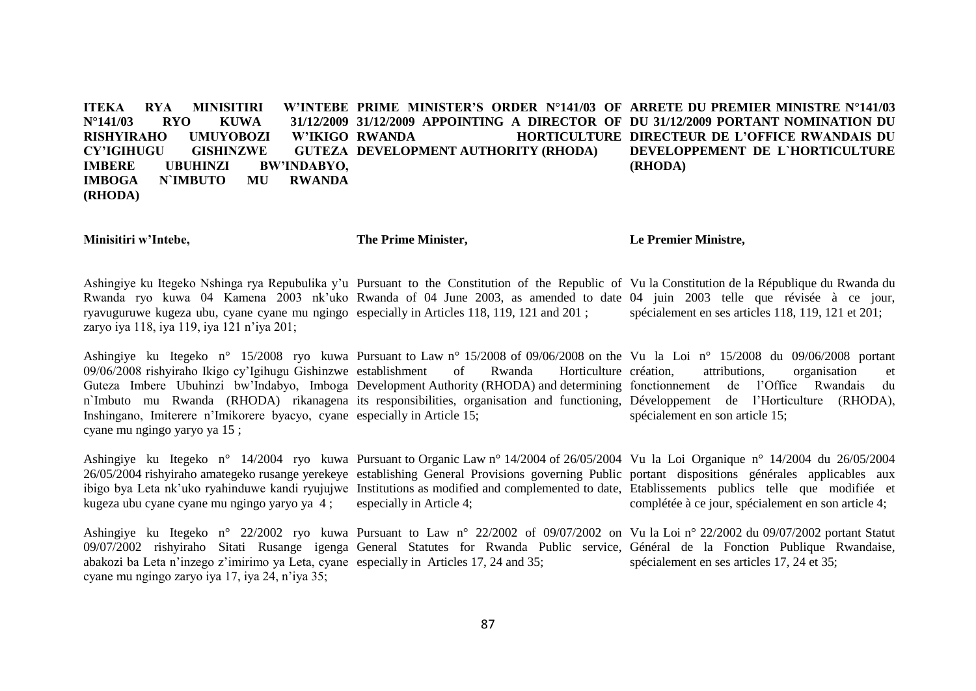**ITEKA RYA MINISITIRI N°141/03 RYO KUWA 31/12/2009 31/12/2009 APPOINTING A DIRECTOR OF DU 31/12/2009 PORTANT NOMINATION DU RISHYIRAHO UMUYOBOZI W'IKIGO CY'IGIHUGU GISHINZWE IMBERE UBUHINZI BW'INDABYO, IMBOGA N`IMBUTO MU RWANDA (RHODA) PRIME MINISTER'S ORDER N°141/03 OF ARRETE DU PREMIER MINISTRE N°141/03 RWANDA HORTICULTURE DIRECTEUR DE L'OFFICE RWANDAIS DU GUTEZA DEVELOPMENT AUTHORITY (RHODA) DEVELOPPEMENT DE L`HORTICULTURE (RHODA)**

**Minisitiri w'Intebe,**

**The Prime Minister,**

**Le Premier Ministre,**

Ashingiye ku Itegeko Nshinga rya Repubulika y'u Pursuant to the Constitution of the Republic of Vu la Constitution de la République du Rwanda du Rwanda ryo kuwa 04 Kamena 2003 nk'uko Rwanda of 04 June 2003, as amended to date 04 juin 2003 telle que révisée à ce jour, ryavuguruwe kugeza ubu, cyane cyane mu ngingo especially in Articles 118, 119, 121 and 201 ; zaryo iya 118, iya 119, iya 121 n'iya 201; spécialement en ses articles 118, 119, 121 et 201;

Ashingiye ku Itegeko n° 15/2008 ryo kuwa Pursuant to Law n° 15/2008 of 09/06/2008 on the Vu la Loi n° 15/2008 du 09/06/2008 portant 09/06/2008 rishyiraho Ikigo cy'Igihugu Gishinzwe establishment of Rwanda Horticulture Guteza Imbere Ubuhinzi bw'Indabyo, Imboga Development Authority (RHODA) and determining fonctionnement de l'Office Rwandais du n`Imbuto mu Rwanda (RHODA) rikanagena its responsibilities, organisation and functioning, Développement de l'Horticulture (RHODA), Inshingano, Imiterere n'Imikorere byacyo, cyane especially in Article 15; cyane mu ngingo yaryo ya 15 ; Horticulture création, attributions, organisation et spécialement en son article 15;

Ashingiye ku Itegeko n° 14/2004 ryo kuwa Pursuant to Organic Law n° 14/2004 of 26/05/2004 Vu la Loi Organique n° 14/2004 du 26/05/2004 26/05/2004 rishyiraho amategeko rusange yerekeye establishing General Provisions governing Public portant dispositions générales applicables aux ibigo bya Leta nk'uko ryahinduwe kandi ryujujwe Institutions as modified and complemented to date, Etablissements publics telle que modifiée et kugeza ubu cyane cyane mu ngingo yaryo ya 4 ; especially in Article 4; complétée à ce jour, spécialement en son article 4;

Ashingiye ku Itegeko n° 22/2002 ryo kuwa Pursuant to Law n° 22/2002 of 09/07/2002 on Vu la Loi n° 22/2002 du 09/07/2002 portant Statut 09/07/2002 rishyiraho Sitati Rusange igenga General Statutes for Rwanda Public service, Général de la Fonction Publique Rwandaise, abakozi ba Leta n'inzego z'imirimo ya Leta, cyane especially in Articles 17, 24 and 35; cyane mu ngingo zaryo iya 17, iya 24, n'iya 35; spécialement en ses articles 17, 24 et 35;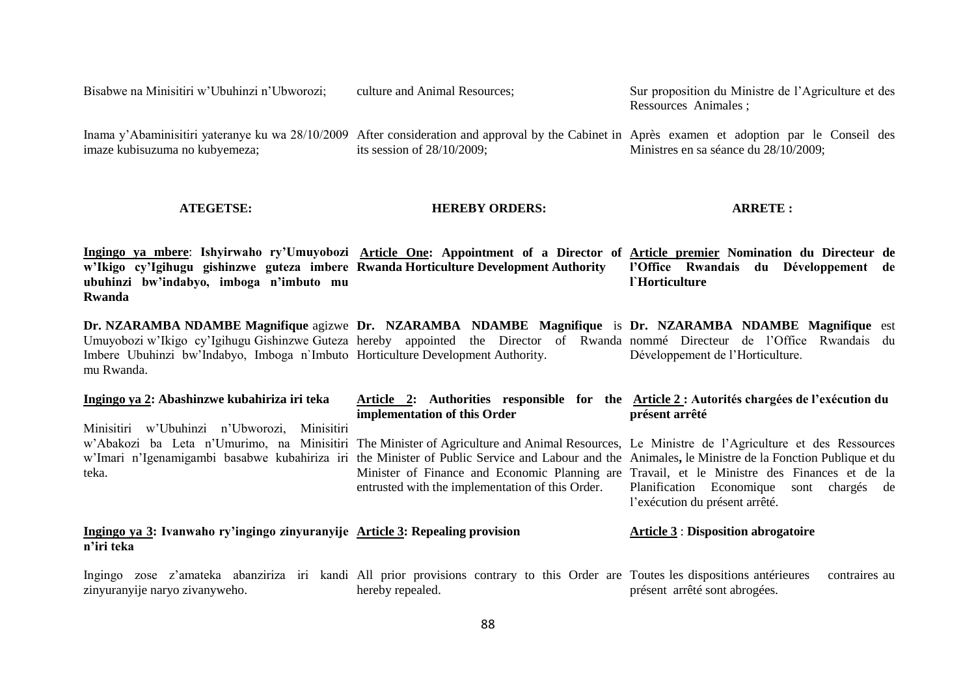Bisabwe na Minisitiri w'Ubuhinzi n'Ubworozi; culture and Animal Resources; Sur proposition du Ministre de l'Agriculture et des Ressources Animales ;

Inama y'Abaminisitiri yateranye ku wa 28/10/2009 After consideration and approval by the Cabinet in Après examen et adoption par le Conseil des imaze kubisuzuma no kubyemeza; its session of 28/10/2009; Ministres en sa séance du 28/10/2009;

#### **ATEGETSE:**

### **HEREBY ORDERS:**

**ARRETE :**

**Ingingo ya mbere**: **Ishyirwaho ry'Umuyobozi Article One: Appointment of a Director of Article premier Nomination du Directeur de w'Ikigo cy'Igihugu gishinzwe guteza imbere Rwanda Horticulture Development Authority ubuhinzi bw'indabyo, imboga n'imbuto mu Rwanda l'Office Rwandais du Développement de l`Horticulture**

**Dr. NZARAMBA NDAMBE Magnifique agizwe Dr. NZARAMBA NDAMBE Magnifique is Dr. NZARAMBA NDAMBE Magnifique est** Umuyobozi w'Ikigo cy'Igihugu Gishinzwe Guteza hereby appointed the Director of Rwanda nommé Directeur de l'Office Rwandais du Imbere Ubuhinzi bw'Indabyo, Imboga n`Imbuto Horticulture Development Authority. mu Rwanda. Développement de l'Horticulture.

| Ingingo ya 2: Abashinzwe kubahiriza iri teka                                                | Article 2: Authorities responsible for the Article 2 : Autorités chargées de l'exécution du<br>implementation of this Order                         | présent arrêté                                                                                                                                                                                                                                                                                                                                                                                                                                                                     |
|---------------------------------------------------------------------------------------------|-----------------------------------------------------------------------------------------------------------------------------------------------------|------------------------------------------------------------------------------------------------------------------------------------------------------------------------------------------------------------------------------------------------------------------------------------------------------------------------------------------------------------------------------------------------------------------------------------------------------------------------------------|
| Minisitiri<br>w'Ubuhinzi n'Ubworozi, Minisitiri<br>teka.                                    | entrusted with the implementation of this Order.                                                                                                    | w'Abakozi ba Leta n'Umurimo, na Minisitiri The Minister of Agriculture and Animal Resources, Le Ministre de l'Agriculture et des Ressources<br>w'Imari n'Igenamigambi basabwe kubahiriza iri the Minister of Public Service and Labour and the Animales, le Ministre de la Fonction Publique et du<br>Minister of Finance and Economic Planning are Travail, et le Ministre des Finances et de la<br>Planification Economique<br>sont chargés de<br>l'exécution du présent arrêté. |
| Ingingo ya 3: Ivanwaho ry'ingingo zinyuranyije Article 3: Repealing provision<br>n'iri teka |                                                                                                                                                     | <b>Article 3 : Disposition abrogatoire</b>                                                                                                                                                                                                                                                                                                                                                                                                                                         |
| zinyuranyije naryo zivanyweho.                                                              | Ingingo zose z'amateka abanziriza iri kandi All prior provisions contrary to this Order are Toutes les dispositions antérieures<br>hereby repealed. | contraires au<br>présent arrêté sont abrogées.                                                                                                                                                                                                                                                                                                                                                                                                                                     |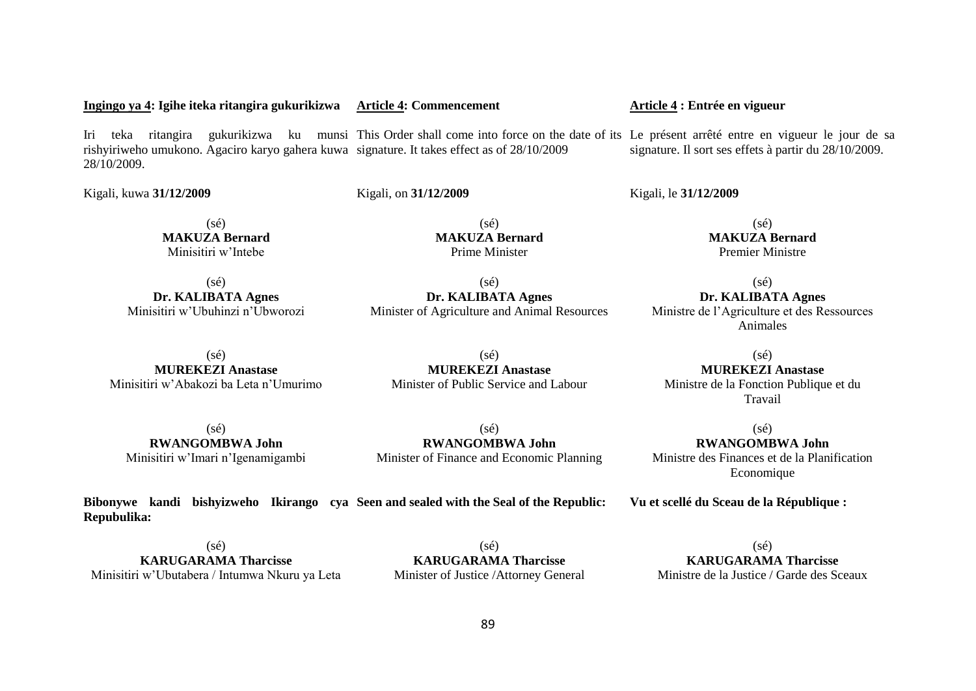#### **Ingingo ya 4: Igihe iteka ritangira gukurikizwa Article 4: Commencement**

Iri teka ritangira gukurikizwa ku munsi This Order shall come into force on the date of its Le présent arrêté entre en vigueur le jour de sa rishyiriweho umukono. Agaciro karyo gahera kuwa signature. It takes effect as of 28/10/2009 28/10/2009. signature. Il sort ses effets à partir du 28/10/2009.

> (sé) **MAKUZA Bernard** Prime Minister

(sé) **Dr. KALIBATA Agnes**

Kigali, kuwa **31/12/2009**

Kigali, on **31/12/2009**

 $(sé)$ **MAKUZA Bernard** Minisitiri w'Intebe

 $(s\acute{e})$ **Dr. KALIBATA Agnes** Minisitiri w'Ubuhinzi n'Ubworozi

Minister of Agriculture and Animal Resources

(sé) **Dr. KALIBATA Agnes** Ministre de l'Agriculture et des Ressources Animales

(sé) **MAKUZA Bernard** Premier Ministre

(sé) **MUREKEZI Anastase** Minisitiri w'Abakozi ba Leta n'Umurimo

**MUREKEZI Anastase** Minister of Public Service and Labour

(sé) **MUREKEZI Anastase** Ministre de la Fonction Publique et du Travail

(sé) **RWANGOMBWA John** Minisitiri w'Imari n'Igenamigambi

(sé) **RWANGOMBWA John** Minister of Finance and Economic Planning

**Bibonywe kandi bishyizweho Ikirango cya Seen and sealed with the Seal of the Republic: Repubulika:**

 $(s<sub>ef</sub>)$ **KARUGARAMA Tharcisse** Minisitiri w'Ubutabera / Intumwa Nkuru ya Leta

 $(s<sub>ef</sub>)$ **KARUGARAMA Tharcisse** Minister of Justice /Attorney General

 $(s<sub>e</sub>)$ **KARUGARAMA Tharcisse** Ministre de la Justice / Garde des Sceaux

# $(s\acute{e})$

# **Article 4 : Entrée en vigueur**

Kigali, le **31/12/2009** 

 $(sé)$ **RWANGOMBWA John**

Ministre des Finances et de la Planification Economique

**Vu et scellé du Sceau de la République :**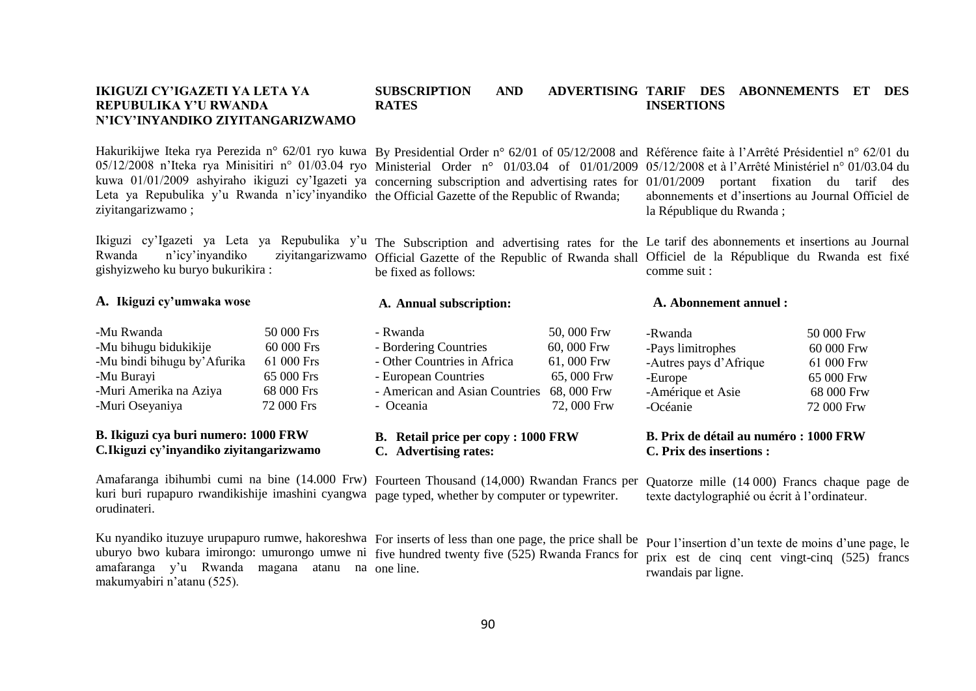#### **IKIGUZI CY'IGAZETI YA LETA YA REPUBULIKA Y'U RWANDA N'ICY'INYANDIKO ZIYITANGARIZWAMO RATES**

#### **SUBSCRIPTION AND TARIF DES ABONNEMENTS ET DES INSERTIONS**

Hakurikijwe Iteka rya Perezida n° 62/01 ryo kuwa By Presidential Order n° 62/01 of 05/12/2008 and Référence faite à l'Arrêté Présidentiel n° 62/01 du Leta ya Repubulika y'u Rwanda n'icy'inyandiko the Official Gazette of the Republic of Rwanda; ziyitangarizwamo ;

Ikiguzi cy'Igazeti ya Leta ya Repubulika y'u Rwanda n'icy'inyandiko ziyitangarizwamo gishyizweho ku buryo bukurikira :

# **A. Ikiguzi cy'umwaka wose**

| -Mu Rwanda                   | 50 000 Frs |
|------------------------------|------------|
| -Mu bihugu bidukikije        | 60 000 Frs |
| -Mu bindi bihugu by' Afurika | 61 000 Frs |
| -Mu Burayi                   | 65 000 Frs |
| -Muri Amerika na Aziya       | 68 000 Frs |
| -Muri Oseyaniya              | 72 000 Frs |

# **B. Ikiguzi cya buri numero: 1000 FRW C***.***Ikiguzi cy'inyandiko ziyitangarizwamo**

Amafaranga ibihumbi cumi na bine (14.000 Frw) Fourteen Thousand (14,000) Rwandan Francs per kuri buri rupapuro rwandikishije imashini cyangwa page typed, whether by computer or typewriter. orudinateri.

Ku nyandiko ituzuye urupapuro rumwe, hakoreshwa For inserts of less than one page, the price shall be uburyo bwo kubara imirongo: umurongo umwe ni five hundred twenty five (525) Rwanda Francs for amafaranga y'u Rwanda magana atanu na one line. makumyabiri n'atanu (525).

05/12/2008 n'Iteka rya Minisitiri n° 01/03.04 ryo Ministerial Order n° 01/03.04 of 01/01/2009 05/12/2008 et à l'Arrêté Ministériel n° 01/03.04 du kuwa 01/01/2009 ashyiraho ikiguzi cy'Igazeti ya concerning subscription and advertising rates for 01/01/2009 portant fixation du tarif des abonnements et d'insertions au Journal Officiel de la République du Rwanda :

> The Subscription and advertising rates for the Le tarif des abonnements et insertions au Journal Official Gazette of the Republic of Rwanda shall Officiel de la République du Rwanda est fixé comme suit :

# **A. Annual subscription:**

be fixed as follows:

| - Rwanda                                   | 50,000 Frw |
|--------------------------------------------|------------|
| - Bordering Countries                      | 60,000 Frw |
| - Other Countries in Africa                | 61,000 Frw |
| - European Countries                       | 65,000 Frw |
| - American and Asian Countries 68, 000 Frw |            |
| - Oceania                                  | 72,000 Frw |
|                                            |            |

# **B. Retail price per copy : 1000 FRW C. Advertising rates:**

# -Autres pays d'Afrique 61 000 Frw

**A. Abonnement annuel :**

-Europe 65 000 Frw -Amérique et Asie 68 000 Frw -Océanie 72 000 Frw

-Rwanda 50 000 Frw -Pays limitrophes 60 000 Frw

# **B. Prix de détail au numéro : 1000 FRW C. Prix des insertions :**

Quatorze mille (14 000) Francs chaque page de texte dactylographié ou écrit à l'ordinateur.

Pour l'insertion d'un texte de moins d'une page, le prix est de cinq cent vingt-cinq (525) francs rwandais par ligne.